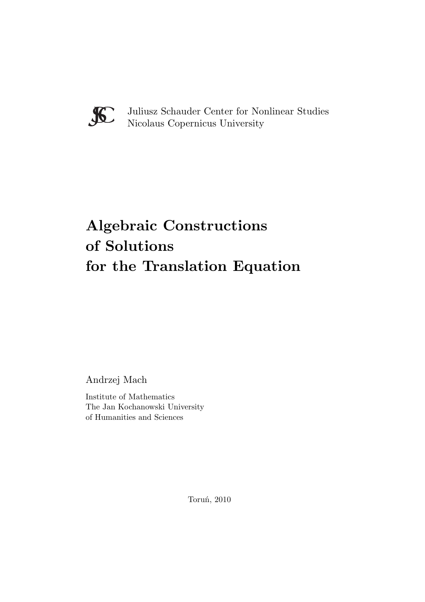

Juliusz Schauder Center for Nonlinear Studies Nicolaus Copernicus University

# **Algebraic Constructions** for the Tree **for the Translation Equation**

Andrzej Mach

Institute of Mathematics The Jan Kochanowski University of Humanities and Sciences

Toruń, 2010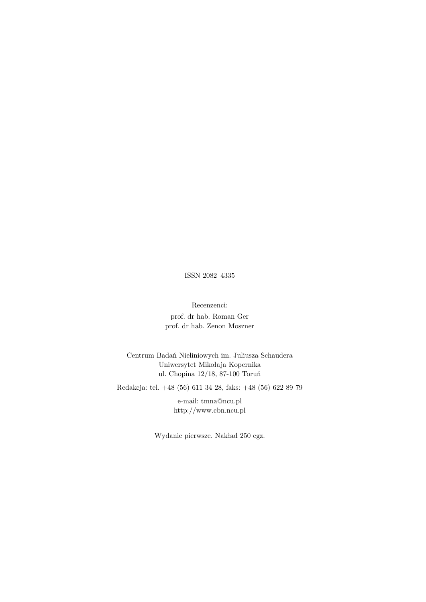ISSN 2082–4335

Recenzenci: prof. dr hab. Roman Ger prof. dr hab. Zenon Moszner

Centrum Badań Nieliniowych im. Juliusza Schaudera Uniwersytet Mikołaja Kopernika ul. Chopina 12/18, 87-100 Toruń

Redakcja: tel. +48 (56) 611 34 28, faks: +48 (56) 622 89 79

e-mail: tmna@ncu.pl http://www.cbn.ncu.pl

Wydanie pierwsze. Nakład 250 egz.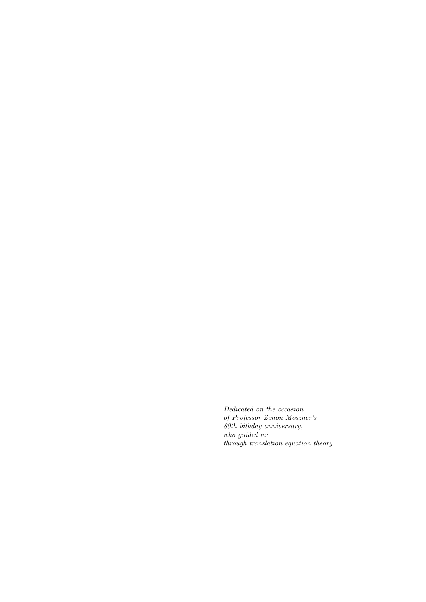Dedicated on the occasion of Professor Zenon Moszner's 80th bithday anniversary, who guided me through translation equation theory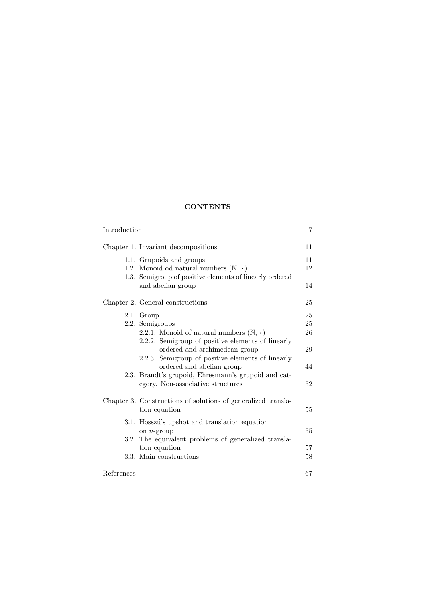# **CONTENTS**

| Introduction |                                                                                                                                                                                                                                                                                                                                                             | 7                                |  |
|--------------|-------------------------------------------------------------------------------------------------------------------------------------------------------------------------------------------------------------------------------------------------------------------------------------------------------------------------------------------------------------|----------------------------------|--|
|              | Chapter 1. Invariant decompositions                                                                                                                                                                                                                                                                                                                         | 11                               |  |
|              | 1.1. Grupoids and groups<br>1.2. Monoid od natural numbers $(\mathbb{N}, \cdot)$<br>1.3. Semigroup of positive elements of linearly ordered<br>and abelian group                                                                                                                                                                                            | 11<br>12<br>14                   |  |
|              | Chapter 2. General constructions                                                                                                                                                                                                                                                                                                                            | 25                               |  |
|              | 2.1. Group<br>2.2. Semigroups<br>2.2.1. Monoid of natural numbers $(\mathbb{N}, \cdot)$<br>2.2.2. Semigroup of positive elements of linearly<br>ordered and archimedean group<br>2.2.3. Semigroup of positive elements of linearly<br>ordered and abelian group<br>2.3. Brandt's grupoid, Ehresmann's grupoid and cat-<br>egory. Non-associative structures | 25<br>25<br>26<br>29<br>44<br>52 |  |
|              | Chapter 3. Constructions of solutions of generalized transla-<br>tion equation                                                                                                                                                                                                                                                                              | 55                               |  |
|              | 3.1. Hosszú's upshot and translation equation<br>on $n$ -group<br>3.2. The equivalent problems of generalized transla-                                                                                                                                                                                                                                      | 55                               |  |
|              | tion equation<br>3.3. Main constructions                                                                                                                                                                                                                                                                                                                    | 57<br>58                         |  |
| References   |                                                                                                                                                                                                                                                                                                                                                             | 67                               |  |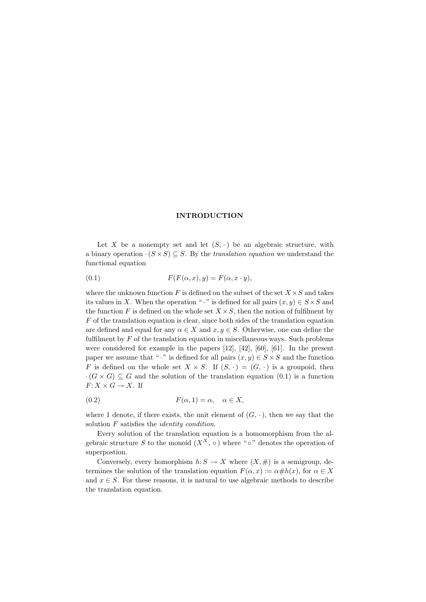# **INTRODUCTION**

Let *X* be a nonempty set and let  $(S, \cdot)$  be an algebraic structure, with a binary operation  $\cdot (S \times S) \subseteq S$ . By the *translation equation* we understand the functional equation

(0.1) 
$$
F(F(\alpha, x), y) = F(\alpha, x \cdot y),
$$

where the unknown function  $F$  is defined on the subset of the set  $X \times S$  and takes its values in *X*. When the operation " $\cdot$  " is defined for all pairs  $(x, y) \in S \times S$  and the function  $F$  is defined on the whole set  $X \times S$ , then the notion of fulfilment by *F* of the translation equation is clear, since both sides of the translation equation are defined and equal for any  $\alpha \in X$  and  $x, y \in S$ . Otherwise, one can define the fulfilment by *F* of the translation equation in miscellaneous ways. Such problems were considered for example in the papers [12], [42], [60], [61]. In the present paper we assume that " $\cdot$ " is defined for all pairs  $(x, y) \in S \times S$  and the function *F* is defined on the whole set  $X \times S$ . If  $(S, \cdot) = (G, \cdot)$  is a groupoid, then *·*( $G \times G$ ) ⊆ *G* and the solution of the translation equation (0.1) is a function  $F: X \times G \to X$ . If

$$
(0.2) \t\t\t F(\alpha, 1) = \alpha, \quad \alpha \in X,
$$

where 1 denote, if there exists, the unit element of  $(G, \cdot)$ , then we say that the solution *F* satisfies the *identity condition*.

Every solution of the translation equation is a homomorphism from the algebraic structure *S* to the monoid  $(X^X, \circ)$  where " $\circ$ " denotes the operation of superpostion.

Conversely, every homorphism  $h: S \to X$  where  $(X, \#)$  is a semigroup, determines the solution of the translation equation  $F(\alpha, x) := \alpha \# h(x)$ , for  $\alpha \in X$ and  $x \in S$ . For these reasons, it is natural to use algebraic methods to describe the translation equation.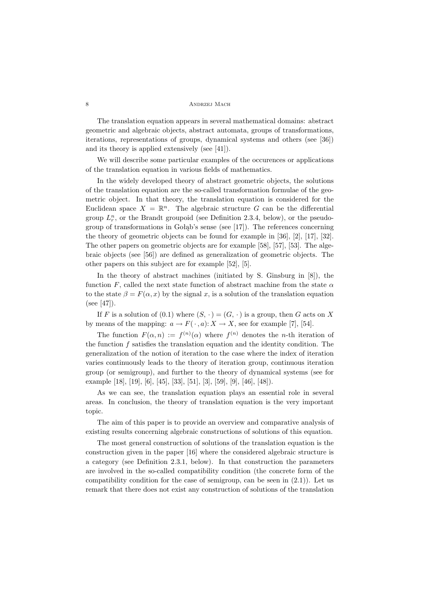The translation equation appears in several mathematical domains: abstract geometric and algebraic objects, abstract automata, groups of transformations, iterations, representations of groups, dynamical systems and others (see [36]) and its theory is applied extensively (see [41]).

We will describe some particular examples of the occurences or applications of the translation equation in various fields of mathematics.

In the widely developed theory of abstract geometric objects, the solutions of the translation equation are the so-called transformation formulae of the geometric object. In that theory, the translation equation is considered for the Euclidean space  $X = \mathbb{R}^n$ . The algebraic structure G can be the differential group  $L_r^n$ , or the Brandt groupoid (see Definition 2.3.4, below), or the pseudogroup of transformations in Gołąb's sense (see [17]). The references concerning the theory of geometric objects can be found for example in  $[36]$ ,  $[2]$ ,  $[17]$ ,  $[32]$ . The other papers on geometric objects are for example [58], [57], [53]. The algebraic objects (see [56]) are defined as generalization of geometric objects. The other papers on this subject are for example [52], [5].

In the theory of abstract machines (initiated by S. Ginsburg in [8]), the function *F*, called the next state function of abstract machine from the state *α* to the state  $\beta = F(\alpha, x)$  by the signal x, is a solution of the translation equation (see [47]).

If *F* is a solution of (0.1) where  $(S, \cdot) = (G, \cdot)$  is a group, then *G* acts on *X* by means of the mapping:  $a \to F(\cdot, a): X \to X$ , see for example [7], [54].

The function  $F(\alpha, n) := f^{(n)}(\alpha)$  where  $f^{(n)}$  denotes the *n*-th iteration of the function *f* satisfies the translation equation and the identity condition. The generalization of the notion of iteration to the case where the index of iteration varies continuously leads to the theory of iteration group, continuous iteration group (or semigroup), and further to the theory of dynamical systems (see for example [18], [19], [6], [45], [33], [51], [3], [59], [9], [46], [48]).

As we can see, the translation equation plays an essential role in several areas. In conclusion, the theory of translation equation is the very important topic.

The aim of this paper is to provide an overview and comparative analysis of existing results concerning algebraic constructions of solutions of this equation.

The most general construction of solutions of the translation equation is the construction given in the paper [16] where the considered algebraic structure is a category (see Definition 2.3.1, below). In that construction the parameters are involved in the so-called compatibility condition (the concrete form of the compatibility condition for the case of semigroup, can be seen in  $(2.1)$ ). Let us remark that there does not exist any construction of solutions of the translation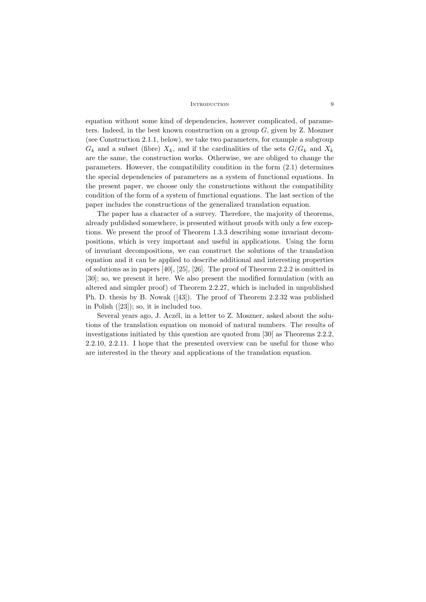#### INTRODUCTION 9

equation without some kind of dependencies, however complicated, of parameters. Indeed, in the best known construction on a group *G*, given by Z. Moszner (see Construction 2.1.1, below), we take two parameters, for example a subgroup  $G_k$  and a subset (fibre)  $X_k$ , and if the cardinalities of the sets  $G/G_k$  and  $X_k$ are the same, the construction works. Otherwise, we are obliged to change the parameters. However, the compatibility condition in the form (2.1) determines the special dependencies of parameters as a system of functional equations. In the present paper, we choose only the constructions without the compatibility condition of the form of a system of functional equations. The last section of the paper includes the constructions of the generalized translation equation.

The paper has a character of a survey. Therefore, the majority of theorems, already published somewhere, is presented without proofs with only a few exceptions. We present the proof of Theorem 1.3.3 describing some invariant decompositions, which is very important and useful in applications. Using the form of invariant decompositions, we can construct the solutions of the translation equation and it can be applied to describe additional and interesting properties of solutions as in papers [40], [25], [26]. The proof of Theorem 2.2.2 is omitted in [30]; so, we present it here. We also present the modified formulation (with an altered and simpler proof) of Theorem 2.2.27, which is included in unpublished Ph. D. thesis by B. Nowak ([43]). The proof of Theorem 2.2.32 was published in Polish ([23]); so, it is included too.

Several years ago, J. Aczél, in a letter to Z. Moszner, asked about the solutions of the translation equation on monoid of natural numbers. The results of investigations initiated by this question are quoted from [30] as Theorems 2.2.2, 2.2.10, 2.2.11. I hope that the presented overview can be useful for those who are interested in the theory and applications of the translation equation.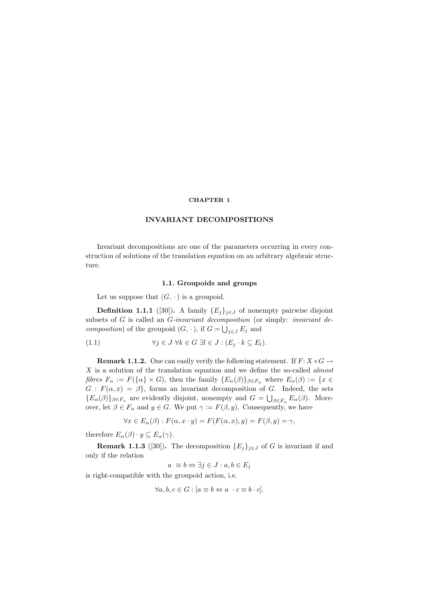#### **CHAPTER 1**

Invariant decompositions are one of the parameters occurring in every construction of solutions of the translation equation on an arbitrary algebraic structure.

### **1.1. Groupoids and groups**

Let us suppose that  $(G, \cdot)$  is a groupoid.

**Definition 1.1.1** ([30]). A family  ${E_i}_{i \in J}$  of nonempty pairwise disjoint subsets of *G* is called an *G-invariant decomposition* (or simply: *invariant decomposition*) of the groupoid  $(G, \cdot)$ , if  $G = \bigcup_{j \in J} E_j$  and

(1.1) 
$$
\forall j \in J \ \forall k \in G \ \exists l \in J : (E_j \cdot k \subseteq E_l).
$$

**Remark 1.1.2.** One can easily verify the following statement. If  $F: X \times G \rightarrow$ *X* is a solution of the translation equation and we define the so-called *almost* fibres  $F_{\alpha} := F(\{\alpha\} \times G)$ , then the family  $\{E_{\alpha}(\beta)\}_{{\beta \in F_{\alpha}}}$  where  $E_{\alpha}(\beta) := \{x \in$  $G: F(\alpha, x) = \beta\}$ , forms an invariant decomposition of *G*. Indeed, the sets  ${E_{\alpha}(\beta)}_{\beta \in F_{\alpha}}$  are evidently disjoint, nonempty and  $G = \bigcup_{\beta \in F_{\alpha}} E_{\alpha}(\beta)$ . Moreover, let  $\beta \in F_\alpha$  and  $y \in G$ . We put  $\gamma := F(\beta, y)$ . Consequently, we have

$$
\forall x \in E_\alpha(\beta): F(\alpha, x \cdot y) = F(F(\alpha, x), y) = F(\beta, y) = \gamma,
$$

therefore  $E_{\alpha}(\beta) \cdot y \subseteq E_{\alpha}(\gamma)$ .

**Remark 1.1.3** ([30]). The decomposition  ${E_j}_{j \in J}$  of *G* is invariant if and only if the relation

$$
a \equiv b \Leftrightarrow \exists j \in J : a, b \in E_j
$$

is right-compatible with the groupoid action, i.e.

$$
\forall a, b, c \in G : [a \equiv b \Leftrightarrow a \cdot c \equiv b \cdot c].
$$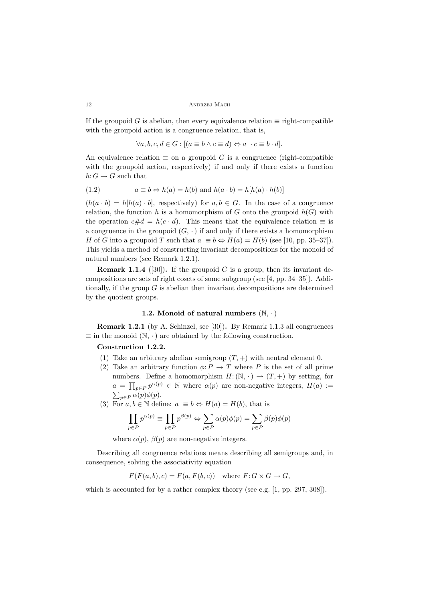If the groupoid *G* is abelian, then every equivalence relation  $\equiv$  right-compatible with the groupoid action is a congruence relation, that is,

$$
\forall a, b, c, d \in G : [(a \equiv b \land c \equiv d) \Leftrightarrow a \quad c \equiv b \cdot d].
$$

An equivalence relation  $\equiv$  on a groupoid *G* is a congruence (right-compatible with the groupoid action, respectively) if and only if there exists a function  $h\text{:} G \to G$  such that

(1.2) 
$$
a \equiv b \Leftrightarrow h(a) = h(b) \text{ and } h(a \cdot b) = h[h(a) \cdot h(b)]
$$

 $(h(a \cdot b) = h[h(a) \cdot b]$ , respectively) for  $a, b \in G$ . In the case of a congruence relation, the function *h* is a homomorphism of *G* onto the groupoid  $h(G)$  with the operation  $c \# d = h(c \cdot d)$ . This means that the equivalence relation  $\equiv$  is a congruence in the groupoid  $(G, \cdot)$  if and only if there exists a homomorphism *H* of *G* into a groupoid *T* such that  $a \equiv b \Leftrightarrow H(a) = H(b)$  (see [10, pp. 35–37]). This yields a method of constructing invariant decompositions for the monoid of natural numbers (see Remark 1.2.1).

**Remark 1.1.4** ([30]). If the groupoid  $G$  is a group, then its invariant decompositions are sets of right cosets of some subgroup (see [4, pp. 34–35]). Additionally, if the group *G* is abelian then invariant decompositions are determined by the quotient groups.

# **1.2. Monoid of natural numbers** (N*, ·*)

**Remark 1.2.1** (by A. Schinzel, see [30])**.** By Remark 1.1.3 all congruences *<sup>≡</sup>* in the monoid (N*, ·*) are obtained by the following construction.

- (1) Take an arbitrary abelian semigroup  $(T, +)$  with neutral element 0.
- (2) Take an arbitrary function  $\phi: P \to T$  where *P* is the set of all prime numbers. Define a homomorphism  $H: (\mathbb{N}, \cdot) \to (T, +)$  by setting, for  $a = \prod_{p \in P} p^{\alpha(p)} \in \mathbb{N}$  where  $\alpha(p)$  are non-negative integers,  $H(a) :=$  $\sum_{p \in P} \alpha(p) \phi(p)$ .
- (3) For  $a, b \in \mathbb{N}$  define:  $a \equiv b \Leftrightarrow H(a) = H(b)$ , that is

$$
\prod_{p \in P} p^{\alpha(p)} \equiv \prod_{p \in P} p^{\beta(p)} \Leftrightarrow \sum_{p \in P} \alpha(p)\phi(p) = \sum_{p \in P} \beta(p)\phi(p)
$$

where  $\alpha(p)$ ,  $\beta(p)$  are non-negative integers.

Describing all congruence relations means describing all semigroups and, in consequence, solving the associativity equation

 $F(F(a, b), c) = F(a, F(b, c))$  where  $F: G \times G \rightarrow G$ ,

which is accounted for by a rather complex theory (see e.g. [1, pp. 297, 308]).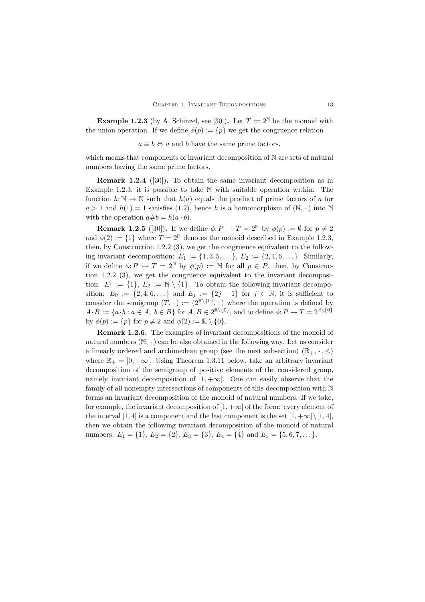**Example 1.2.3** (by A. Schinzel, see [30]). Let  $T := 2^{\mathbb{N}}$  be the monoid with the union operation. If we define  $\phi(p) := \{p\}$  we get the congruence relation

 $a \equiv b \Leftrightarrow a$  and *b* have the same prime factors,

which means that components of invariant decomposition of N are sets of natural numbers having the same prime factors.

**Remark 1.2.4** ([30])**.** To obtain the same invariant decomposition as in Example 1.2.3, it is possible to take  $\mathbb N$  with suitable operation within. The function  $h: \mathbb{N} \to \mathbb{N}$  such that  $h(a)$  equals the product of prime factors of *a* for  $a > 1$  and  $h(1) = 1$  satisfies (1.2), hence *h* is a homomorphism of  $(N, \cdot)$  into N with the operation  $a \# b = h(a \cdot b)$ .

**Remark 1.2.5** ([30]). If we define  $\phi: P \to T = 2^{\mathbb{N}}$  by  $\phi(p) := \emptyset$  for  $p \neq 2$ <br>  $\phi(2) := \emptyset$  where  $T = 2^{\mathbb{N}}$  denotes the monoid described in Example 1.2.2. and  $\phi(2) := \{1\}$  where  $T = 2^{\mathbb{N}}$  denotes the monoid described in Example 1.2.3, then, by Construction 1.2.2 (3), we get the congruence equivalent to the following invariant decomposition:  $E_1 := \{1, 3, 5, ...\}$ ,  $E_2 := \{2, 4, 6, ...\}$ . Similarly, if we define  $\phi: P \to T = 2^{\mathbb{N}}$  by  $\phi(p) := \mathbb{N}$  for all  $p \in P$ , then, by Construction 1.2.2 (3), we get the congruence equivalent to the invariant decomposition:  $E_1 := \{1\}, E_2 := \mathbb{N} \setminus \{1\}.$  To obtain the following invariant decomposition:  $E_0 := \{2, 4, 6, ...\}$  and  $E_j := \{2j - 1\}$  for  $j \in \mathbb{N}$ , it is sufficient to consider the semigroup  $(T, \cdot) := (2^{\mathbb{R}\setminus\{0\}}, \cdot)$  where the operation is defined by  $A \cdot B := \{a \cdot b : a \in A, b \in B\}$  for  $A, B \in 2^{\mathbb{R} \setminus \{0\}}$ , and to define  $\phi: P \to T = 2^{\mathbb{R} \setminus \{0\}}$ by  $\phi(p) := \{p\}$  for  $p \neq 2$  and  $\phi(2) := \mathbb{R} \setminus \{0\}.$ 

**Remark 1.2.6.** The examples of invariant decompositions of the monoid of natural numbers  $(N, \cdot)$  can be also obtained in the following way. Let us consider a linearly ordered and archimedean group (see the next subsection) ( $\mathbb{R}_+$ ,  $\cdot$ ,  $\leq$ ) where  $\mathbb{R}_+ = [0, +\infty]$ . Using Theorem 1.3.11 below, take an arbitrary invariant decomposition of the semigroup of positive elements of the considered group, namely invariant decomposition of  $[1, +\infty]$ . One can easily observe that the family of all nonempty intersections of components of this decomposition with N forms an invariant decomposition of the monoid of natural numbers. If we take, for example, the invariant decomposition of  $[1, +\infty]$  of the form: every element of the interval [1, 4] is a component and the last component is the set  $[1, +\infty)$  [1, 4], then we obtain the following invariant decomposition of the monoid of natural numbers:  $E_1 = \{1\}, E_2 = \{2\}, E_3 = \{3\}, E_4 = \{4\}$  and  $E_5 = \{5, 6, 7, \ldots\}$ .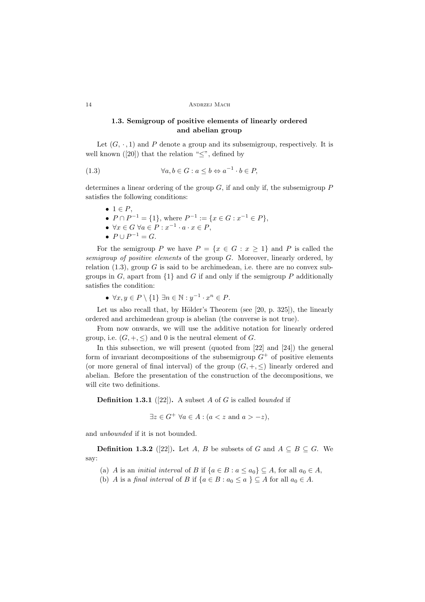# **1.3. Semigroup of positive elements of linearly ordered and abelian group**

Let  $(G, \cdot, 1)$  and P denote a group and its subsemigroup, respectively. It is well known ([20]) that the relation "*≤*", defined by

(1.3) 
$$
\forall a, b \in G : a \leq b \Leftrightarrow a^{-1} \cdot b \in P,
$$

determines a linear ordering of the group *G*, if and only if, the subsemigroup *P* satisfies the following conditions:

- *•* <sup>1</sup> *<sup>∈</sup> <sup>P</sup>*, *•*  $P \cap P^{-1} = \{1\}$ , where  $P^{-1} := \{x \in G : x^{-1} \in P\}$ ,  $\forall x \in G \ \forall a \in P : x^{-1} \cdot a \cdot x \in P.$
- $P \cup P^{-1} = G$ .

For the semigroup *P* we have  $P = \{x \in G : x \ge 1\}$  and *P* is called the *semigroup of positive elements* of the group *G*. Moreover, linearly ordered, by relation  $(1.3)$ , group *G* is said to be archimedean, i.e. there are no convex subgroups in  $G$ , apart from  $\{1\}$  and  $G$  if and only if the semigroup  $P$  additionally satisfies the condition:

*• ∀x, y <sup>∈</sup> <sup>P</sup> \ {*1*} ∃<sup>n</sup> <sup>∈</sup>* <sup>N</sup> : *<sup>y</sup>−*<sup>1</sup> *· <sup>x</sup><sup>n</sup> <sup>∈</sup> <sup>P</sup>*.

Let us also recall that, by Hölder's Theorem (see  $[20, p. 325]$ ), the linearly ordered and archimedean group is abelian (the converse is not true).

From now onwards, we will use the additive notation for linearly ordered group, i.e.  $(G, +, \leq)$  and 0 is the neutral element of *G*.

In this subsection, we will present (quoted from [22] and [24]) the general form of invariant decompositions of the subsemigroup  $G^+$  of positive elements (or more general of final interval) of the group  $(G, +, \leq)$  linearly ordered and abelian. Before the presentation of the construction of the decompositions, we will cite two definitions.

**Definition 1.3.1** ([22])**.** A subset *<sup>A</sup>* of *<sup>G</sup>* is called *bounded* if

$$
\exists z \in G^+ \,\,\forall a \in A : (a < z \text{ and } a > -z),
$$

and *unbounded* if it is not bounded.

**Definition 1.3.2** ([22]). Let *A*, *B* be subsets of *G* and  $A \subseteq B \subseteq G$ . We say:

- (a) *A* is an *initial interval* of *B* if  $\{a \in B : a \le a_0\} \subseteq A$ , for all  $a_0 \in A$ ,
- (b) *A* is a *final interval* of *B* if  $\{a \in B : a_0 \le a\} \subseteq A$  for all  $a_0 \in A$ .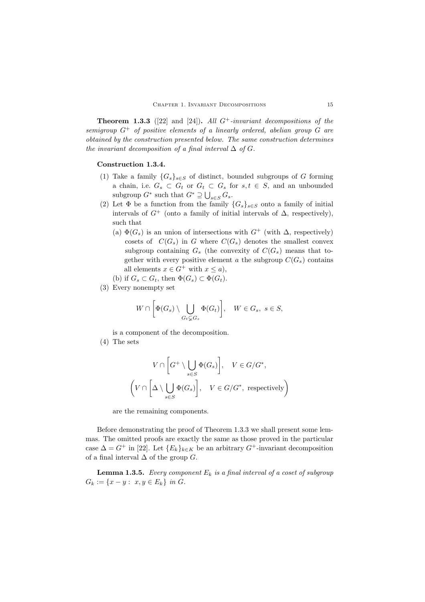**Theorem 1.3.3** ([22] and [24]). *All*  $G^+$ -invariant decompositions of the *semigroup G*<sup>+</sup> *of positive elements of a linearly ordered, abelian group G are obtained by the construction presented below. The same construction determines the invariant decomposition of a final interval*  $\Delta$  *of*  $G$ *.* 

- (1) Take a family  ${G_s}_{s \in S}$  of distinct, bounded subgroups of *G* forming a chain, i.e.  $G_s \subset G_t$  or  $G_t \subset G_s$  for  $s, t \in S$ , and an unbounded subgroup  $G^*$  such that  $G^* \supseteq \bigcup_{s \in S} G_s$ .
- (2) Let  $\Phi$  be a function from the family  $\{G_s\}_{s\in S}$  onto a family of initial intervals of  $G^+$  (onto a family of initial intervals of  $\Delta$ , respectively), such that
	- (a)  $\Phi(G_s)$  is an union of intersections with  $G^+$  (with  $\Delta$ , respectively) cosets of  $C(G_s)$  in *G* where  $C(G_s)$  denotes the smallest convex subgroup containing  $G_s$  (the convexity of  $C(G_s)$ ) means that together with every positive element *a* the subgroup  $C(G_s)$  contains all elements  $x \in G^+$  with  $x \leq a$ ,
	- (b) if  $G_s \subset G_t$ , then  $\Phi(G_s) \subset \Phi(G_t)$ .
- (3) Every nonempty set

$$
W \cap \left[\Phi(G_s) \setminus \bigcup_{G_t \subsetneq G_s} \Phi(G_t)\right], \quad W \in G_s, \ s \in S,
$$

is a component of the decomposition.

(4) The sets

$$
V \cap \left[G^+ \setminus \bigcup_{s \in S} \Phi(G_s)\right], \quad V \in G/G^*,
$$

$$
\left(V \cap \left[\Delta \setminus \bigcup_{s \in S} \Phi(G_s)\right], \quad V \in G/G^*, \text{ respectively}\right)
$$

are the remaining components.

Before demonstrating the proof of Theorem 1.3.3 we shall present some lemmas. The omitted proofs are exactly the same as those proved in the particular case  $\Delta = G^+$  in [22]. Let  ${E_k}_{k \in K}$  be an arbitrary  $G^+$ -invariant decomposition of a final interval ∆ of the group *G*.

**Lemma 1.3.5.** *Every component*  $E_k$  *is a final interval of a coset of subgroup*  $G_k := \{x - y : x, y \in E_k\}$  *in*  $G$ *.*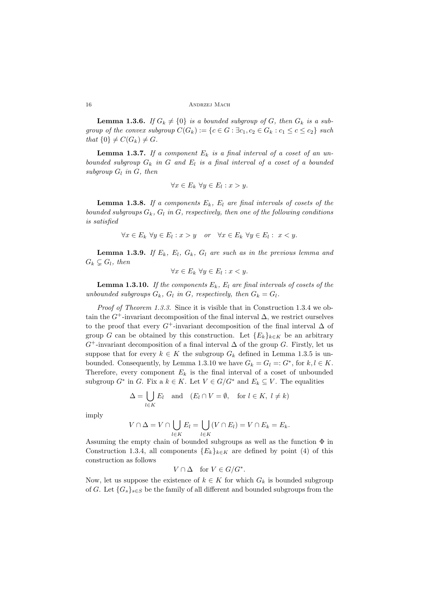**Lemma 1.3.6.** *If*  $G_k \neq \{0\}$  *is a bounded subgroup of G, then*  $G_k$  *is a sub*group of the convex subgroup  $C(G_k) := \{c \in G : \exists c_1, c_2 \in G_k : c_1 \leq c \leq c_2\}$  such *that*  $\{0\} \neq C(G_k) \neq G$ *.* 

**Lemma 1.3.7.** If a component  $E_k$  is a final interval of a coset of an un*bounded subgroup G<sup>k</sup> in G and E<sup>l</sup> is a final interval of a coset of a bounded subgroup*  $G_l$  *in*  $G$ *, then* 

$$
\forall x \in E_k \ \forall y \in E_l : x > y.
$$

**Lemma 1.3.8.** *If a components*  $E_k$ *,*  $E_l$  *are final intervals of cosets of the bounded subgroups Gk, G<sup>l</sup> in G, respectively, then one of the following conditions is satisfied*

$$
\forall x \in E_k \ \forall y \in E_l: x > y \quad or \quad \forall x \in E_k \ \forall y \in E_l: \ x < y.
$$

**Lemma 1.3.9.** If  $E_k$ ,  $E_l$ ,  $G_k$ ,  $G_l$  are such as in the previous lemma and  $G_k \subseteq G_l$ , then

$$
\forall x \in E_k \ \forall y \in E_l : x < y.
$$

**Lemma 1.3.10.** *If the components*  $E_k$ *,*  $E_l$  *are final intervals of cosets of the unbounded subgroups*  $G_k$ ,  $G_l$  *in*  $G$ *, respectively, then*  $G_k = G_l$ *.* 

*Proof of Theorem 1.3.3.* Since it is visible that in Construction 1.3.4 we obtain the  $G^+$ -invariant decomposition of the final interval  $\Delta$ , we restrict ourselves to the proof that every  $G^+$ -invariant decomposition of the final interval  $\Delta$  of group *G* can be obtained by this construction. Let  ${E_k}_{k \in K}$  be an arbitrary *G*+-invariant decomposition of a final interval ∆ of the group *G*. Firstly, let us suppose that for every  $k \in K$  the subgroup  $G_k$  defined in Lemma 1.3.5 is unbounded. Consequently, by Lemma 1.3.10 we have  $G_k = G_l =: G^*$ , for  $k, l \in K$ . Therefore, every component  $E_k$  is the final interval of a coset of unbounded subgroup  $G^*$  in  $G$ . Fix a  $k \in K$ . Let  $V \in G/G^*$  and  $E_k \subseteq V$ . The equalities

$$
\Delta = \bigcup_{l \in K} E_l \quad \text{and} \quad (E_l \cap V = \emptyset, \quad \text{for } l \in K, \ l \neq k)
$$

imply

$$
V \cap \Delta = V \cap \bigcup_{l \in K} E_l = \bigcup_{l \in K} (V \cap E_l) = V \cap E_k = E_k.
$$

*l*∈*K l∈K*<br>Assuming the empty chain of bounded subgroups as well as the function Φ in Construction 1.3.4, all components  ${E_k}_{k \in K}$  are defined by point (4) of this construction as follows

$$
V\cap \Delta\quad\text{for }V\in G/G^*.
$$

Now, let us suppose the existence of  $k \in K$  for which  $G_k$  is bounded subgroup of *G*. Let  ${G_s}_{s \in S}$  be the family of all different and bounded subgroups from the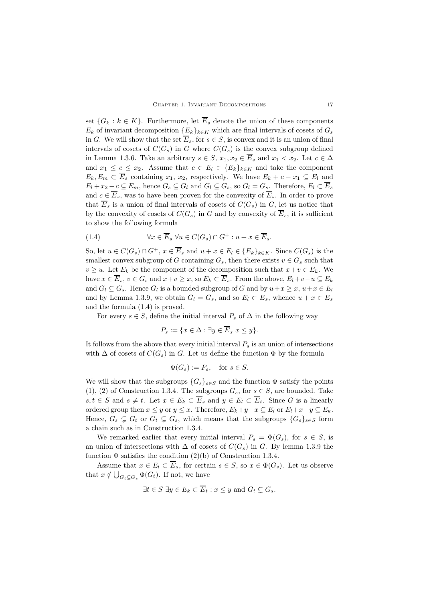set  ${G_k : k \in K}$ . Furthermore, let  $\overline{E}_s$  denote the union of these components  $E_k$  of invariant decomposition  ${E_k}_{k \in K}$  which are final intervals of cosets of  $G_s$ in *G*. We will show that the set  $\overline{E}_s$ , for  $s \in S$ , is convex and it is an union of final intervals of cosets of  $C(G_s)$  in *G* where  $C(G_s)$  is the convex subgroup defined in Lemma 1.3.6. Take an arbitrary  $s \in S$ ,  $x_1, x_2 \in \overline{E}_s$  and  $x_1 < x_2$ . Let  $c \in \Delta$ and  $x_1 \leq c \leq x_2$ . Assume that  $c \in E_l \in \{E_k\}_{k \in K}$  and take the component  $E_k, E_m \subset \overline{E}_s$  containing *x*<sub>1</sub>, *x*<sub>2</sub>, respectively. We have  $E_k + c - x_1 \subseteq E_l$  and  $E_l + x_2 - c \subseteq E_m$ , hence  $G_s \subseteq G_l$  and  $G_l \subseteq G_s$ , so  $G_l = G_s$ . Therefore,  $E_l \subset \overline{E}_s$ and  $c \in \overline{E}_s$ , was to have been proven for the convexity of  $\overline{E}_s$ . In order to prove that  $\overline{E}_s$  is a union of final intervals of cosets of  $C(G_s)$  in *G*, let us notice that by the convexity of cosets of  $C(G_s)$  in *G* and by convexity of  $\overline{E}_s$ , it is sufficient to show the following formula

(1.4) 
$$
\forall x \in \overline{E}_s \ \forall u \in C(G_s) \cap G^+ : u + x \in \overline{E}_s.
$$

So, let  $u \in C(G_s) \cap G^+$ ,  $x \in \overline{E}_s$  and  $u + x \in E_l \in \{E_k\}_{k \in K}$ . Since  $C(G_s)$  is the smallest convex subgroup of *G* containing  $G_s$ , then there exists  $v \in G_s$  such that  $v \geq u$ . Let  $E_k$  be the component of the decomposition such that  $x + v \in E_k$ . We have  $x \in \overline{E}_s$ ,  $v \in G_s$  and  $x + v \ge x$ , so  $E_k \subset \overline{E}_s$ . From the above,  $E_l + v - u \subseteq E_k$ and  $G_l \subseteq G_s$ . Hence  $G_l$  is a bounded subgroup of *G* and by  $u+x \geq x$ ,  $u+x \in E_l$ and by Lemma 1.3.9, we obtain  $G_l = G_s$ , and so  $E_l \subset \overline{E}_s$ , whence  $u + x \in \overline{E}_s$ and the formula (1.4) is proved.

For every  $s \in S$ , define the initial interval  $P_s$  of  $\Delta$  in the following way

$$
P_s := \{ x \in \Delta : \exists y \in \overline{E}_s \ x \le y \}.
$$

It follows from the above that every initial interval  $P_s$  is an union of intersections with  $\Delta$  of cosets of  $C(G_s)$  in *G*. Let us define the function  $\Phi$  by the formula

$$
\Phi(G_s) := P_s, \quad \text{for } s \in S.
$$

We will show that the subgroups  ${G_s}_{s \in S}$  and the function  $\Phi$  satisfy the points (1), (2) of Construction 1.3.4. The subgroups  $G_s$ , for  $s \in S$ , are bounded. Take *s*, *t*  $\in$  *S* and *s*  $\neq$  *t*. Let *x*  $\in$  *E<sub>k</sub>*  $\subset$   $\overline{E}_s$  and *y*  $\in$  *E<sub>l</sub>*  $\subset$   $\overline{E}_t$ . Since *G* is a linearly ordered group then  $x \le y$  or  $y \le x$ . Therefore,  $E_k + y - x \subseteq E_l$  or  $E_l + x - y \subseteq E_k$ . Hence,  $G_s \subsetneq G_t$  or  $G_t \subsetneq G_s$ , which means that the subgroups  $\{G_s\}_{s \in S}$  form a chain such as in Construction 1.3.4.

We remarked earlier that every initial interval  $P_s = \Phi(G_s)$ , for  $s \in S$ , is an union of intersections with  $\Delta$  of cosets of  $C(G_s)$  in *G*. By lemma 1.3.9 the function  $\Phi$  satisfies the condition (2)(b) of Construction 1.3.4.

Assume that  $x \in E_l \subset \overline{E}_s$ , for certain  $s \in S$ , so  $x \in \Phi(G_s)$ . Let us observe that  $x \notin \bigcup_{G_t \subsetneq G_s} \Phi(G_t)$ . If not, we have

$$
\exists t \in S \; \exists y \in E_k \subset \overline{E}_t : x \leq y \text{ and } G_t \subsetneq G_s.
$$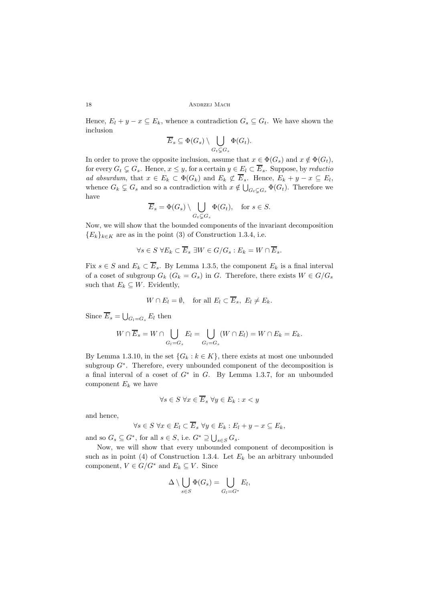Hence,  $E_l + y - x \subseteq E_k$ , whence a contradiction  $G_s \subseteq G_t$ . We have shown the inclusion

$$
\overline{E}_s \subseteq \Phi(G_s) \setminus \bigcup_{G_t \subsetneq G_s} \Phi(G_t).
$$

In order to prove the opposite inclusion, assume that  $x \in \Phi(G_s)$  and  $x \notin \Phi(G_t)$ , for every  $G_t \subsetneq G_s$ . Hence,  $x \leq y$ , for a certain  $y \in E_l \subset \overline{E}_s$ . Suppose, by *reductio ad absurdum*, that  $x \in E_k \subset \Phi(G_k)$  and  $E_k \not\subset \overline{E}_s$ . Hence,  $E_k + y - x \subseteq E_l$ , whence  $G_k \subsetneq G_s$  and so a contradiction with  $x \notin \bigcup_{G_t \subsetneq G_s} \Phi(G_t)$ . Therefore we have

$$
\overline{E}_s = \Phi(G_s) \setminus \bigcup_{G_t \subsetneq G_s} \Phi(G_t), \quad \text{for } s \in S.
$$

Now, we will show that the bounded components of the invariant decomposition  ${E_k}_{k \in K}$  are as in the point (3) of Construction 1.3.4, i.e.

$$
\forall s \in S \ \forall E_k \subset \overline{E}_s \ \exists W \in G/G_s : E_k = W \cap \overline{E}_s.
$$

Fix  $s \in S$  and  $E_k \subset \overline{E}_s$ . By Lemma 1.3.5, the component  $E_k$  is a final interval of a coset of subgroup  $G_k$  ( $G_k = G_s$ ) in *G*. Therefore, there exists  $W \in G/G_s$ such that  $E_k \subseteq W$ . Evidently,

$$
W \cap E_l = \emptyset, \quad \text{for all } E_l \subset \overline{E}_s, \ E_l \neq E_k.
$$

Since  $\overline{E}_s = \bigcup_{G_l = G_s} E_l$  then

$$
W \cap \overline{E}_s = W \cap \bigcup_{G_l = G_s} E_l = \bigcup_{G_l = G_s} (W \cap E_l) = W \cap E_k = E_k.
$$

By Lemma 1.3.10, in the set  ${G_k : k \in K}$ , there exists at most one unbounded subgroup  $G^*$ . Therefore, every unbounded component of the decomposition is a final interval of a coset of *G<sup>∗</sup>* in *G*. By Lemma 1.3.7, for an unbounded component  $E_k$  we have

$$
\forall s \in S \ \forall x \in \overline{E}_s \ \forall y \in E_k: x < y
$$

and hence,

$$
\forall s \in S \ \forall x \in E_l \subset \overline{E}_s \ \forall y \in E_k : E_l + y - x \subseteq E_k,
$$

and so  $G_s \subseteq G^*$ , for all  $s \in S$ , i.e.  $G^* \supseteq \bigcup_{s \in S} G_s$ .

Now, we will show that every unbounded component of decomposition is such as in point (4) of Construction 1.3.4. Let  $E_k$  be an arbitrary unbounded component,  $V \in G/G^*$  and  $E_k \subseteq V$ . Since

$$
\Delta \setminus \bigcup_{s \in S} \Phi(G_s) = \bigcup_{G_l = G^*} E_l,
$$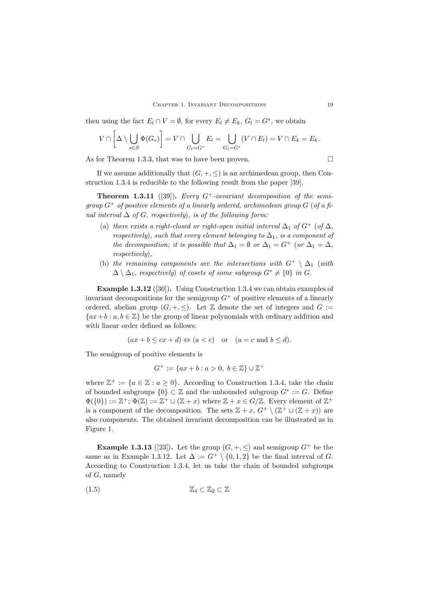then using the fact  $E_l \cap V = \emptyset$ , for every  $E_l \neq E_k$ ,  $G_l = G^*$ , we obtain

$$
V \cap \left[\Delta \setminus \bigcup_{s \in S} \Phi(G_s)\right] = V \cap \bigcup_{G_l = G^*} E_l = \bigcup_{G_l = G^*} (V \cap E_l) = V \cap E_k = E_k.
$$

As for Theorem 1.3.3, that was to have been proven.

If we assume additionally that  $(G, +, \leq)$  is an archimedean group, then Construction 1.3.4 is reducible to the following result from the paper [39].

**Theorem 1.3.11** ([39]). *Every*  $G^+$ -*invariant decomposition of the semigroup*  $G^+$  *of positive elements of a linearly ordered, archimedean group*  $G$  (*of a final interval*  $\Delta$  *of G, respectively), is of the following form:* 

- (a) *there exists a right-closed or right-open initial interval*  $\Delta_1$  *of*  $G^+$  (*of*  $\Delta$ *, respectively), such that every element belonging to*  $\Delta_1$ *, is a component of the decomposition; it is possible that*  $\Delta_1 = \emptyset$  *or*  $\Delta_1 = G^+$  (*or*  $\Delta_1 = \Delta$ *, respectively*)*,*
- (b) *the remaining components are the intersections with*  $G^+ \setminus \Delta_1$  (*with*  $\Delta \setminus \Delta_1$ , respectively) of cosets of some subgroup  $G^* \neq \{0\}$  in  $G$ .

**Example 1.3.12** ([30])**.** Using Construction 1.3.4 we can obtain examples of invariant decompositions for the semigroup  $G^+$  of positive elements of a linearly ordered, abelian group  $(G, +, \leq)$ . Let Z denote the set of integers and  $G :=$ *{ax*+*<sup>b</sup>* : *a, b <sup>∈</sup>* <sup>Z</sup>*}* be the group of linear polynomials with ordinary addition and with linear order defined as follows:

$$
(ax + b \le cx + d) \Leftrightarrow (a < c)
$$
 or  $(a = c$  and  $b \le d)$ .

The semigroup of positive elements is

$$
G^+ := \{ax + b : a > 0, \ b \in \mathbb{Z}\} \cup \mathbb{Z}^+
$$

where  $\mathbb{Z}^+ := \{a \in \mathbb{Z} : a \geq 0\}$ . According to Construction 1.3.4, take the chain of bounded subgroups  $\{0\} \subset \mathbb{Z}$  and the unbounded subgroup  $G^* := G$ . Define  $\Phi({0}) := \mathbb{Z}^+; \Phi(\mathbb{Z}) := \mathbb{Z}^+ \cup (\mathbb{Z} + x)$  where  $\mathbb{Z} + x \in G/\mathbb{Z}$ . Every element of  $\mathbb{Z}^+$ is a component of the decomposition. The sets  $\mathbb{Z} + x$ ,  $G^+ \setminus (\mathbb{Z}^+ \cup (\mathbb{Z} + x))$  are also components. The obtained invariant decomposition can be illustrated as in Figure 1.

**Example 1.3.13** ([23]). Let the group  $(G, +, \leq)$  and semigroup  $G^+$  be the same as in Example 1.3.12. Let  $\Delta := G^+ \setminus \{0, 1, 2\}$  be the final interval of *G*. According to Construction 1.3.4, let us take the chain of bounded subgroups of *G*, namely

$$
(1.5) \t\t\t \mathbb{Z}_4 \subset \mathbb{Z}_2 \subset \mathbb{Z}
$$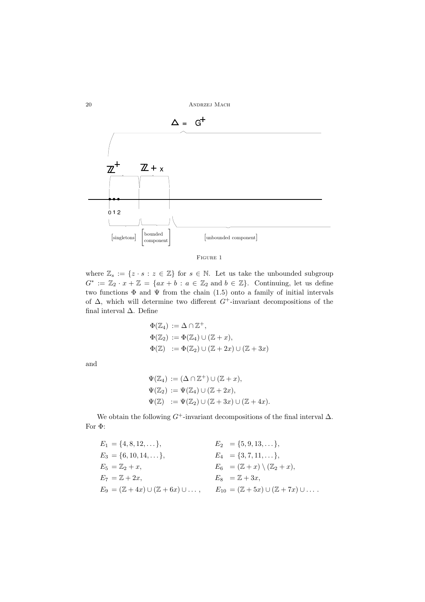



where  $\mathbb{Z}_s := \{ z \cdot s : z \in \mathbb{Z} \}$  for  $s \in \mathbb{N}$ . Let us take the unbounded subgroup  $G^* := \mathbb{Z}_2 \cdot x + \mathbb{Z} = \{ax + b : a \in \mathbb{Z}_2 \text{ and } b \in \mathbb{Z}\}.$  Continuing, let us define two functions  $\Phi$  and  $\Psi$  from the chain (1.5) onto a family of initial intervals of ∆, which will determine two different *G*+-invariant decompositions of the final interval ∆. Define

$$
\Phi(\mathbb{Z}_4) := \Delta \cap \mathbb{Z}^+,
$$
  
\n
$$
\Phi(\mathbb{Z}_2) := \Phi(\mathbb{Z}_4) \cup (\mathbb{Z} + x),
$$
  
\n
$$
\Phi(\mathbb{Z}) := \Phi(\mathbb{Z}_2) \cup (\mathbb{Z} + 2x) \cup (\mathbb{Z} + 3x)
$$

and

$$
\Psi(\mathbb{Z}_4) := (\Delta \cap \mathbb{Z}^+) \cup (\mathbb{Z} + x),
$$
  
\n
$$
\Psi(\mathbb{Z}_2) := \Psi(\mathbb{Z}_4) \cup (\mathbb{Z} + 2x),
$$
  
\n
$$
\Psi(\mathbb{Z}) := \Psi(\mathbb{Z}_2) \cup (\mathbb{Z} + 3x) \cup (\mathbb{Z} + 4x).
$$

We obtain the following  $G^+$ -invariant decompositions of the final interval  $\Delta$ . For Φ:

| $E_1 = \{4, 8, 12, \dots\},\$                                 | $E_2 = \{5, 9, 13, \dots\},\$                                   |
|---------------------------------------------------------------|-----------------------------------------------------------------|
| $E_3 = \{6, 10, 14, \dots\},\$                                | $E_4 = \{3, 7, 11, \ldots\},\$                                  |
| $E_5 = \mathbb{Z}_2 + x$ ,                                    | $E_6 = (\mathbb{Z} + x) \setminus (\mathbb{Z}_2 + x),$          |
| $E_7 = \mathbb{Z} + 2x,$                                      | $E_8 = \mathbb{Z} + 3x$                                         |
| $E_9 = (\mathbb{Z} + 4x) \cup (\mathbb{Z} + 6x) \cup \ldots,$ | $E_{10} = (\mathbb{Z} + 5x) \cup (\mathbb{Z} + 7x) \cup \ldots$ |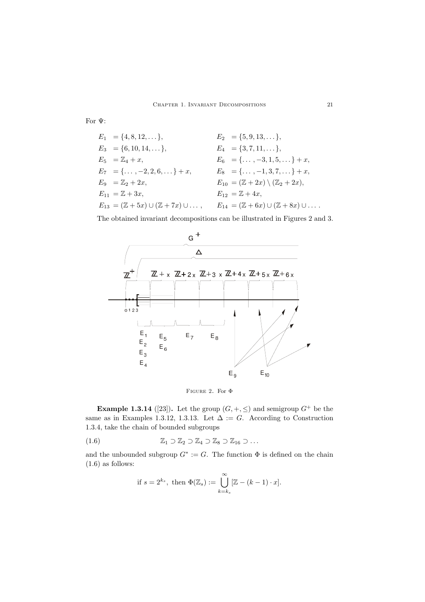For Ψ:

$$
E_1 = \{4, 8, 12, \ldots\},
$$
  
\n
$$
E_2 = \{5, 9, 13, \ldots\},
$$
  
\n
$$
E_3 = \{6, 10, 14, \ldots\},
$$
  
\n
$$
E_4 = \{3, 7, 11, \ldots\},
$$
  
\n
$$
E_5 = \mathbb{Z}_4 + x,
$$
  
\n
$$
E_6 = \{\ldots, -3, 1, 5, \ldots\} + x,
$$
  
\n
$$
E_7 = \{\ldots, -2, 2, 6, \ldots\} + x,
$$
  
\n
$$
E_8 = \{\ldots, -1, 3, 7, \ldots\} + x,
$$
  
\n
$$
E_9 = \mathbb{Z}_2 + 2x,
$$
  
\n
$$
E_{10} = (\mathbb{Z} + 2x) \setminus (\mathbb{Z}_2 + 2x),
$$
  
\n
$$
E_{12} = \mathbb{Z} + 4x,
$$
  
\n
$$
E_{13} = (\mathbb{Z} + 5x) \cup (\mathbb{Z} + 7x) \cup \ldots,
$$
  
\n
$$
E_{14} = (\mathbb{Z} + 6x) \cup (\mathbb{Z} + 8x) \cup \ldots
$$

The obtained invariant decompositions can be illustrated in Figures 2 and 3.



Figure 2. For Φ

**Example 1.3.14** ([23]). Let the group  $(G, +, \leq)$  and semigroup  $G^+$  be the same as in Examples 1.3.12, 1.3.13. Let  $\Delta := G$ . According to Construction 1.3.4, take the chain of bounded subgroups

(1.6) 
$$
\mathbb{Z}_1 \supset \mathbb{Z}_2 \supset \mathbb{Z}_4 \supset \mathbb{Z}_8 \supset \mathbb{Z}_{16} \supset \dots
$$

and the unbounded subgroup  $G^* := G$ . The function  $\Phi$  is defined on the chain  $(1.6)$  as follows:

if 
$$
s = 2^{k_s}
$$
, then  $\Phi(\mathbb{Z}_s) := \bigcup_{k=k_s}^{\infty} [\mathbb{Z} - (k-1) \cdot x].$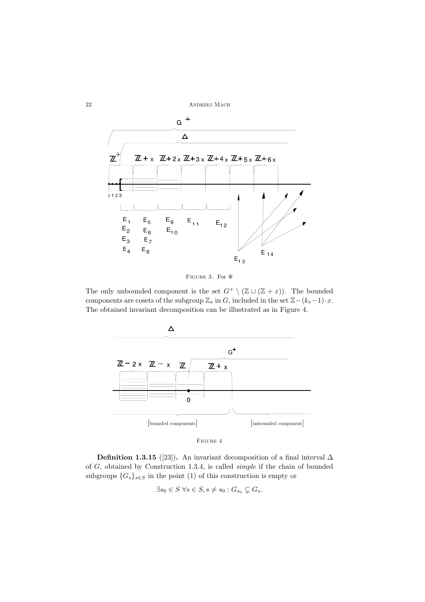22 ANDRZEJ MACH





The only unbounded component is the set  $G^+ \setminus (\mathbb{Z} \cup (\mathbb{Z} + x))$ . The bounded components are cosets of the subgroup  $\mathbb{Z}_s$  in *G*, included in the set  $\mathbb{Z}-(k_s-1)\cdot x$ . The obtained invariant decomposition can be illustrated as in Figure 4.



Figure 4

**Definition 1.3.15** ([23])**.** An invariant decomposition of a final interval  $\Delta$ of *G*, obtained by Construction 1.3.4, is called *simple* if the chain of bounded subgroups  ${G_s}_{s \in S}$  in the point (1) of this construction is empty or

 $\exists s_0 \in S \ \forall s \in S, s \neq s_0 : G_{s_0} \subsetneq G_s.$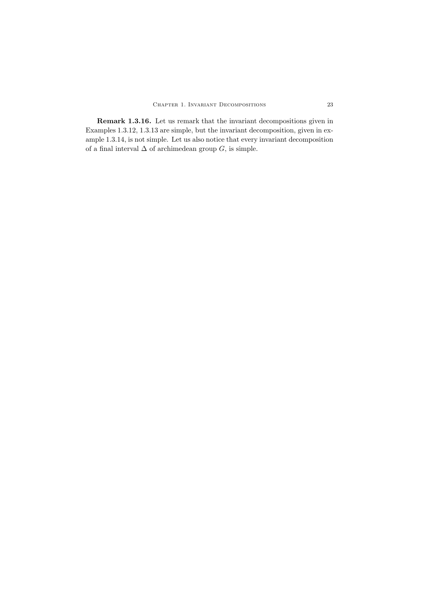**Remark 1.3.16.** Let us remark that the invariant decompositions given in Examples 1.3.12, 1.3.13 are simple, but the invariant decomposition, given in example 1.3.14, is not simple. Let us also notice that every invariant decomposition of a final interval  $\Delta$  of archimedean group  $G,$  is simple.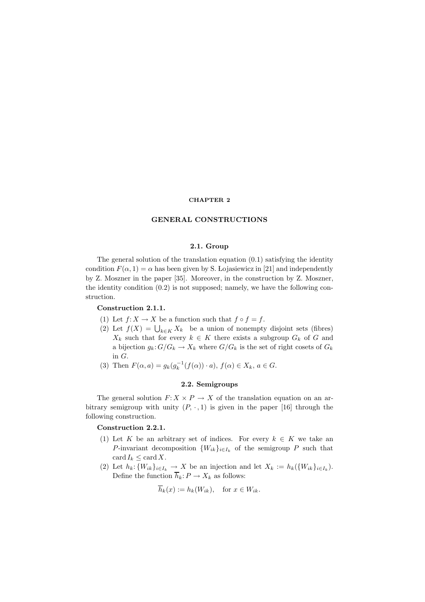#### **CHAPTER 2**

# **2.1. Group**

The general solution of the translation equation (0.1) satisfying the identity condition  $F(\alpha, 1) = \alpha$  has been given by S. Lojasiewicz in [21] and independently by Z. Moszner in the paper [35]. Moreover, in the construction by Z. Moszner, the identity condition (0.2) is not supposed; namely, we have the following construction.

### **Construction 2.1.1.**

- (1) Let  $f: X \to X$  be a function such that  $f \circ f = f$ .
- (2) Let  $f(X) = \bigcup_{k \in K} X_k$  be a union of nonempty disjoint sets (fibres)<br>  $X_k$  such that for avony  $k \in K$  there exists a subgroup  $C_k$  of  $C$  and  $X_k$  such that for every  $k \in K$  there exists a subgroup  $G_k$  of G and a bijection  $g_k: G/G_k \to X_k$  where  $G/G_k$  is the set of right cosets of  $G_k$  in  $G$ . in  $G$ .<br>Then
- (3) Then  $F(\alpha, a) = g_k(g_k^{-1}(f(\alpha)) \cdot a)$ ,  $f(\alpha) \in X_k$ ,  $a \in G$ .

# **2.2. Semigroups**

The general solution  $F: X \times P \to X$  of the translation equation on an arbitrary semigroup with unity  $(P, \cdot, 1)$  is given in the paper [16] through the following construction.

### **Construction 2.2.1.**

- (1) Let K be an arbitrary set of indices. For every  $k \in K$  we take an P-invariant decomposition  $\{W_{ik}\}_{i\in I_k}$  of the semigroup P such that card  $I_k \leq$  card X.
- (2) Let  $h_k: \{W_{ik}\}_{i\in I_k} \to X$  be an injection and let  $X_k := h_k(\{W_{ik}\}_{i\in I_k})$ . Define the function  $\overline{h}_k: P \to X_k$  as follows:

$$
\overline{h}_k(x) := h_k(W_{ik}), \quad \text{for } x \in W_{ik}.
$$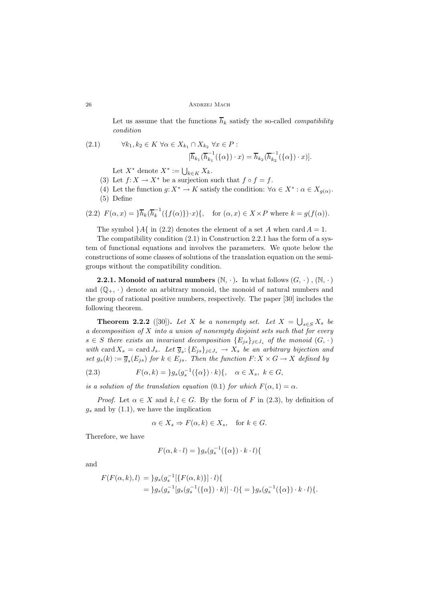Let us assume that the functions  $\overline{h}_k$  satisfy the so-called *compatibility condition*

(2.1) 
$$
\forall k_1, k_2 \in K \ \forall \alpha \in X_{k_1} \cap X_{k_2} \ \forall x \in P : \left[ \overline{h}_{k_1}(\overline{h}_{k_1}^{-1}(\{\alpha\}) \cdot x) = \overline{h}_{k_2}(\overline{h}_{k_2}^{-1}(\{\alpha\}) \cdot x) \right].
$$

Let  $X^*$  denote  $X^* := \bigcup_{k \in K} X_k$ .<br>Let  $f: Y \longrightarrow Y^*$  be a sumption of

- (3) Let  $f: X \to X^*$  be a surjection such that  $f \circ f = f$ .
- (4) Let the function  $g: X^* \to K$  satisfy the condition:  $\forall \alpha \in X^* : \alpha \in X_{g(\alpha)}$ . (5) Define

(2.2) 
$$
F(\alpha, x) = \frac{1}{h_k} \left( \overline{h}_k^{-1} (\{f(\alpha)\}) \cdot x \right), \quad \text{for } (\alpha, x) \in X \times P \text{ where } k = g(f(\alpha)).
$$

The symbol  $A\{$  in (2.2) denotes the element of a set A when card  $A = 1$ .

The compatibility condition (2.1) in Construction 2.2.1 has the form of a system of functional equations and involves the parameters. We quote below the constructions of some classes of solutions of the translation equation on the semigroups without the compatibility condition.

**2.2.1.** Monoid of natural numbers  $(\mathbb{N}, \cdot)$ . In what follows  $(G, \cdot), (\mathbb{N}, \cdot)$ and  $(\mathbb{Q}_+, \cdot)$  denote an arbitrary monoid, the monoid of natural numbers and the group of rational positive numbers, respectively. The paper [30] includes the following theorem.

**Theorem 2.2.2** ([30]). Let X be a nonempty set. Let  $X = \bigcup_{s \in S} X_s$  becomposition of X into a union of popermaty disjoint acts and that for encry*a decomposition of* X *into a union of nonempty disjoint sets such that for every*  $s \in S$  *there exists an invariant decomposition*  ${E_{js}}_{j \in J_s}$  *of the monoid*  $(G, \cdot)$ *with* card  $X_s = \text{card } J_s$ . Let  $\overline{g}_s$ :  $\{E_{js}\}_{j \in J_s} \to X_s$  *be an arbitrary bijection and set*  $g_s(k) := \overline{g}_s(E_{js})$  *for*  $k \in E_{js}$ *. Then the function*  $F: X \times G \rightarrow X$  *defined by* 

(2.3) 
$$
F(\alpha, k) = \{g_s(g_s^{-1}(\{\alpha\}) \cdot k)\}, \quad \alpha \in X_s, \ k \in G,
$$

*is a solution of the translation equation* (0.1) *for which*  $F(\alpha, 1) = \alpha$ *.* 

*Proof.* Let  $\alpha \in X$  and  $k, l \in G$ . By the form of F in (2.3), by definition of  $g_s$  and by  $(1.1)$ , we have the implication

$$
\alpha \in X_s \Rightarrow F(\alpha, k) \in X_s, \quad \text{for } k \in G.
$$

Therefore, we have

$$
F(\alpha, k \cdot l) = \}g_s(g_s^{-1}(\{\alpha\}) \cdot k \cdot l)\{
$$

and

$$
F(F(\alpha, k), l) = \frac{1}{g_s(g_s^{-1}[\{F(\alpha, k)\}]\cdot l)} \{ \newline = \frac{1}{g_s(g_s^{-1}[g_s(g_s^{-1}(\{\alpha\})\cdot k)]\cdot l)} \{ = \frac{1}{g_s(g_s^{-1}(\{\alpha\})\cdot k\cdot l)} \{.
$$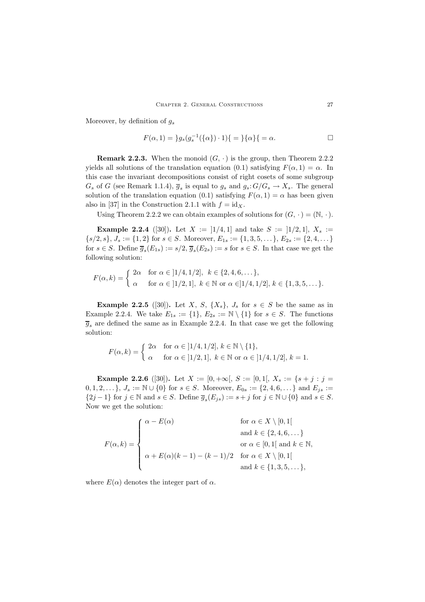Moreover, by definition of  $g_s$ 

$$
F(\alpha, 1) = \frac{1}{g_s(g_s^{-1}(\{\alpha\}) \cdot 1)} = \frac{1}{\{\alpha\}} = \alpha.
$$

**Remark 2.2.3.** When the monoid  $(G, \cdot)$  is the group, then Theorem 2.2.2 yields all solutions of the translation equation (0.1) satisfying  $F(\alpha, 1) = \alpha$ . In this case the invariant decompositions consist of right cosets of some subgroup  $G_s$  of G (see Remark 1.1.4),  $\overline{g}_s$  is equal to  $g_s$  and  $g_s$ :  $G/G_s \to X_s$ . The general solution of the translation equation (0.1) satisfying  $F(\alpha, 1) = \alpha$  has been given also in [37] in the Construction 2.1.1 with  $f = id_X$ .

Using Theorem 2.2.2 we can obtain examples of solutions for  $(G, \cdot)=(\mathbb{N}, \cdot).$ 

**Example 2.2.4** ([30]). Let  $X := \lfloor 1/4, 1 \rfloor$  and take  $S := \lfloor 1/2, 1 \rfloor$ ,  $X_s :=$  $\{s/2, s\}, J_s := \{1, 2\}$  for  $s \in S$ . Moreover,  $E_{1s} := \{1, 3, 5, \dots\}, E_{2s} := \{2, 4, \dots\}$ for  $s \in S$ . Define  $\overline{g}_s(E_{1s}) := s/2$ ,  $\overline{g}_s(E_{2s}) := s$  for  $s \in S$ . In that case we get the following solution:

$$
F(\alpha, k) = \begin{cases} 2\alpha & \text{for } \alpha \in [1/4, 1/2], \ k \in \{2, 4, 6, \dots\}, \\ \alpha & \text{for } \alpha \in [1/2, 1], \ k \in \mathbb{N} \text{ or } \alpha \in [1/4, 1/2], \ k \in \{1, 3, 5, \dots\}. \end{cases}
$$

**Example 2.2.5** ([30]). Let X, S,  $\{X_s\}$ , J<sub>s</sub> for  $s \in S$  be the same as in Example 2.2.4. We take  $E_{1s} := \{1\}, E_{2s} := \mathbb{N} \setminus \{1\}$  for  $s \in S$ . The functions  $\overline{g}_s$  are defined the same as in Example 2.2.4. In that case we get the following solution:

$$
F(\alpha, k) = \begin{cases} 2\alpha & \text{for } \alpha \in [1/4, 1/2], \, k \in \mathbb{N} \setminus \{1\}, \\ \alpha & \text{for } \alpha \in [1/2, 1], \, k \in \mathbb{N} \text{ or } \alpha \in [1/4, 1/2], \, k = 1. \end{cases}
$$

**Example 2.2.6** ([30]). Let  $X := [0, +\infty], S := [0, 1], X_s := \{s + j : j =$ 0, 1, 2,... },  $J_s := \mathbb{N} \cup \{0\}$  for  $s \in S$ . Moreover,  $E_{0s} := \{2, 4, 6, ...\}$  and  $E_{is} :=$  $\{2j-1\}$  for  $j \in \mathbb{N}$  and  $s \in S$ . Define  $\overline{g}_s(E_{js}) := s + j$  for  $j \in \mathbb{N} \cup \{0\}$  and  $s \in S$ . Now we get the solution:

$$
F(\alpha, k) = \begin{cases} \alpha - E(\alpha) & \text{for } \alpha \in X \setminus [0, 1[ \\ & \text{and } k \in \{2, 4, 6, \dots\} \\ & \text{or } \alpha \in [0, 1[ \text{ and } k \in \mathbb{N}, \\ \alpha + E(\alpha)(k - 1) - (k - 1)/2 & \text{for } \alpha \in X \setminus [0, 1[ \\ & \text{and } k \in \{1, 3, 5, \dots\}, \end{cases}
$$

where  $E(\alpha)$  denotes the integer part of  $\alpha$ .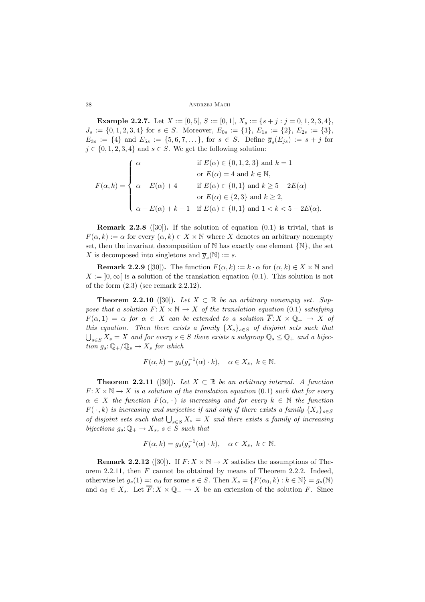**Example 2.2.7.** Let  $X := [0, 5], S := [0, 1], X_s := \{s + j : j = 0, 1, 2, 3, 4\},\$  $J_s := \{0, 1, 2, 3, 4\}$  for  $s \in S$ . Moreover,  $E_{0s} := \{1\}, E_{1s} := \{2\}, E_{2s} := \{3\},$  $E_{3s} := \{4\}$  and  $E_{5s} := \{5, 6, 7, \dots\}$ , for  $s \in S$ . Define  $\overline{g}_s(E_{js}) := s + j$  for  $j \in \{0, 1, 2, 3, 4\}$  and  $s \in S$ . We get the following solution:

$$
F(\alpha, k) = \begin{cases} \alpha & \text{if } E(\alpha) \in \{0, 1, 2, 3\} \text{ and } k = 1 \\ & \text{or } E(\alpha) = 4 \text{ and } k \in \mathbb{N}, \\ \alpha - E(\alpha) + 4 & \text{if } E(\alpha) \in \{0, 1\} \text{ and } k \ge 5 - 2E(\alpha) \\ & \text{or } E(\alpha) \in \{2, 3\} \text{ and } k \ge 2, \\ \alpha + E(\alpha) + k - 1 & \text{if } E(\alpha) \in \{0, 1\} \text{ and } 1 < k < 5 - 2E(\alpha). \end{cases}
$$

**Remark 2.2.8** ([30])**.** If the solution of equation (0.1) is trivial, that is  $F(\alpha, k) := \alpha$  for every  $(\alpha, k) \in X \times \mathbb{N}$  where X denotes an arbitrary nonempty set, then the invariant decomposition of  $\mathbb N$  has exactly one element  $\{\mathbb N\}$ , the set X is decomposed into singletons and  $\overline{q}_s(\mathbb{N}) := s$ .

**Remark 2.2.9** ([30]). The function  $F(\alpha, k) := k \cdot \alpha$  for  $(\alpha, k) \in X \times \mathbb{N}$  and  $X := [0, \infty)$  is a solution of the translation equation (0.1). This solution is not of the form (2.3) (see remark 2.2.12).

**Theorem 2.2.10** ([30]). Let  $X \subset \mathbb{R}$  be an arbitrary nonempty set. Sup*pose that a solution*  $F: X \times \mathbb{N} \to X$  *of the translation equation* (0.1) *satisfying*  $F(\alpha, 1) = \alpha$  for  $\alpha \in X$  can be extended to a solution  $\overline{F}: X \times \mathbb{Q}_+ \to X$  of *this equation. Then there exists a family*  $\{X_s\}_{s\in S}$  *of disjoint sets such that*  $\bigcup_{s \in S} X_s = X$  and for every  $s \in S$  there exists a subgroup  $\mathbb{Q}_s \leq \mathbb{Q}_+$  and a bijection  $g : \mathbb{Q} \to \mathbb{Z}$  for which *tion*  $g_s: \mathbb{Q}_+/\mathbb{Q}_s \to X_s$  *for which* 

$$
F(\alpha, k) = g_s(g_s^{-1}(\alpha) \cdot k), \quad \alpha \in X_s, \ k \in \mathbb{N}.
$$

**Theorem 2.2.11** ([30]). Let  $X \subset \mathbb{R}$  be an arbitrary interval. A function  $F: X \times \mathbb{N} \to X$  *is a solution of the translation equation* (0.1) *such that for every*  $\alpha \in X$  *the function*  $F(\alpha, \cdot)$  *is increasing and for every*  $k \in \mathbb{N}$  *the function*  $F(\cdot, k)$  *is increasing and surjective if and only if there exists a family*  $\{X_s\}_{s\in S}$ *of disjoint sets such that*  $\bigcup_{s \in S} X_s = X$  *and there exists a family of increasing*<br>bioations  $\Omega$  is  $\bigcup_{s \in S} X_s = X$  *and then bijections*  $g_s: \mathbb{Q}_+ \to X_s$ ,  $s \in S$  *such that* 

$$
F(\alpha, k) = g_s(g_s^{-1}(\alpha) \cdot k), \quad \alpha \in X_s, \ k \in \mathbb{N}.
$$

**Remark 2.2.12** ([30]). If  $F: X \times \mathbb{N} \to X$  satisfies the assumptions of Theorem 2.2.11, then  $F$  cannot be obtained by means of Theorem 2.2.2. Indeed, otherwise let  $g_s(1) =: \alpha_0$  for some  $s \in S$ . Then  $X_s = \{F(\alpha_0, k) : k \in \mathbb{N}\} = g_s(\mathbb{N})$ and  $\alpha_0 \in X_s$ . Let  $\overline{F}: X \times \mathbb{Q}_+ \to X$  be an extension of the solution F. Since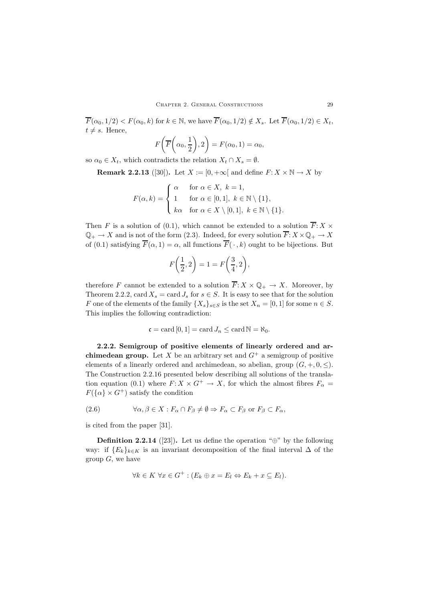$\overline{F}(\alpha_0, 1/2) < F(\alpha_0, k)$  for  $k \in \mathbb{N}$ , we have  $\overline{F}(\alpha_0, 1/2) \notin X_s$ . Let  $\overline{F}(\alpha_0, 1/2) \in X_t$ ,  $t \neq s$ . Hence,

$$
F\bigg(\overline{F}\bigg(\alpha_0,\frac{1}{2}\bigg),2\bigg)=F(\alpha_0,1)=\alpha_0,
$$

so  $\alpha_0 \in X_t$ , which contradicts the relation  $X_t \cap X_s = \emptyset$ .

**Remark 2.2.13** ([30]). Let  $X := [0, +\infty[$  and define  $F: X \times \mathbb{N} \to X$  by

$$
F(\alpha, k) = \begin{cases} \alpha & \text{for } \alpha \in X, \ k = 1, \\ 1 & \text{for } \alpha \in [0, 1], \ k \in \mathbb{N} \setminus \{1\}, \\ k\alpha & \text{for } \alpha \in X \setminus [0, 1], \ k \in \mathbb{N} \setminus \{1\}. \end{cases}
$$

Then F is a solution of (0.1), which cannot be extended to a solution  $\overline{F}: X \times$  $\mathbb{Q}_+ \to X$  and is not of the form (2.3). Indeed, for every solution  $\overline{F}: X \times \mathbb{Q}_+ \to X$ of (0.1) satisfying  $\overline{F}(\alpha, 1) = \alpha$ , all functions  $\overline{F}(\cdot, k)$  ought to be bijections. But

$$
F\left(\frac{1}{2},2\right) = 1 = F\left(\frac{3}{4},2\right),\,
$$

therefore F cannot be extended to a solution  $\overline{F}: X \times \mathbb{Q}_+ \to X$ . Moreover, by Theorem 2.2.2, card  $X_s = \text{card } J_s$  for  $s \in S$ . It is easy to see that for the solution F one of the elements of the family  $\{X_s\}_{s\in S}$  is the set  $X_n = [0,1]$  for some  $n \in S$ . This implies the following contradiction:

$$
\mathfrak{c} = \text{card}\left[0, 1\right] = \text{card}\,J_n \le \text{card}\,\mathbb{N} = \aleph_0.
$$

**2.2.2. Semigroup of positive elements of linearly ordered and archimedean group.** Let X be an arbitrary set and  $G^+$  a semigroup of positive elements of a linearly ordered and archimedean, so abelian, group  $(G, +, 0, <)$ . The Construction 2.2.16 presented below describing all solutions of the translation equation (0.1) where  $F: X \times G^+ \to X$ , for which the almost fibres  $F_\alpha =$  $F({\{\alpha\}\times G^+})$  satisfy the condition

(2.6) 
$$
\forall \alpha, \beta \in X : F_{\alpha} \cap F_{\beta} \neq \emptyset \Rightarrow F_{\alpha} \subset F_{\beta} \text{ or } F_{\beta} \subset F_{\alpha},
$$

is cited from the paper [31].

**Definition 2.2.14** ([23]). Let us define the operation " $\oplus$ " by the following way: if  ${E_k}_{k \in K}$  is an invariant decomposition of the final interval  $\Delta$  of the group  $G$ , we have

$$
\forall k \in K \ \forall x \in G^+ : (E_k \oplus x = E_l \Leftrightarrow E_k + x \subseteq E_l).
$$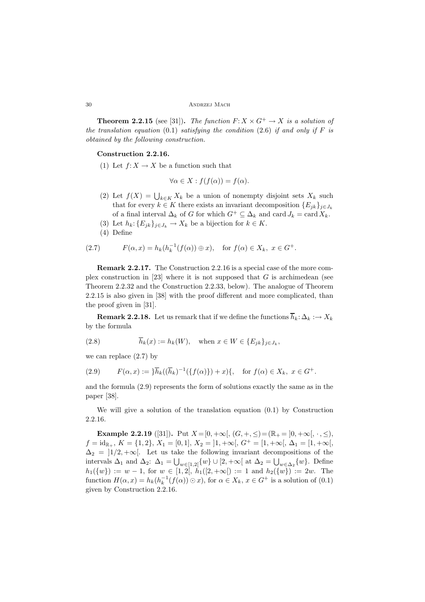**Theorem 2.2.15** (see [31]). *The function*  $F: X \times G^+ \to X$  *is a solution of the translation equation* (0.1) *satisfying the condition* (2.6) *if and only if*  $F$  *is obtained by the following construction.*

### **Construction 2.2.16.**

(1) Let  $f: X \to X$  be a function such that

$$
\forall \alpha \in X : f(f(\alpha)) = f(\alpha).
$$

- (2) Let  $f(X) = \bigcup_{k \in K} X_k$  be a union of nonempty disjoint sets  $X_k$  such that for even  $k \in K$  there exists an inversion decomposition  $\{F_n\}$ that for every  $k \in K$  there exists an invariant decomposition  $\{E_{jk}\}_{j\in J_k}$ of a final interval  $\Delta_k$  of G for which  $G^+ \subseteq \Delta_k$  and card  $J_k = \text{card } X_k$ .
- (3) Let  $h_k: \{E_{jk}\}_{j\in J_k} \to X_k$  be a bijection for  $k \in K$ .
- (4) Define

(2.7) 
$$
F(\alpha, x) = h_k(h_k^{-1}(f(\alpha)) \oplus x), \text{ for } f(\alpha) \in X_k, x \in G^+.
$$

**Remark 2.2.17.** The Construction 2.2.16 is a special case of the more complex construction in  $[23]$  where it is not supposed that G is archimedean (see Theorem 2.2.32 and the Construction 2.2.33, below). The analogue of Theorem 2.2.15 is also given in [38] with the proof different and more complicated, than the proof given in [31].

**Remark 2.2.18.** Let us remark that if we define the functions  $\overline{h}_k: \Delta_k : \rightarrow X_k$ by the formula

(2.8) 
$$
\overline{h}_k(x) := h_k(W), \text{ when } x \in W \in \{E_{jk}\}_{j \in J_k},
$$

we can replace (2.7) by

(2.9) 
$$
F(\alpha, x) := \frac{1}{h_k} (\overline{h}_k)^{-1} (\{f(\alpha)\}) + x) \{ , \text{ for } f(\alpha) \in X_k, x \in G^+.
$$

and the formula (2.9) represents the form of solutions exactly the same as in the paper [38].

We will give a solution of the translation equation (0.1) by Construction 2.2.16.

**Example 2.2.19** ([31]). Put  $X = [0, +\infty[, (G, +, \leq) = (\mathbb{R}_+ = [0, +\infty[, \cdot, \leq),$  $f = id_{\mathbb{R}_+}, K = \{1, 2\}, X_1 = [0, 1], X_2 = [1, +\infty[, G^+ = [1, +\infty[, \Delta_1 = [1, +\infty],$  $\Delta_2 = |1/2, +\infty|$ . Let us take the following invariant decompositions of the intervals  $\Delta_1$  and  $\Delta_2$ :  $\Delta_1 = \bigcup_{w \in [1,2]} \{w\} \cup [2, +\infty]$  at  $\Delta_2 = \bigcup_{w \in \Delta_2} \{w\}$ . Define  $h_1({w}) := w - 1$ , for  $w \in [1, 2[, h_1([2, +\infty[) := 1 \text{ and } h_2({w}) := 2w$ . The function  $H(\alpha, x) = h_k(h_k^{-1}(f(\alpha)) \odot x)$ , for  $\alpha \in X_k$ ,  $x \in G^+$  is a solution of (0.1) given by Construction 2.2.16.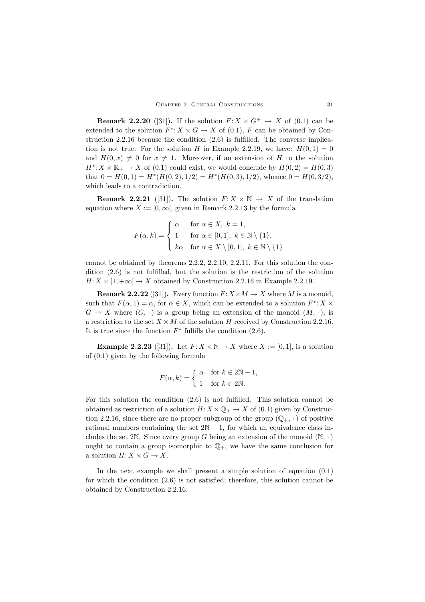**Remark 2.2.20** ([31]). If the solution  $F: X \times G^+ \to X$  of (0.1) can be extended to the solution  $F^*$ :  $X \times G \to X$  of (0.1), F can be obtained by Construction 2.2.16 because the condition (2.6) is fulfilled. The converse implication is not true. For the solution H in Example 2.2.19, we have:  $H(0, 1) = 0$ and  $H(0, x) \neq 0$  for  $x \neq 1$ . Moreover, if an extension of H to the solution  $H^*$ :  $X \times \mathbb{R}_+ \to X$  of (0.1) could exist, we would conclude by  $H(0, 2) = H(0, 3)$ that  $0 = H(0, 1) = H^*(H(0, 2), 1/2) = H^*(H(0, 3), 1/2)$ , whence  $0 = H(0, 3/2)$ , which leads to a contradiction.

**Remark 2.2.21** ([31]). The solution  $F: X \times \mathbb{N} \to X$  of the translation equation where  $X := [0, \infty)$ , given in Remark 2.2.13 by the formula

$$
F(\alpha, k) = \begin{cases} \alpha & \text{for } \alpha \in X, \ k = 1, \\ 1 & \text{for } \alpha \in [0, 1], \ k \in \mathbb{N} \setminus \{1\}, \\ k\alpha & \text{for } \alpha \in X \setminus [0, 1], \ k \in \mathbb{N} \setminus \{1\} \end{cases}
$$

cannot be obtained by theorems 2.2.2, 2.2.10, 2.2.11. For this solution the condition (2.6) is not fulfilled, but the solution is the restriction of the solution  $H: X \times [1, +\infty] \to X$  obtained by Construction 2.2.16 in Example 2.2.19.

**Remark 2.2.22** ([31]). Every function  $F: X \times M \rightarrow X$  where M is a monoid, such that  $F(\alpha, 1) = \alpha$ , for  $\alpha \in X$ , which can be extended to a solution  $F^*$ :  $X \times$  $G \to X$  where  $(G, \cdot)$  is a group being an extension of the monoid  $(M, \cdot)$ , is a restriction to the set  $X \times M$  of the solution H received by Construction 2.2.16. It is true since the function  $F^*$  fulfills the condition (2.6).

**Example 2.2.23** ([31]). Let  $F: X \times \mathbb{N} \to X$  where  $X := [0, 1]$ , is a solution of (0.1) given by the following formula

$$
F(\alpha, k) = \begin{cases} \alpha & \text{for } k \in 2\mathbb{N} - 1, \\ 1 & \text{for } k \in 2\mathbb{N}. \end{cases}
$$

For this solution the condition (2.6) is not fulfilled. This solution cannot be obtained as restriction of a solution  $H: X \times \mathbb{Q}_+ \to X$  of (0.1) given by Construction 2.2.16, since there are no proper subgroup of the group  $(\mathbb{Q}_+, \cdot)$  of positive rational numbers containing the set  $2N - 1$ , for which an equivalence class includes the set 2N. Since every group G being an extension of the monoid  $(N, \cdot)$ ought to contain a group isomorphic to  $\mathbb{Q}_+$ , we have the same conclusion for a solution  $H: X \times G \to X$ .

In the next example we shall present a simple solution of equation (0.1) for which the condition (2.6) is not satisfied; therefore, this solution cannot be obtained by Construction 2.2.16.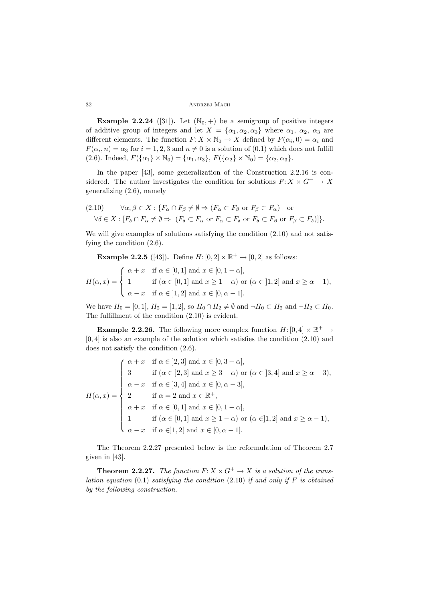**Example 2.2.24** ([31]). Let  $(N_0, +)$  be a semigroup of positive integers of additive group of integers and let  $X = {\alpha_1, \alpha_2, \alpha_3}$  where  $\alpha_1, \alpha_2, \alpha_3$  are different elements. The function  $F: X \times \mathbb{N}_0 \to X$  defined by  $F(\alpha_i, 0) = \alpha_i$  and  $F(\alpha_i, n) = \alpha_3$  for  $i = 1, 2, 3$  and  $n \neq 0$  is a solution of  $(0.1)$  which does not fulfill (2.6). Indeed,  $F(\{\alpha_1\} \times \mathbb{N}_0) = \{\alpha_1, \alpha_3\}, F(\{\alpha_2\} \times \mathbb{N}_0) = \{\alpha_2, \alpha_3\}.$ 

In the paper [43], some generalization of the Construction 2.2.16 is considered. The author investigates the condition for solutions  $F: X \times G^+ \to X$ generalizing (2.6), namely

$$
(2.10) \quad \forall \alpha, \beta \in X : \{ F_{\alpha} \cap F_{\beta} \neq \emptyset \Rightarrow (F_{\alpha} \subset F_{\beta} \text{ or } F_{\beta} \subset F_{\alpha}) \text{ or } \newline \forall \delta \in X : [F_{\delta} \cap F_{\alpha} \neq \emptyset \Rightarrow (F_{\delta} \subset F_{\alpha} \text{ or } F_{\alpha} \subset F_{\delta} \text{ or } F_{\delta} \subset F_{\beta} \text{ or } F_{\beta} \subset F_{\delta}) ] \}.
$$

We will give examples of solutions satisfying the condition  $(2.10)$  and not satisfying the condition (2.6).

**Example 2.2.5** ([43]). Define  $H: [0, 2] \times \mathbb{R}^+ \to [0, 2]$  as follows:

$$
H(\alpha, x) = \begin{cases} \alpha + x & \text{if } \alpha \in [0, 1] \text{ and } x \in [0, 1 - \alpha], \\ 1 & \text{if } (\alpha \in [0, 1] \text{ and } x \ge 1 - \alpha) \text{ or } (\alpha \in [1, 2] \text{ and } x \ge \alpha - 1), \\ \alpha - x & \text{if } \alpha \in [1, 2] \text{ and } x \in [0, \alpha - 1]. \end{cases}
$$

We have  $H_0 = [0, 1], H_2 = [1, 2],$  so  $H_0 \cap H_2 \neq \emptyset$  and  $\neg H_0 \subset H_2$  and  $\neg H_2 \subset H_0$ . The fulfillment of the condition (2.10) is evident.

**Example 2.2.26.** The following more complex function  $H: [0, 4] \times \mathbb{R}^+ \rightarrow$  $[0, 4]$  is also an example of the solution which satisfies the condition  $(2.10)$  and does not satisfy the condition (2.6).

$$
H(\alpha, x) = \begin{cases} \alpha + x & \text{if } \alpha \in [2, 3] \text{ and } x \in [0, 3 - \alpha], \\ 3 & \text{if } (\alpha \in [2, 3] \text{ and } x \ge 3 - \alpha) \text{ or } (\alpha \in [3, 4] \text{ and } x \ge \alpha - 3), \\ \alpha - x & \text{if } \alpha \in [3, 4] \text{ and } x \in [0, \alpha - 3], \\ 2 & \text{if } \alpha = 2 \text{ and } x \in \mathbb{R}^+, \\ \alpha + x & \text{if } \alpha \in [0, 1] \text{ and } x \in [0, 1 - \alpha], \\ 1 & \text{if } (\alpha \in [0, 1] \text{ and } x \ge 1 - \alpha) \text{ or } (\alpha \in ]1, 2] \text{ and } x \ge \alpha - 1), \\ \alpha - x & \text{if } \alpha \in ]1, 2[ \text{ and } x \in [0, \alpha - 1]. \end{cases}
$$

The Theorem 2.2.27 presented below is the reformulation of Theorem 2.7 given in [43].

**Theorem 2.2.27.** *The function*  $F: X \times G^+ \to X$  *is a solution of the translation equation* (0.1) *satisfying the condition* (2.10) *if and only if* F *is obtained by the following construction.*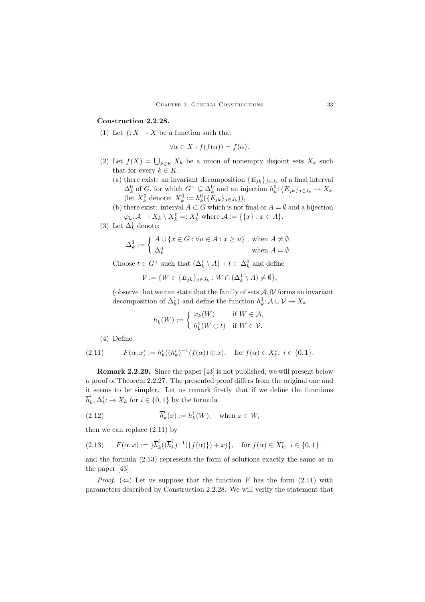# **Construction 2.2.28.**

(1) Let  $f: X \to X$  be a function such that

$$
\forall \alpha \in X : f(f(\alpha)) = f(\alpha).
$$

- (2) Let  $f(X) = \bigcup_{k \in K} X_k$  be a union of nonempty disjoint sets  $X_k$  such that for every  $k \in K$ . that for every  $k \in K$ :
	- (a) there exist: an invariant decomposition  ${E_{jk}}_{j \in J_k}$  of a final interval  $\Delta_k^0$  of G, for which  $G^+ \subseteq \Delta_k^0$  and an injection  $h_k^0$ :  $\{E_{jk}\}_{j \in J_k} \to X_k$ (let  $X_k^0$  denote:  $X_k^0 := h_k^0(\{E_{jk}\}_{j \in J_k})$ ),<br>there exist: interval  $A \subseteq C$  which is not
	- (b) there exist: interval  $A \subset G$  which is not final or  $A = \emptyset$  and a bijection  $\varphi_k: \mathcal{A} \to X_k \setminus X_k^0 =: X_k^1$  where  $\mathcal{A} := \{\{x\} : x \in A\}.$
- (3) Let  $\Delta_k^1$  denote:

$$
\Delta_k^1 := \begin{cases} A \cup \{x \in G : \forall u \in A : x \ge u\} & \text{when } A \ne \emptyset, \\ \Delta_k^0 & \text{when } A = \emptyset. \end{cases}
$$

Choose  $t \in G^+$  such that  $(\Delta_k^1 \setminus A) + t \subset \Delta_k^0$  and define

$$
\mathcal{V} := \{ W \in \{ E_{jk} \}_{j \in J_k} : W \cap (\Delta_k^1 \setminus A) \neq \emptyset \},\
$$

(observe that we can state that the family of sets A∪V forms an invariant decomposition of  $\Delta_k^1$ ) and define the function  $h_k^1: \mathcal{A} \cup \mathcal{V} \to X_k$ 

$$
h_k^1(W) := \begin{cases} \varphi_k(W) & \text{if } W \in \mathcal{A}, \\ h_k^0(W \oplus t) & \text{if } W \in \mathcal{V}. \end{cases}
$$

(4) Define

(2.11) 
$$
F(\alpha, x) := h_k^i((h_k^i)^{-1}(f(\alpha)) \oplus x), \text{ for } f(\alpha) \in X_k^i, i \in \{0, 1\}.
$$

**Remark 2.2.29.** Since the paper [43] is not published, we will present below a proof of Theorem 2.2.27. The presented proof differs from the original one and it seems to be simpler. Let us remark firstly that if we define the functions  $h_k^{\dagger}, \Delta_k^{\dagger} : \rightarrow X_k$  for  $i \in \{0,1\}$  by the formula

(2.12) 
$$
\overline{h}_k^i(x) := h_k^i(W), \text{ when } x \in W,
$$

then we can replace (2.11) by

$$
(2.13) \tF(\alpha, x) := \frac{1}{h_k} \left( (\overline{h}_k^i)^{-1} (\{ f(\alpha) \}) + x \right), \text{ for } f(\alpha) \in X_k^i, i \in \{0, 1\}.
$$

and the formula (2.13) represents the form of solutions exactly the same as in the paper [43].

*Proof.* ( $\Leftarrow$ ) Let us suppose that the function F has the form (2.11) with parameters described by Construction 2.2.28. We will verify the statement that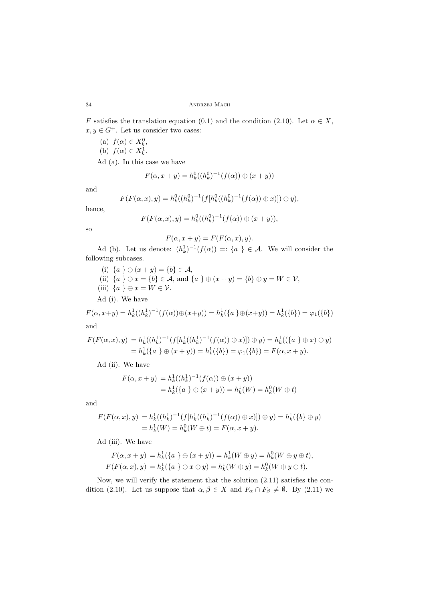F satisfies the translation equation (0.1) and the condition (2.10). Let  $\alpha \in X$ ,  $x, y \in G^+$ . Let us consider two cases:

(a)  $f(\alpha) \in X_k^0$ ,<br>(b)  $f(\alpha) \in Y_1^1$ (b)  $f(\alpha) \in X_k^1$ .

Ad (a). In this case we have

$$
F(\alpha, x + y) = h_k^0((h_k^0)^{-1}(f(\alpha)) \oplus (x + y))
$$

and

$$
F(F(\alpha, x), y) = h_k^0((h_k^0)^{-1}(f[h_k^0((h_k^0)^{-1}(f(\alpha)) \oplus x)]) \oplus y),
$$

hence,

$$
F(F(\alpha, x), y) = h_k^0((h_k^0)^{-1}(f(\alpha)) \oplus (x + y)),
$$

so

$$
F(\alpha, x + y) = F(F(\alpha, x), y).
$$

Ad (b). Let us denote:  $(h_k^1)^{-1}(f(\alpha)) =: \{a \} \in \mathcal{A}$ . We will consider the following subcases.

- (i)  ${a \} \oplus (x + y) = {b} \in A$ ,
- (ii)  ${a \} \oplus x = {b} \in A$ , and  ${a \} \oplus (x + y) = {b} \oplus y = W \in V$ ,
- (iii)  $\{a\} \oplus x = W \in \mathcal{V}$ .

Ad (i). We have

$$
F(\alpha, x+y) = h_k^1((h_k^1)^{-1}(f(\alpha)) \oplus (x+y)) = h_k^1(\{a\} \oplus (x+y)) = h_k^1(\{b\}) = \varphi_1(\{b\})
$$
  
and

$$
^{\rm and}
$$

$$
F(F(\alpha, x), y) = h_k^1((h_k^1)^{-1}(f[h_k^1((h_k^1)^{-1}(f(\alpha)) \oplus x)]) \oplus y) = h_k^1((a \n} \oplus x) \oplus y)
$$
  
=  $h_k^1(\{a \} \oplus (x + y)) = h_k^1(\{b\}) = \varphi_1(\{b\}) = F(\alpha, x + y).$ 

Ad (ii). We have

$$
F(\alpha, x + y) = h_k^1((h_k^1)^{-1}(f(\alpha)) \oplus (x + y))
$$
  
=  $h_k^1(\{a \} \oplus (x + y)) = h_k^1(W) = h_k^0(W \oplus t)$ 

and

$$
F(F(\alpha, x), y) = h_k^1((h_k^1)^{-1}(f[h_k^1((h_k^1)^{-1}(f(\alpha)) \oplus x)]) \oplus y) = h_k^1(\{b\} \oplus y)
$$
  
=  $h_k^1(W) = h_k^0(W \oplus t) = F(\alpha, x + y).$ 

Ad (iii). We have

$$
F(\alpha, x + y) = h_k^1(\{a \} \oplus (x + y)) = h_k^1(W \oplus y) = h_k^0(W \oplus y \oplus t),
$$
  

$$
F(F(\alpha, x), y) = h_k^1(\{a \} \oplus x \oplus y) = h_k^1(W \oplus y) = h_k^0(W \oplus y \oplus t).
$$

Now, we will verify the statement that the solution (2.11) satisfies the condition (2.10). Let us suppose that  $\alpha, \beta \in X$  and  $F_{\alpha} \cap F_{\beta} \neq \emptyset$ . By (2.11) we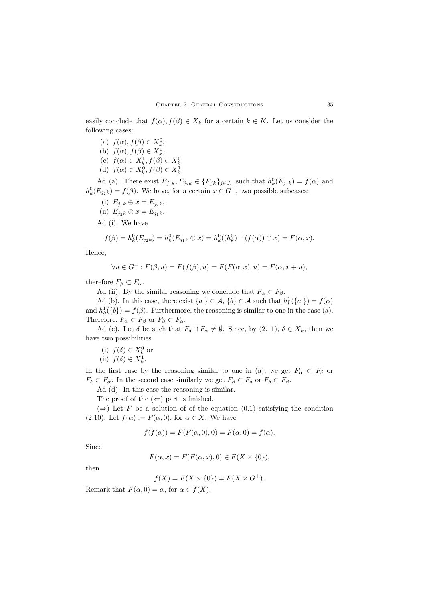easily conclude that  $f(\alpha)$ ,  $f(\beta) \in X_k$  for a certain  $k \in K$ . Let us consider the following cases:

(a)  $f(\alpha)$ ,  $f(\beta) \in X_k^0$ ,<br>(b)  $f(\alpha)$ ,  $f(\beta) \in Y^1$ (b)  $f(\alpha)$ ,  $f(\beta) \in X_k^1$ ,<br>(c)  $f(\alpha) \in Y^1$ ,  $f(\beta)$ (c)  $f(\alpha) \in X_k^1, f(\beta) \in X_k^0,$ <br>(d)  $f(\alpha) \in Y^0, f(\beta) \in Y^1$ (d)  $f(\alpha) \in X_k^0, f(\beta) \in X_k^1.$ 

Ad (a). There exist  $E_{j_1k}, E_{j_2k} \in \{E_{jk}\}_{j \in J_k}$  such that  $h_k^0(E_{j_1k}) = f(\alpha)$  and  $E_{j_1k} = f(\alpha)$ . We have for a certain  $x \in C^+$  two possible subgross:  $h_k^0(E_{j_2k}) = f(\beta)$ . We have, for a certain  $x \in G^+$ , two possible subcases:

(i) 
$$
E_{i_1k} \oplus x = E_{i_2k}
$$

(i) 
$$
E_{j_1k} \oplus x = E_{j_2k}
$$
,  
\n(ii)  $E_{j_2k} \oplus x = E_{j_1k}$ .

Ad (i). We have

$$
f(\beta) = h_k^0(E_{j_2k}) = h_k^0(E_{j_1k} \oplus x) = h_k^0((h_k^0)^{-1}(f(\alpha)) \oplus x) = F(\alpha, x).
$$

Hence,

$$
\forall u \in G^+ : F(\beta, u) = F(f(\beta), u) = F(F(\alpha, x), u) = F(\alpha, x + u),
$$

therefore  $F_{\beta} \subset F_{\alpha}$ .

Ad (ii). By the similar reasoning we conclude that  $F_{\alpha} \subset F_{\beta}$ .

Ad (b). In this case, there exist  $\{a\} \in \mathcal{A}, \{b\} \in \mathcal{A}$  such that  $h_k^1(\{a\}) = f(\alpha)$ <br> $h_1(f_1) = f(\beta)$ . Eurthermore, the reasoning is similar to one in the asso (a) and  $h_k^1({b}) = f(\beta)$ . Furthermore, the reasoning is similar to one in the case (a).<br>Therefore,  $F \subseteq F$ , or  $F \subseteq F$ Therefore,  $F_{\alpha} \subset F_{\beta}$  or  $F_{\beta} \subset F_{\alpha}$ .

Ad (c). Let  $\delta$  be such that  $F_{\delta} \cap F_{\alpha} \neq \emptyset$ . Since, by (2.11),  $\delta \in X_k$ , then we have two possibilities

(i)  $f(\delta) \in X_k^0$  or<br>(ii)  $f(\delta) \subset Y^1$ 

(ii) 
$$
f(\delta) \in X_k^1
$$
.

In the first case by the reasoning similar to one in (a), we get  $F_{\alpha} \subset F_{\delta}$  or  $F_{\delta} \subset F_{\alpha}$ . In the second case similarly we get  $F_{\beta} \subset F_{\delta}$  or  $F_{\delta} \subset F_{\beta}$ .

Ad (d). In this case the reasoning is similar.

The proof of the  $(\Leftarrow)$  part is finished.

 $(\Rightarrow)$  Let F be a solution of of the equation  $(0.1)$  satisfying the condition (2.10). Let  $f(\alpha) := F(\alpha, 0)$ , for  $\alpha \in X$ . We have

$$
f(f(\alpha)) = F(F(\alpha, 0), 0) = F(\alpha, 0) = f(\alpha).
$$

Since

$$
F(\alpha, x) = F(F(\alpha, x), 0) \in F(X \times \{0\}),
$$

then

$$
f(X) = F(X \times \{0\}) = F(X \times G^{+}).
$$

Remark that  $F(\alpha, 0) = \alpha$ , for  $\alpha \in f(X)$ .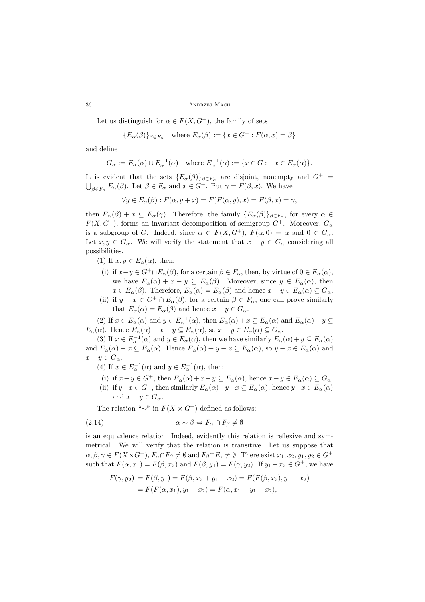Let us distinguish for  $\alpha \in F(X, G^+)$ , the family of sets

$$
{E_{\alpha}(\beta)}_{\beta \in F_{\alpha}}
$$
 where  $E_{\alpha}(\beta) := {x \in G^+ : F(\alpha, x) = \beta}$ 

and define

$$
G_{\alpha} := E_{\alpha}(\alpha) \cup E_{\alpha}^{-1}(\alpha) \quad \text{where } E_{\alpha}^{-1}(\alpha) := \{ x \in G : -x \in E_{\alpha}(\alpha) \}.
$$

It is evident that the sets  ${E_{\alpha}(\beta)}_{\beta \in F_{\alpha}}$  are disjoint, nonempty and  $G^+$  =  $\bigcup_{\beta \in F_{\alpha}} E_{\alpha}(\beta)$ . Let  $\beta \in F_{\alpha}$  and  $x \in G^+$ . Put  $\gamma = F(\beta, x)$ . We have

$$
\forall y \in E_{\alpha}(\beta) : F(\alpha, y + x) = F(F(\alpha, y), x) = F(\beta, x) = \gamma,
$$

then  $E_{\alpha}(\beta) + x \subseteq E_{\alpha}(\gamma)$ . Therefore, the family  $\{E_{\alpha}(\beta)\}_{{\beta \in F_{\alpha}}}$ , for every  $\alpha \in$  $F(X, G^+)$ , forms an invariant decomposition of semigroup  $G^+$ . Moreover,  $G_{\alpha}$ is a subgroup of G. Indeed, since  $\alpha \in F(X, G^+)$ ,  $F(\alpha, 0) = \alpha$  and  $0 \in G_{\alpha}$ . Let  $x, y \in G_\alpha$ . We will verify the statement that  $x - y \in G_\alpha$  considering all possibilities.

(1) If  $x, y \in E_{\alpha}(\alpha)$ , then:

- (i) if  $x-y \in G^+ \cap E_\alpha(\beta)$ , for a certain  $\beta \in F_\alpha$ , then, by virtue of  $0 \in E_\alpha(\alpha)$ , we have  $E_{\alpha}(\alpha) + x - y \subseteq E_{\alpha}(\beta)$ . Moreover, since  $y \in E_{\alpha}(\alpha)$ , then  $x \in E_{\alpha}(\beta)$ . Therefore,  $E_{\alpha}(\alpha) = E_{\alpha}(\beta)$  and hence  $x - y \in E_{\alpha}(\alpha) \subseteq G_{\alpha}$ .
- (ii) if  $y x \in G^+ \cap E_\alpha(\beta)$ , for a certain  $\beta \in F_\alpha$ , one can prove similarly that  $E_{\alpha}(\alpha) = E_{\alpha}(\beta)$  and hence  $x - y \in G_{\alpha}$ .

(2) If  $x \in E_\alpha(\alpha)$  and  $y \in E_\alpha^{-1}(\alpha)$ , then  $E_\alpha(\alpha) + x \subseteq E_\alpha(\alpha)$  and  $E_\alpha(\alpha) - y \subseteq$  $E_{\alpha}(\alpha)$ . Hence  $E_{\alpha}(\alpha) + x - y \subseteq E_{\alpha}(\alpha)$ , so  $x - y \in E_{\alpha}(\alpha) \subseteq G_{\alpha}$ .

(3) If  $x \in E_\alpha^{-1}(\alpha)$  and  $y \in E_\alpha(\alpha)$ , then we have similarly  $E_\alpha(\alpha) + y \subseteq E_\alpha(\alpha)$ and  $E_{\alpha}(\alpha) - x \subseteq E_{\alpha}(\alpha)$ . Hence  $E_{\alpha}(\alpha) + y - x \subseteq E_{\alpha}(\alpha)$ , so  $y - x \in E_{\alpha}(\alpha)$  and  $x - y \in G_\alpha$ .

(4) If  $x \in E_{\alpha}^{-1}(\alpha)$  and  $y \in E_{\alpha}^{-1}(\alpha)$ , then:

- (i) if  $x-y \in G^+$ , then  $E_{\alpha}(\alpha) + x-y \subseteq E_{\alpha}(\alpha)$ , hence  $x-y \in E_{\alpha}(\alpha) \subseteq G_{\alpha}$ .
- (ii) if  $y-x \in G^+$ , then similarly  $E_\alpha(\alpha)+y-x \subseteq E_\alpha(\alpha)$ , hence  $y-x \in E_\alpha(\alpha)$ and  $x - y \in G_\alpha$ .

The relation "∼" in  $F(X \times G^+)$  defined as follows:

(2.14) 
$$
\alpha \sim \beta \Leftrightarrow F_{\alpha} \cap F_{\beta} \neq \emptyset
$$

is an equivalence relation. Indeed, evidently this relation is reflexive and symmetrical. We will verify that the relation is transitive. Let us suppose that  $\alpha, \beta, \gamma \in F(X \times G^+), F_\alpha \cap F_\beta \neq \emptyset$  and  $F_\beta \cap F_\gamma \neq \emptyset$ . There exist  $x_1, x_2, y_1, y_2 \in G^+$ such that  $F(\alpha, x_1) = F(\beta, x_2)$  and  $F(\beta, y_1) = F(\gamma, y_2)$ . If  $y_1 - x_2 \in G^+$ , we have

$$
F(\gamma, y_2) = F(\beta, y_1) = F(\beta, x_2 + y_1 - x_2) = F(F(\beta, x_2), y_1 - x_2)
$$
  
=  $F(F(\alpha, x_1), y_1 - x_2) = F(\alpha, x_1 + y_1 - x_2),$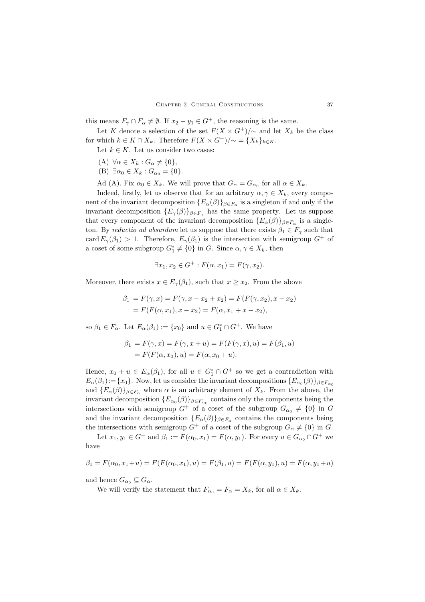this means  $F_{\gamma} \cap F_{\alpha} \neq \emptyset$ . If  $x_2 - y_1 \in G^+$ , the reasoning is the same.

Let K denote a selection of the set  $F(X \times G^+) / \sim$  and let  $X_k$  be the class for which  $k \in K \cap X_k$ . Therefore  $F(X \times G^+) / \sim = \{X_k\}_{k \in K}$ .

Let  $k \in K$ . Let us consider two cases:

- (A)  $\forall \alpha \in X_k : G_{\alpha} \neq \{0\},\$
- (B)  $\exists \alpha_0 \in X_k : G_{\alpha_0} = \{0\}.$
- Ad (A). Fix  $\alpha_0 \in X_k$ . We will prove that  $G_{\alpha} = G_{\alpha_0}$  for all  $\alpha \in X_k$ .

Indeed, firstly, let us observe that for an arbitrary  $\alpha, \gamma \in X_k$ , every component of the invariant decomposition  ${E_{\alpha}(\beta)}_{\beta \in F_{\alpha}}$  is a singleton if and only if the invariant decomposition  ${E_{\gamma}(\beta)}_{\beta \in F_{\gamma}}$  has the same property. Let us suppose that every component of the invariant decomposition  ${E_{\alpha}(\beta)}_{\beta \in F_{\alpha}}$  is a singleton. By *reductio ad absurdum* let us suppose that there exists  $\beta_1 \in F_\gamma$  such that card  $E_{\gamma}(\beta_1) > 1$ . Therefore,  $E_{\gamma}(\beta_1)$  is the intersection with semigroup  $G^+$  of a coset of some subgroup  $G_1^* \neq \{0\}$  in G. Since  $\alpha, \gamma \in X_k$ , then

$$
\exists x_1, x_2 \in G^+ : F(\alpha, x_1) = F(\gamma, x_2).
$$

Moreover, there exists  $x \in E_{\gamma}(\beta_1)$ , such that  $x \geq x_2$ . From the above

$$
\beta_1 = F(\gamma, x) = F(\gamma, x - x_2 + x_2) = F(F(\gamma, x_2), x - x_2)
$$
  
=  $F(F(\alpha, x_1), x - x_2) = F(\alpha, x_1 + x - x_2),$ 

so  $\beta_1 \in F_\alpha$ . Let  $E_\alpha(\beta_1) := \{x_0\}$  and  $u \in G_1^* \cap G^+$ . We have

$$
\beta_1 = F(\gamma, x) = F(\gamma, x + u) = F(F(\gamma, x), u) = F(\beta_1, u)
$$
  
=  $F(F(\alpha, x_0), u) = F(\alpha, x_0 + u)$ .

Hence,  $x_0 + u \in E_\alpha(\beta_1)$ , for all  $u \in G^* \cap G^+$  so we get a contradiction with  $F_\alpha(\beta_1) = [x_1]$ . Now let us consider the invariant decompositions  $[F_\alpha(\beta)]_{\alpha-1}$ .  $E_{\alpha}(\beta_1):=\{x_0\}.$  Now, let us consider the invariant decompositions  $\{E_{\alpha_0}(\beta)\}_{\beta\in F_{\alpha_0}}$ and  ${E_{\alpha}(\beta)}_{\beta \in F_{\alpha}}$  where  $\alpha$  is an arbitrary element of  $X_k$ . From the above, the invariant decomposition  ${E_{\alpha_0}(\beta)}_{\beta \in F_{\alpha_0}}$  contains only the components being the intersections with semigroup  $G^+$  of a coset of the subgroup  $G_{\alpha_0} \neq \{0\}$  in G and the invariant decomposition  ${E_{\alpha}(\beta)}_{\beta \in F_{\alpha}}$  contains the components being the intersections with semigroup  $G^+$  of a coset of the subgroup  $G_\alpha \neq \{0\}$  in G.

Let  $x_1, y_1 \in G^+$  and  $\beta_1 := F(\alpha_0, x_1) = F(\alpha, y_1)$ . For every  $u \in G_{\alpha_0} \cap G^+$  we have

$$
\beta_1 = F(\alpha_0, x_1 + u) = F(F(\alpha_0, x_1), u) = F(\beta_1, u) = F(F(\alpha, y_1), u) = F(\alpha, y_1 + u)
$$

and hence  $G_{\alpha_0} \subseteq G_{\alpha}$ .

We will verify the statement that  $F_{\alpha 0} = F_{\alpha} = X_k$ , for all  $\alpha \in X_k$ .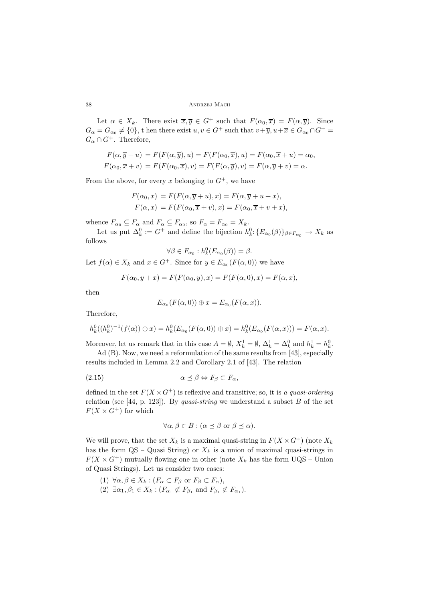38 Andrzej Mach

Let  $\alpha \in X_k$ . There exist  $\overline{x}, \overline{y} \in G^+$  such that  $F(\alpha_0, \overline{x}) = F(\alpha, \overline{y})$ . Since  $G_{\alpha} = G_{\alpha_0} \neq \{0\}$ , t hen there exist  $u, v \in G^+$  such that  $v + \overline{y}, u + \overline{x} \in G_{\alpha_0} \cap G^+$  $G_{\alpha} \cap G^+$ . Therefore,

$$
F(\alpha, \overline{y} + u) = F(F(\alpha, \overline{y}), u) = F(F(\alpha_0, \overline{x}), u) = F(\alpha_0, \overline{x} + u) = \alpha_0,
$$
  

$$
F(\alpha_0, \overline{x} + v) = F(F(\alpha_0, \overline{x}), v) = F(F(\alpha, \overline{y}), v) = F(\alpha, \overline{y} + v) = \alpha.
$$

From the above, for every x belonging to  $G^+$ , we have

$$
F(\alpha_0, x) = F(F(\alpha, \overline{y} + u), x) = F(\alpha, \overline{y} + u + x),
$$
  

$$
F(\alpha, x) = F(F(\alpha_0, \overline{x} + v), x) = F(\alpha_0, \overline{x} + v + x),
$$

whence  $F_{\alpha_0} \subseteq F_{\alpha}$  and  $F_{\alpha} \subseteq F_{\alpha_0}$ , so  $F_{\alpha} = F_{\alpha_0} = X_k$ .

Let us put  $\Delta_k^0 := G^+$  and define the bijection  $h_k^0: \{E_{\alpha_0}(\beta)\}_{\beta \in F_{\alpha_0}} \to X_k$  as follows

$$
\forall \beta \in F_{\alpha_0} : h_k^0(E_{\alpha_0}(\beta)) = \beta.
$$

Let  $f(\alpha) \in X_k$  and  $x \in G^+$ . Since for  $y \in E_{\alpha_0}(F(\alpha, 0))$  we have

$$
F(\alpha_0, y + x) = F(F(\alpha_0, y), x) = F(F(\alpha, 0), x) = F(\alpha, x),
$$

then

$$
E_{\alpha_0}(F(\alpha,0))\oplus x=E_{\alpha_0}(F(\alpha,x)).
$$

Therefore,

$$
h_k^0((h_k^0)^{-1}(f(\alpha)) \oplus x) = h_k^0(E_{\alpha_0}(F(\alpha,0)) \oplus x) = h_k^0(E_{\alpha_0}(F(\alpha,x))) = F(\alpha,x).
$$

Moreover, let us remark that in this case  $A = \emptyset$ ,  $X_k^1 = \emptyset$ ,  $\Delta_k^1 = \Delta_k^0$  and  $h_k^1 = h_k^0$ .

Ad (B). Now, we need a reformulation of the same results from [43], especially results included in Lemma 2.2 and Corollary 2.1 of [43]. The relation

$$
\alpha \preceq \beta \Leftrightarrow F_{\beta} \subset F_{\alpha},
$$

defined in the set  $F(X \times G^+)$  is reflexive and transitive; so, it is *a quasi-ordering* relation (see [44, p. 123]). By *quasi-string* we understand a subset B of the set  $F(X \times G^+)$  for which

$$
\forall \alpha, \beta \in B : (\alpha \preceq \beta \text{ or } \beta \preceq \alpha).
$$

We will prove, that the set  $X_k$  is a maximal quasi-string in  $F(X \times G^+)$  (note  $X_k$ has the form  $QS - Quasi String$  or  $X_k$  is a union of maximal quasi-strings in  $F(X \times G^+)$  mutually flowing one in other (note  $X_k$  has the form UQS – Union of Quasi Strings). Let us consider two cases:

- (1)  $\forall \alpha, \beta \in X_k : (F_\alpha \subset F_\beta \text{ or } F_\beta \subset F_\alpha),$
- (2)  $\exists \alpha_1, \beta_1 \in X_k : (F_{\alpha_1} \not\subset F_{\beta_1} \text{ and } F_{\beta_1} \not\subset F_{\alpha_1}).$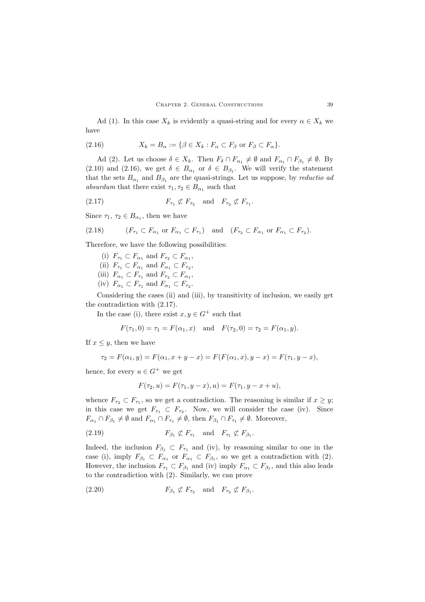Ad (1). In this case  $X_k$  is evidently a quasi-string and for every  $\alpha \in X_k$  we have

(2.16) 
$$
X_k = B_\alpha := \{ \beta \in X_k : F_\alpha \subset F_\beta \text{ or } F_\beta \subset F_\alpha \}.
$$

Ad (2). Let us choose  $\delta \in X_k$ . Then  $F_{\delta} \cap F_{\alpha_1} \neq \emptyset$  and  $F_{\alpha_1} \cap F_{\beta_1} \neq \emptyset$ . By (2.10) and (2.16), we get  $\delta \in B_{\alpha_1}$  or  $\delta \in B_{\beta_1}$ . We will verify the statement that the sets  $B_{\alpha_1}$  and  $B_{\beta_1}$  are the quasi-strings. Let us suppose, by *reductio ad absurdum* that there exist  $\tau_1, \tau_2 \in B_{\alpha_1}$  such that

$$
(2.17) \t\t\t F_{\tau_1} \not\subset F_{\tau_2} \t\t \text{and} \t\t F_{\tau_2} \not\subset F_{\tau_1}.
$$

Since  $\tau_1, \tau_2 \in B_{\alpha_1}$ , then we have

(2.18) 
$$
(F_{\tau_1} \subset F_{\alpha_1} \text{ or } F_{\alpha_1} \subset F_{\tau_1}) \text{ and } (F_{\tau_2} \subset F_{\alpha_1} \text{ or } F_{\alpha_1} \subset F_{\tau_2}).
$$

Therefore, we have the following possibilities:

- (i)  $F_{\tau_1} \subset F_{\alpha_1}$  and  $F_{\tau_2} \subset F_{\alpha_1}$ ,
- (ii)  $F_{\tau_1} \subset F_{\alpha_1}$  and  $F_{\alpha_1} \subset F_{\tau_2}$ ,
- (iii)  $F_{\alpha_1} \subset F_{\tau_1}$  and  $F_{\tau_2} \subset F_{\alpha_1}$ ,
- (iv)  $F_{\alpha_1} \subset F_{\tau_1}$  and  $F_{\alpha_1} \subset F_{\tau_2}$ .

Considering the cases (ii) and (iii), by transitivity of inclusion, we easily get the contradiction with (2.17).

In the case (i), there exist  $x, y \in G^+$  such that

$$
F(\tau_1, 0) = \tau_1 = F(\alpha_1, x)
$$
 and  $F(\tau_2, 0) = \tau_2 = F(\alpha_1, y)$ .

If  $x \leq y$ , then we have

$$
\tau_2 = F(\alpha_1, y) = F(\alpha_1, x + y - x) = F(F(\alpha_1, x), y - x) = F(\tau_1, y - x),
$$

hence, for every  $u \in G^+$  we get

$$
F(\tau_2, u) = F(\tau_1, y - x), u) = F(\tau_1, y - x + u),
$$

whence  $F_{\tau_2} \subset F_{\tau_1}$ , so we get a contradiction. The reasoning is similar if  $x \geq y$ ; in this case we get  $F_{\tau_1} \subset F_{\tau_2}$ . Now, we will consider the case (iv). Since  $F_{\alpha_1} \cap F_{\beta_1} \neq \emptyset$  and  $F_{\alpha_1} \cap F_{\tau_1} \neq \emptyset$ , then  $F_{\beta_1} \cap F_{\tau_1} \neq \emptyset$ . Moreover,

$$
(2.19) \tF_{\beta_1} \not\subset F_{\tau_1} \quad \text{and} \quad F_{\tau_1} \not\subset F_{\beta_1}.
$$

Indeed, the inclusion  $F_{\beta_1} \subset F_{\tau_1}$  and (iv), by reasoning similar to one in the case (i), imply  $F_{\beta_1} \subset F_{\alpha_1}$  or  $F_{\alpha_1} \subset F_{\beta_1}$ , so we get a contradiction with (2). However, the inclusion  $F_{\tau_1} \subset F_{\beta_1}$  and (iv) imply  $F_{\alpha_1} \subset F_{\beta_1}$ , and this also leads to the contradiction with (2). Similarly, we can prove

$$
(2.20) \t\t F_{\beta_1} \not\subset F_{\tau_2} \t and \t F_{\tau_2} \not\subset F_{\beta_1}.
$$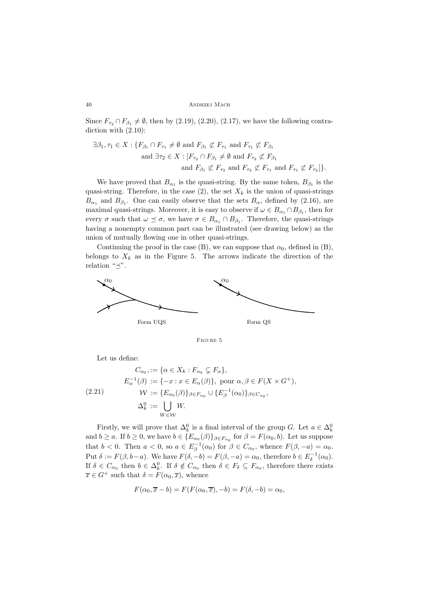#### 40 Andrzej Mach

Since  $F_{\tau_2} \cap F_{\beta_1} \neq \emptyset$ , then by (2.19), (2.20), (2.17), we have the following contradiction with  $(2.10)$ :

$$
\exists \beta_1, \tau_1 \in X : \{F_{\beta_1} \cap F_{\tau_1} \neq \emptyset \text{ and } F_{\beta_1} \not\subset F_{\tau_1} \text{ and } F_{\tau_1} \not\subset F_{\beta_1}
$$
  
and  $\exists \tau_2 \in X : [F_{\tau_2} \cap F_{\beta_1} \neq \emptyset \text{ and } F_{\tau_2} \not\subset F_{\beta_1}$   
and  $F_{\beta_1} \not\subset F_{\tau_2}$  and  $F_{\tau_2} \not\subset F_{\tau_1}$  and  $F_{\tau_1} \not\subset F_{\tau_2}]\}.$ 

We have proved that  $B_{\alpha_1}$  is the quasi-string. By the same token,  $B_{\beta_1}$  is the quasi-string. Therefore, in the case  $(2)$ , the set  $X_k$  is the union of quasi-strings  $B_{\alpha_1}$  and  $B_{\beta_1}$ . One can easily observe that the sets  $B_{\alpha}$ , defined by (2.16), are maximal quasi-strings. Moreover, it is easy to observe if  $\omega \in B_{\alpha_1} \cap B_{\beta_1}$ , then for every  $\sigma$  such that  $\omega \preceq \sigma$ , we have  $\sigma \in B_{\alpha_1} \cap B_{\beta_1}$ . Therefore, the quasi-strings having a nonempty common part can be illustrated (see drawing below) as the union of mutually flowing one in other quasi-strings.

Continuing the proof in the case (B), we can suppose that  $\alpha_0$ , defined in (B), belongs to  $X_k$  as in the Figure 5. The arrows indicate the direction of the relation " $\preceq$ ".



Figure 5

Let us define:

$$
C_{\alpha_0} := \{ \alpha \in X_k : F_{\alpha_0} \subsetneq F_{\alpha} \},
$$
  
\n
$$
E_{\alpha}^{-1}(\beta) := \{ -x : x \in E_{\alpha}(\beta) \}, \text{ pour } \alpha, \beta \in F(X \times G^+),
$$
  
\n
$$
W := \{ E_{\alpha_0}(\beta) \}_{\beta \in F_{\alpha_0}} \cup \{ E_{\beta}^{-1}(\alpha_0) \}_{\beta \in C_{\alpha_0}},
$$
  
\n
$$
\Delta_k^0 := \bigcup_{W \in \mathcal{W}} W.
$$

Firstly, we will prove that  $\Delta_k^0$  is a final interval of the group G. Let  $a \in \Delta_k^0$ <br> $k > a$ . If  $k > 0$ , we have  $k \in \{E^-(\beta)\}\; = \; \text{for } \beta = E(\alpha, k)$ . Let us gunners and  $b \ge a$ . If  $b \ge 0$ , we have  $b \in \{E_{\alpha_0}(\beta)\}_{\beta \in F_{\alpha_0}}$  for  $\beta = F(\alpha_0, b)$ . Let us suppose that  $b < 0$ . Then  $a < 0$ , so  $a \in E_{\beta}^{-1}(\alpha_0)$  for  $\beta \in C_{\alpha_0}$ , whence  $F(\beta, -a) = \alpha_0$ . Put  $\delta := F(\beta, b-a)$ . We have  $F(\delta, -b) = F(\beta, -a) = \alpha_0$ , therefore  $b \in E_{\delta}^{-1}(\alpha_0)$ .<br>If  $\delta \in C$ , then  $b \in \Delta^0$ . If  $\delta \notin C$ , then  $\delta \in E_{\delta} \subseteq F$ , therefore there exists If  $\delta \in C_{\alpha_0}$  then  $b \in \Delta_k^0$ . If  $\delta \notin C_{\alpha_0}$  then  $\delta \in F_{\delta} \subseteq F_{\alpha_0}$ , therefore there exists  $\overline{\sigma} \in C^+$  such that  $\delta = F(\alpha_0, \overline{\sigma})$  whence  $\overline{x} \in G^+$  such that  $\delta = F(\alpha_0, \overline{x})$ , whence

$$
F(\alpha_0, \overline{x} - b) = F(F(\alpha_0, \overline{x}), -b) = F(\delta, -b) = \alpha_0,
$$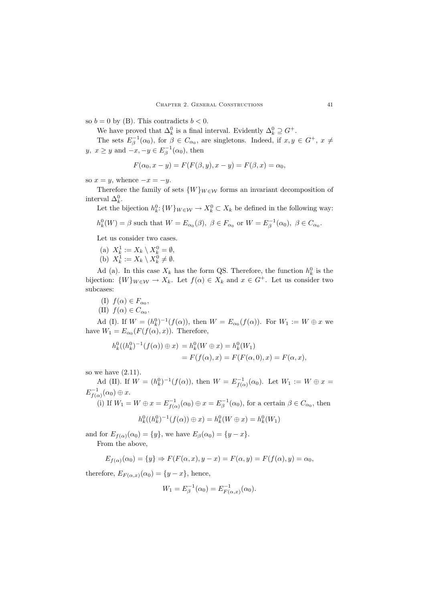so  $b = 0$  by (B). This contradicts  $b < 0$ .

We have proved that  $\Delta_k^0$  is a final interval. Evidently  $\Delta_k^0 \supseteq G^+$ .<br>The sets  $F^{-1}(x)$  for  $\beta \in G$  are simpletens. Indeed, if  $x, y$ 

The sets  $E_{\beta}^{-1}(\alpha_0)$ , for  $\beta \in C_{\alpha_0}$ , are singletons. Indeed, if  $x, y \in G^+$ ,  $x \neq$  $y, x \geq y$  and  $-x, -y \in E_{\beta}^{-1}(\alpha_0)$ , then

$$
F(\alpha_0, x - y) = F(F(\beta, y), x - y) = F(\beta, x) = \alpha_0,
$$

so  $x = y$ , whence  $-x = -y$ .

Therefore the family of sets  $\{W\}_{W\in\mathcal{W}}$  forms an invariant decomposition of interval  $\Delta_k^0$ .<br>Let the

Let the bijection  $h_k^0$ :  $\{W\}_{W \in \mathcal{W}} \to X_k^0 \subset X_k$  be defined in the following way:

$$
h_k^0(W) = \beta
$$
 such that  $W = E_{\alpha_0}(\beta)$ ,  $\beta \in F_{\alpha_0}$  or  $W = E_{\beta}^{-1}(\alpha_0)$ ,  $\beta \in C_{\alpha_0}$ .

Let us consider two cases.

- (a)  $X_k^1 := X_k \setminus X_k^0 = \emptyset,$ <br>(b)  $X^1 := X_k \setminus X^0 \neq \emptyset$
- (b)  $X_k^1 := X_k \setminus X_k^0 \neq \emptyset$ .

Ad (a). In this case  $X_k$  has the form QS. Therefore, the function  $h_k^0$  is the set of  $X_k$  is the set of  $K_k$  and  $x \in C^+$ . Let us consider two bijection:  $\{W\}_{W\in\mathcal{W}} \to X_k$ . Let  $f(\alpha) \in X_k$  and  $x \in G^+$ . Let us consider two subcases:

- (I)  $f(\alpha) \in F_{\alpha_0}$ ,
- (II)  $f(\alpha) \in C_{\alpha_0}$ .

Ad (I). If  $W = (h_k^0)^{-1}(f(\alpha))$ , then  $W = E_{\alpha_0}(f(\alpha))$ . For  $W_1 := W \oplus x$  we have  $W_1 = E_{\alpha_0}(F(f(\alpha), x))$ . Therefore,

$$
h_k^0((h_k^0)^{-1}(f(\alpha)) \oplus x) = h_k^0(W \oplus x) = h_k^0(W_1)
$$
  
=  $F(f(\alpha), x) = F(F(\alpha, 0), x) = F(\alpha, x),$ 

so we have  $(2.11)$ .

Ad (II). If  $W = (h_k^0)^{-1}(f(\alpha))$ , then  $W = E_{f(\alpha)}^{-1}(\alpha_0)$ . Let  $W_1 := W \oplus x =$  $E_{f(\alpha)}^{-1}(\alpha_0) \oplus x.$ <br>(i) If II

(i) If  $W_1 = W \oplus x = E_{f(\alpha)}^{-1}(\alpha_0) \oplus x = E_{\beta}^{-1}(\alpha_0)$ , for a certain  $\beta \in C_{\alpha_0}$ , then

$$
h_k^0((h_k^0)^{-1}(f(\alpha)) \oplus x) = h_k^0(W \oplus x) = h_k^0(W_1)
$$

and for  $E_{f(\alpha)}(\alpha_0) = \{y\}$ , we have  $E_{\beta}(\alpha_0) = \{y - x\}$ .

From the above,

$$
E_{f(\alpha)}(\alpha_0) = \{y\} \Rightarrow F(F(\alpha, x), y - x) = F(\alpha, y) = F(f(\alpha), y) = \alpha_0,
$$

therefore,  $E_{F(\alpha,x)}(\alpha_0) = \{y-x\}$ , hence,

$$
W_1 = E_\beta^{-1}(\alpha_0) = E_{F(\alpha, x)}^{-1}(\alpha_0).
$$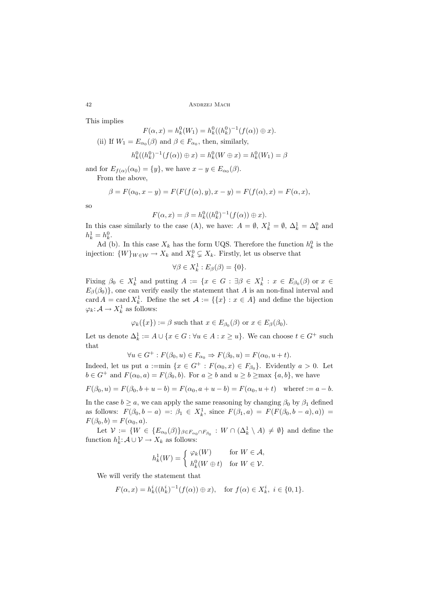This implies

$$
F(\alpha, x) = h_k^0(W_1) = h_k^0((h_k^0)^{-1}(f(\alpha)) \oplus x).
$$
  
ii) If  $W_1 = E$  (3) and  $\beta \in F$  then similarly

(ii) If 
$$
W_1 = E_{\alpha_0}(\beta)
$$
 and  $\beta \in F_{\alpha_0}$ , then, similarly,

$$
h_k^0((h_k^0)^{-1}(f(\alpha)) \oplus x) = h_k^0(W \oplus x) = h_k^0(W_1) = \beta
$$

and for  $E_{f(\alpha)}(\alpha_0) = \{y\}$ , we have  $x - y \in E_{\alpha_0}(\beta)$ .

From the above,

$$
\beta = F(\alpha_0, x - y) = F(F(f(\alpha), y), x - y) = F(f(\alpha), x) = F(\alpha, x),
$$

so

$$
F(\alpha, x) = \beta = h_k^0((h_k^0)^{-1}(f(\alpha)) \oplus x).
$$

In this case similarly to the case (A), we have:  $A = \emptyset$ ,  $X_k^1 = \emptyset$ ,  $\Delta_k^1 = \Delta_k^0$  and  $h^1 = h^0$  $h_k^1 = h_k^0.$ 

Ad (b). In this case  $X_k$  has the form UQS. Therefore the function  $h_k^0$  is the stion.  $(W)$ injection:  $\{W\}_{W \in \mathcal{W}} \to X_k$  and  $X_k^0 \subsetneq X_k$ . Firstly, let us observe that

$$
\forall \beta \in X_k^1 : E_\beta(\beta) = \{0\}.
$$

Fixing  $\beta_0 \in X_k^1$  and putting  $A := \{x \in G : \exists \beta \in X_k^1 : x \in E_{\beta_0}(\beta) \text{ or } x \in E_{\beta_0}(\beta) \}$  $E_{\beta}(\beta_0)$ , one can verify easily the statement that A is an non-final interval and card  $A = \text{card } X_k^1$ . Define the set  $A := \{\{x\} : x \in A\}$  and define the bijection  $\varphi_k: \mathcal{A} \to X_k^1$  as follows:

$$
\varphi_k({x}) := \beta
$$
 such that  $x \in E_{\beta_0}(\beta)$  or  $x \in E_{\beta}(\beta_0)$ .

Let us denote  $\Delta_k^1 := A \cup \{x \in G : \forall u \in A : x \geq u\}$ . We can choose  $t \in G^+$  such that that

$$
\forall u \in G^+ : F(\beta_0, u) \in F_{\alpha_0} \Rightarrow F(\beta_0, u) = F(\alpha_0, u + t).
$$

Indeed, let us put  $a :=min \{x \in G^+ : F(\alpha_0, x) \in F_{\beta_0}\}\)$ . Evidently  $a > 0$ . Let  $b \in G^+$  and  $F(\alpha_0, a) = F(\beta, b)$ . For  $a > b$  and  $a > b$  and  $a > b$  and  $a \leq b$  we have  $b \in G^+$  and  $F(\alpha_0, a) = F(\beta_0, b)$ . For  $a \ge b$  and  $u \ge b \ge \max\{a, b\}$ , we have

$$
F(\beta_0, u) = F(\beta_0, b + u - b) = F(\alpha_0, a + u - b) = F(\alpha_0, u + t) \text{ where } t := a - b.
$$

In the case  $b \ge a$ , we can apply the same reasoning by changing  $\beta_0$  by  $\beta_1$  defined as follows:  $F(\beta_0, b - a) =: \beta_1 \in X_k^1$ , since  $F(\beta_1, a) = F(F(\beta_0, b - a), a)) =$ <br> $F(\beta_0, b) = F(\beta_0, a)$  $F(\beta_0, b) = F(\alpha_0, a).$ 

Let  $\mathcal{V} := \{ W \in \{ E_{\alpha_0}(\beta) \}_{\beta \in F_{\alpha_0} \cap F_{\beta_0}} : W \cap (\Delta_k^1 \setminus A) \neq \emptyset \}$  and define the function  $h_k^1: \mathcal{A} \cup \mathcal{V} \to X_k$  as follows:

$$
h_k^1(W) = \begin{cases} \varphi_k(W) & \text{for } W \in \mathcal{A}, \\ h_k^0(W \oplus t) & \text{for } W \in \mathcal{V}. \end{cases}
$$

We will verify the statement that

$$
F(\alpha, x) = h_k^i((h_k^i)^{-1}(f(\alpha)) \oplus x), \text{ for } f(\alpha) \in X_k^i, i \in \{0, 1\}.
$$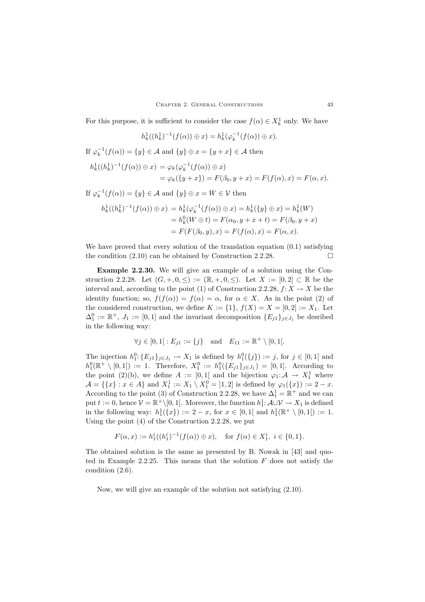For this purpose, it is sufficient to consider the case  $f(\alpha) \in X^1_k$  only. We have

$$
h_k^1((h_k^1)^{-1}(f(\alpha)) \oplus x) = h_k^1(\varphi_k^{-1}(f(\alpha)) \oplus x).
$$

If 
$$
\varphi_k^{-1}(f(\alpha)) = \{y\} \in \mathcal{A}
$$
 and  $\{y\} \oplus x = \{y + x\} \in \mathcal{A}$  then

$$
h_k^1((h_k^1)^{-1}(f(\alpha)) \oplus x) = \varphi_k(\varphi_k^{-1}(f(\alpha)) \oplus x)
$$
  
=  $\varphi_k(\{y + x\}) = F(\beta_0, y + x) = F(f(\alpha), x) = F(\alpha, x).$ 

If 
$$
\varphi_k^{-1}(f(\alpha)) = \{y\} \in \mathcal{A}
$$
 and  $\{y\} \oplus x = W \in \mathcal{V}$  then

$$
h_k^1((h_k^1)^{-1}(f(\alpha)) \oplus x) = h_k^1(\varphi_k^{-1}(f(\alpha)) \oplus x) = h_k^1(\{y\} \oplus x) = h_k^1(W)
$$
  
=  $h_k^0(W \oplus t) = F(\alpha_0, y + x + t) = F(\beta_0, y + x)$   
=  $F(F(\beta_0, y), x) = F(f(\alpha), x) = F(\alpha, x).$ 

We have proved that every solution of the translation equation  $(0.1)$  satisfying the condition  $(2.10)$  can be obtained by Construction 2.2.28.

**Example 2.2.30.** We will give an example of a solution using the Construction 2.2.28. Let  $(G, +, 0, \leq) := (\mathbb{R}, +, 0, \leq)$ . Let  $X := [0, 2] \subset \mathbb{R}$  be the interval and, according to the point (1) of Construction 2.2.28,  $f: X \to X$  be the identity function; so,  $f(f(\alpha)) = f(\alpha) = \alpha$ , for  $\alpha \in X$ . As in the point (2) of the considered construction, we define  $K := \{1\}$ ,  $f(X) = X = [0, 2] := X_1$ . Let  $\Delta_1^0 := \mathbb{R}^+, J_1 := [0, 1]$  and the invariant decomposition  $\{E_{j1}\}_{j \in J_1}$  be desribed<br>in the following way: in the following way:

$$
\forall j \in [0, 1]: E_{j1} := \{j\} \text{ and } E_{11} := \mathbb{R}^+ \setminus [0, 1].
$$

The injection  $h_1^0: \{E_{j1}\}_{j\in J_1} \to X_1$  is defined by  $h_1^0(\{j\}) := j$ , for  $j \in [0,1]$  and  $h_0^0(\mathbb{R}^+ \setminus [0,1]) := 1$ . Therefore,  $X^0 := h_0^0(\mathbb{R}^+ \setminus [0,1]) = [0,1]$ . According to  $h_1^0(\mathbb{R}^+ \setminus [0,1]) := 1$ . Therefore,  $X_1^0 := h_1^0(\{E_{j1}\}_{j\in J_1}) = [0,1]$ . According to the point  $(2)(h)$  we define  $A := [0,1]$  and the bijection  $(a \cdot A) \setminus Y^1$  where the point (2)(b), we define  $A := [0,1]$  and the bijection  $\varphi_1: \mathcal{A} \to X_1^1$  where  $A = \{f_x\} \times \varphi(A)$  and  $X^1 := X \times \varphi(A)$  and  $X^1 := X \times \varphi(A)$  $\mathcal{A} = \{ \{x\} : x \in A \}$  and  $X_1^1 := X_1 \setminus X_1^0 = [1, 2]$  is defined by  $\varphi_1(\{x\}) := 2 - x$ . According to the point (3) of Construction 2.2.28, we have  $\Delta_1^1 = \mathbb{R}^+$  and we can put  $t := 0$ , hence  $\mathcal{V} = \mathbb{R}^+ \setminus [0, 1[$ . Moreover, the function  $h_1^1: \mathcal{A} \cup \mathcal{V} \to X_1$  is defined<br>in the following way:  $h^1(\{x\}) := 2$ , x, for  $x \in [0, 1[$  and  $h^1(\mathbb{R}^+)$  [0, 1])  $:= 1$ . in the following way:  $h_1^1(\{x\}) := 2 - x$ , for  $x \in [0,1]$  and  $h_1^1(\mathbb{R}^+ \setminus [0,1]) := 1$ .<br>Heing the point (4) of the Construction 2.2.28 we put Using the point (4) of the Construction 2.2.28, we put

$$
F(\alpha, x) := h_1^i((h_1^i)^{-1}(f(\alpha)) \oplus x), \quad \text{for } f(\alpha) \in X_1^i, \ i \in \{0, 1\}.
$$

The obtained solution is the same as presented by B. Nowak in [43] and quoted in Example 2.2.25. This means that the solution  $F$  does not satisfy the condition (2.6).

Now, we will give an example of the solution not satisfying (2.10).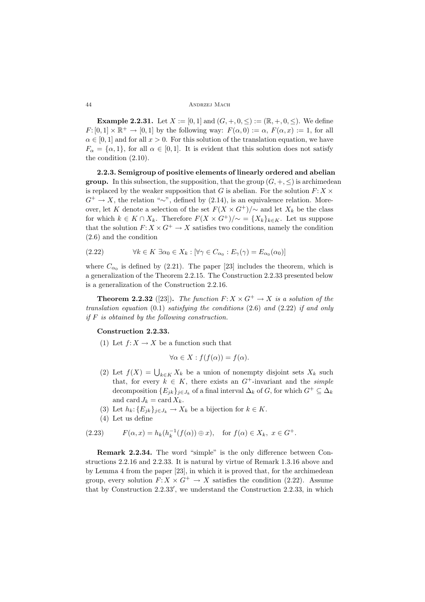**Example 2.2.31.** Let  $X := [0, 1]$  and  $(G, +, 0, \leq) := (\mathbb{R}, +, 0, \leq)$ . We define  $F: [0,1] \times \mathbb{R}^+ \to [0,1]$  by the following way:  $F(\alpha,0) := \alpha$ ,  $F(\alpha, x) := 1$ , for all  $\alpha \in [0,1]$  and for all  $x > 0$ . For this solution of the translation equation, we have  $F_{\alpha} = {\alpha, 1}$ , for all  $\alpha \in [0, 1]$ . It is evident that this solution does not satisfy the condition (2.10).

**2.2.3. Semigroup of positive elements of linearly ordered and abelian group.** In this subsection, the supposition, that the group  $(G, +, \leq)$  is archimedean is replaced by the weaker supposition that G is abelian. For the solution  $F: X \times$  $G^+ \to X$ , the relation "∼", defined by (2.14), is an equivalence relation. Moreover, let K denote a selection of the set  $F(X \times G^+) / \sim$  and let  $X_k$  be the class for which  $k \in K \cap X_k$ . Therefore  $F(X \times G^+) / \sim = \{X_k\}_{k \in K}$ . Let us suppose that the solution  $F: X \times G^+ \to X$  satisfies two conditions, namely the condition (2.6) and the condition

(2.22) 
$$
\forall k \in K \; \exists \alpha_0 \in X_k : [\forall \gamma \in C_{\alpha_0} : E_{\gamma}(\gamma) = E_{\alpha_0}(\alpha_0)]
$$

where  $C_{\alpha_0}$  is defined by (2.21). The paper [23] includes the theorem, which is a generalization of the Theorem 2.2.15. The Construction 2.2.33 presented below is a generalization of the Construction 2.2.16.

**Theorem 2.2.32** ([23]). The function  $F: X \times G^+ \to X$  is a solution of the *translation equation* (0.1) *satisfying the conditions* (2.6) *and* (2.22) *if and only if* F *is obtained by the following construction.*

# **Construction 2.2.33.**

(1) Let  $f: X \to X$  be a function such that

$$
\forall \alpha \in X : f(f(\alpha)) = f(\alpha).
$$

- (2) Let  $f(X) = \bigcup_{k \in K} X_k$  be a union of nonempty disjoint sets  $X_k$  such that for growth  $\subseteq K$  there guide an  $C^+$  invariant and the given that, for every  $k \in K$ , there exists an  $G^+$ -invariant and the *simple* decomposition  ${E_{jk}}_{j\in J_k}$  of a final interval  $\Delta_k$  of G, for which  $G^+ \subseteq \Delta_k$ and card  $J_k = \text{card } X_k$ .
- (3) Let  $h_k: \{E_{jk}\}_{j\in J_k} \to X_k$  be a bijection for  $k \in K$ .
- (4) Let us define

(2.23) 
$$
F(\alpha, x) = h_k(h_k^{-1}(f(\alpha)) \oplus x), \text{ for } f(\alpha) \in X_k, x \in G^+.
$$

**Remark 2.2.34.** The word "simple" is the only difference between Constructions 2.2.16 and 2.2.33. It is natural by virtue of Remark 1.3.16 above and by Lemma 4 from the paper [23], in which it is proved that, for the archimedean group, every solution  $F: X \times G^+ \to X$  satisfies the condition (2.22). Assume that by Construction  $2.2.33'$ , we understand the Construction  $2.2.33$ , in which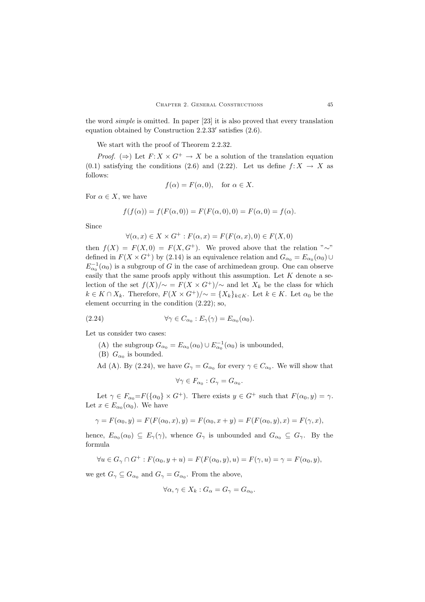the word *simple* is omitted. In paper [23] it is also proved that every translation equation obtained by Construction  $2.2.33'$  satisfies  $(2.6)$ .

We start with the proof of Theorem 2.2.32.

*Proof.* ( $\Rightarrow$ ) Let  $F: X \times G^+ \to X$  be a solution of the translation equation (0.1) satisfying the conditions (2.6) and (2.22). Let us define  $f: X \to X$  as follows:

$$
f(\alpha) = F(\alpha, 0), \quad \text{for } \alpha \in X.
$$

For  $\alpha \in X$ , we have

$$
f(f(\alpha)) = f(F(\alpha, 0)) = F(F(\alpha, 0), 0) = F(\alpha, 0) = f(\alpha).
$$

Since

$$
\forall (\alpha, x) \in X \times G^+ : F(\alpha, x) = F(F(\alpha, x), 0) \in F(X, 0)
$$

then  $f(X) = F(X, 0) = F(X, G^+)$ . We proved above that the relation "∼" defined in  $F(X \times G^+)$  by (2.14) is an equivalence relation and  $G_{\alpha_0} = E_{\alpha_0}(\alpha_0) \cup$  $E_{\alpha_0}^{-1}(\alpha_0)$  is a subgroup of G in the case of archimedean group. One can observe easily that the same proofs apply without this assumption. Let  $K$  denote a selection of the set  $f(X)/\sim$  =  $F(X \times G^+) / \sim$  and let  $X_k$  be the class for which  $k \in K \cap X_k$ . Therefore,  $F(X \times G^+) / \sim \{X_k\}_{k \in K}$ . Let  $k \in K$ . Let  $\alpha_0$  be the element occurring in the condition (2.22); so,

(2.24) 
$$
\forall \gamma \in C_{\alpha_0} : E_{\gamma}(\gamma) = E_{\alpha_0}(\alpha_0).
$$

Let us consider two cases:

- (A) the subgroup  $G_{\alpha_0} = E_{\alpha_0}(\alpha_0) \cup E_{\alpha_0}^{-1}(\alpha_0)$  is unbounded,
- (B)  $G_{\alpha_0}$  is bounded.

Ad (A). By (2.24), we have  $G_{\gamma} = G_{\alpha_0}$  for every  $\gamma \in C_{\alpha_0}$ . We will show that

$$
\forall \gamma \in F_{\alpha_0} : G_{\gamma} = G_{\alpha_0}.
$$

Let  $\gamma \in F_{\alpha_0} = F(\{\alpha_0\} \times G^+)$ . There exists  $y \in G^+$  such that  $F(\alpha_0, y) = \gamma$ . Let  $x \in E_{\alpha_0}(\alpha_0)$ . We have

$$
\gamma = F(\alpha_0, y) = F(F(\alpha_0, x), y) = F(\alpha_0, x + y) = F(F(\alpha_0, y), x) = F(\gamma, x),
$$

hence,  $E_{\alpha_0}(\alpha_0) \subseteq E_{\gamma}(\gamma)$ , whence  $G_{\gamma}$  is unbounded and  $G_{\alpha_0} \subseteq G_{\gamma}$ . By the formula

 $\forall u \in G_{\gamma} \cap G^+ : F(\alpha_0, y + u) = F(F(\alpha_0, y), u) = F(\gamma, u) = \gamma = F(\alpha_0, y),$ 

we get  $G_{\gamma} \subseteq G_{\alpha_0}$  and  $G_{\gamma} = G_{\alpha_0}$ . From the above,

$$
\forall \alpha, \gamma \in X_k : G_{\alpha} = G_{\gamma} = G_{\alpha_0}.
$$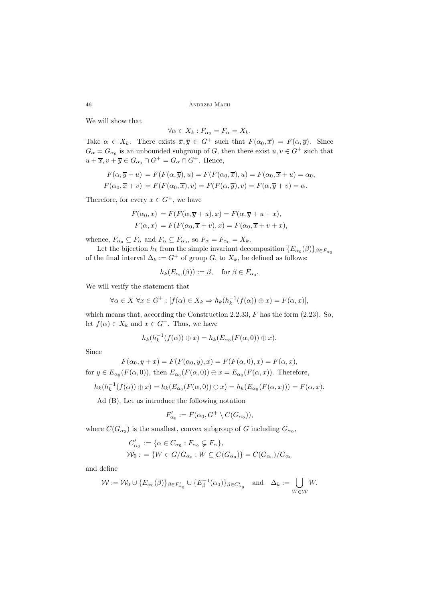46 Andrzej Mach

We will show that

$$
\forall \alpha \in X_k : F_{\alpha_0} = F_{\alpha} = X_k.
$$

Take  $\alpha \in X_k$ . There exists  $\overline{x}, \overline{y} \in G^+$  such that  $F(\alpha_0, \overline{x}) = F(\alpha, \overline{y})$ . Since  $G = G$  is an unbounded subgroup of  $G$  than there exist  $u, v \in G^+$  such that  $G_{\alpha} = G_{\alpha_0}$  is an unbounded subgroup of G, then there exist  $u, v \in G^+$  such that  $u + \overline{x}, v + \overline{y} \in G_{\alpha_0} \cap G^+ = G_{\alpha} \cap G^+$ . Hence,

$$
F(\alpha, \overline{y} + u) = F(F(\alpha, \overline{y}), u) = F(F(\alpha_0, \overline{x}), u) = F(\alpha_0, \overline{x} + u) = \alpha_0,
$$
  

$$
F(\alpha_0, \overline{x} + v) = F(F(\alpha_0, \overline{x}), v) = F(F(\alpha, \overline{y}), v) = F(\alpha, \overline{y} + v) = \alpha.
$$

Therefore, for every  $x \in G^+$ , we have

$$
F(\alpha_0, x) = F(F(\alpha, \overline{y} + u), x) = F(\alpha, \overline{y} + u + x),
$$
  

$$
F(\alpha, x) = F(F(\alpha_0, \overline{x} + v), x) = F(\alpha_0, \overline{x} + v + x),
$$

whence,  $F_{\alpha_0} \subseteq F_{\alpha}$  and  $F_{\alpha} \subseteq F_{\alpha_0}$ , so  $F_{\alpha} = F_{\alpha_0} = X_k$ .

Let the bijection  $h_k$  from the simple invariant decomposition  ${E_{\alpha_0}(\beta)}_{\beta \in F_{\alpha_0}}$ of the final interval  $\Delta_k := G^+$  of group G, to  $X_k$ , be defined as follows:

$$
h_k(E_{\alpha_0}(\beta)) := \beta, \text{ for } \beta \in F_{\alpha_0}.
$$

We will verify the statement that

$$
\forall \alpha \in X \ \forall x \in G^+ : [f(\alpha) \in X_k \Rightarrow h_k(h_k^{-1}(f(\alpha)) \oplus x) = F(\alpha, x)],
$$

which means that, according the Construction 2.2.33,  $F$  has the form  $(2.23)$ . So, let  $f(\alpha) \in X_k$  and  $x \in G^+$ . Thus, we have

$$
h_k(h_k^{-1}(f(\alpha)) \oplus x) = h_k(E_{\alpha_0}(F(\alpha,0)) \oplus x).
$$

Since

$$
F(\alpha_0, y + x) = F(F(\alpha_0, y), x) = F(F(\alpha, 0), x) = F(\alpha, x),
$$

for  $y \in E_{\alpha_0}(F(\alpha, 0))$ , then  $E_{\alpha_0}(F(\alpha, 0)) \oplus x = E_{\alpha_0}(F(\alpha, x))$ . Therefore,

$$
h_k(h_k^{-1}(f(\alpha))\oplus x)=h_k(E_{\alpha_0}(F(\alpha,0))\oplus x)=h_k(E_{\alpha_0}(F(\alpha,x)))=F(\alpha,x).
$$

Ad (B). Let us introduce the following notation

$$
F'_{\alpha_0} := F(\alpha_0, G^+ \setminus C(G_{\alpha_0})),
$$

where  $C(G_{\alpha_0})$  is the smallest, convex subgroup of G including  $G_{\alpha_0}$ ,

$$
C'_{\alpha_0} := {\alpha \in C_{\alpha_0} : F_{\alpha_0} \subsetneq F_{\alpha}},
$$
  

$$
W_0 := {W \in G/G_{\alpha_0} : W \subseteq C(G_{\alpha_0})} = C(G_{\alpha_0})/G_{\alpha_0}
$$

and define

$$
\mathcal{W} := \mathcal{W}_0 \cup \{ E_{\alpha_0}(\beta) \}_{\beta \in F'_{\alpha_0}} \cup \{ E_{\beta}^{-1}(\alpha_0) \}_{\beta \in C'_{\alpha_0}} \quad \text{and} \quad \Delta_k := \bigcup_{W \in \mathcal{W}} W.
$$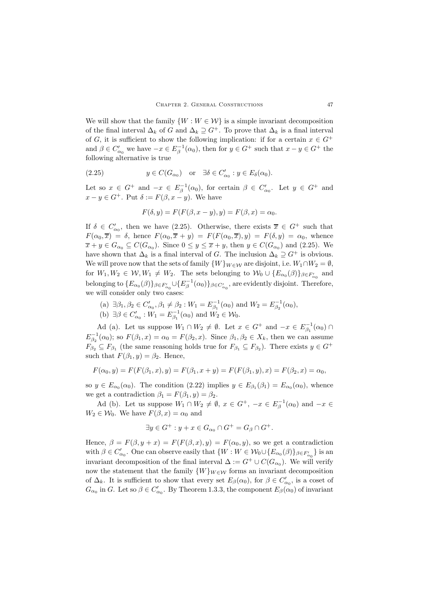We will show that the family  $\{W : W \in \mathcal{W}\}\$ is a simple invariant decomposition of the final interval  $\Delta_k$  of G and  $\Delta_k \supseteq G^+$ . To prove that  $\Delta_k$  is a final interval of G, it is sufficient to show the following implication: if for a certain  $x \in G^+$ and  $\beta \in C'_{\alpha_0}$  we have  $-x \in E_\beta^{-1}(\alpha_0)$ , then for  $y \in G^+$  such that  $x - y \in G^+$  the following alternative is two. following alternative is true

(2.25) 
$$
y \in C(G_{\alpha_0})
$$
 or  $\exists \delta \in C'_{\alpha_0} : y \in E_{\delta}(\alpha_0)$ .

Let so  $x \in G^+$  and  $-x \in E_\beta^{-1}(\alpha_0)$ , for certain  $\beta \in C'_{\alpha_0}$ . Let  $y \in G^+$  and  $x - y \in G^+$ . Put  $\delta := F(\beta, x - y)$ . We have

$$
F(\delta, y) = F(F(\beta, x - y), y) = F(\beta, x) = \alpha_0.
$$

If  $\delta \in C'_{\alpha_0}$ , then we have (2.25). Otherwise, there exists  $\overline{x} \in G^+$  such that  $F(\alpha, \overline{x}) = \delta$  have  $F(\alpha, \overline{x} + \beta) = F(F(\alpha, \overline{x}) - \beta) = F(\delta, \beta) = \alpha$ , where  $F(\alpha_0, \overline{x}) = \delta$ , hence  $F(\alpha_0, \overline{x} + y) = F(F(\alpha_0, \overline{x}), y) = F(\delta, y) = \alpha_0$ , whence  $\overline{x} + y \in G_{\alpha_0} \subseteq C(G_{\alpha_0})$ . Since  $0 \le y \le \overline{x} + y$ , then  $y \in C(G_{\alpha_0})$  and (2.25). We have shown that  $\Delta_k$  is a final interval of G. The inclusion  $\Delta_k \supseteq G^+$  is obvious. We will prove now that the sets of family  $\{W\}_{W\in\mathcal{W}}$  are disjoint, i.e.  $W_1 \cap W_2 = \emptyset$ , for  $W_1, W_2 \in \mathcal{W}, W_1 \neq W_2$ . The sets belonging to  $\mathcal{W}_0 \cup \{E_{\alpha_0}(\beta)\}_{\beta \in F'_{\alpha_0}}$  and belonging to  $\{E_{\alpha_0}(\beta)\}_{\beta \in F_{\alpha_0}'} \cup \{E_{\beta}^{-1}(\alpha_0)\}_{\beta \in C_{\alpha_0}'}$ , are evidently disjoint. Therefore, we will consider only two cases:

(a)  $\exists \beta_1, \beta_2 \in C'_{\alpha_0}, \beta_1 \neq \beta_2 : W_1 = E_{\beta_1}^{-1}(\alpha_0)$  and  $W_2 = E_{\beta_2}^{-1}(\alpha_0)$ ,<br>(b)  $\exists \beta \in C'_{\alpha_0}, W_{\alpha_1} = \beta_1$ ,  $\exists W_{\alpha_1} = W_{\alpha_2}$ (b)  $\exists \beta \in C'_{\alpha_0} : W_1 = E_{\beta_1}^{-1}(\alpha_0)$  and  $W_2 \in W_0$ .

Ad (a). Let us suppose  $W_1 \cap W_2 \neq \emptyset$ . Let  $x \in G^+$  and  $-x \in E_{\beta_1}^{-1}(\alpha_0) \cap$  $E_2^{-1}(\alpha_0)$ ; so  $F(\beta_1, x) = \alpha_0 = F(\beta_2, x)$ . Since  $\beta_1, \beta_2 \in X_k$ , then we can assume  $F_{\beta_2} \subseteq F_{\beta_1}$  (the same reasoning holds true for  $F_{\beta_1} \subseteq F_{\beta_2}$ ). There exists  $y \in G^+$ such that  $F(\beta_1, y) = \beta_2$ . Hence,

$$
F(\alpha_0, y) = F(F(\beta_1, x), y) = F(\beta_1, x + y) = F(F(\beta_1, y), x) = F(\beta_2, x) = \alpha_0,
$$

so  $y \in E_{\alpha_0}(\alpha_0)$ . The condition  $(2.22)$  implies  $y \in E_{\beta_1}(\beta_1) = E_{\alpha_0}(\alpha_0)$ , whence we get a contradiction  $\beta_1 = F(\beta_1, y) = \beta_2$ .

Ad (b). Let us suppose  $W_1 \cap W_2 \neq \emptyset$ ,  $x \in G^+$ ,  $-x \in E_\beta^{-1}(\alpha_0)$  and  $-x \in$  $W_2 \in \mathcal{W}_0$ . We have  $F(\beta, x) = \alpha_0$  and

$$
\exists y \in G^+ : y + x \in G_{\alpha_0} \cap G^+ = G_{\beta} \cap G^+.
$$

Hence,  $\beta = F(\beta, y + x) = F(F(\beta, x), y) = F(\alpha_0, y)$ , so we get a contradiction with  $\beta \in C'_{\alpha_0}$ . One can observe easily that  $\{W : W \in \mathcal{W}_0 \cup \{E_{\alpha_0}(\beta)\}_{\beta \in F'_{\alpha_0}}\}$  is an intermediate of the first intermal  $\Lambda \subset C^+ \cup C(C^-)$ . We will see if y invariant decomposition of the final interval  $\Delta := G^+ \cup C(G_{\alpha_0})$ . We will verify now the statement that the family  $\{W\}_{W\in\mathcal{W}}$  forms an invariant decomposition of  $\Delta_k$ . It is sufficient to show that every set  $E_\beta(\alpha_0)$ , for  $\beta \in C'_{\alpha_0}$ , is a coset of  $C_{\alpha_0}$  is  $C_{\alpha_0}$ . It as  $\beta \in C'$ ,  $\mathbb{R}^n$ . Theorem 1.2.2, the component  $F_\alpha(x)$  of inversion  $G_{\alpha_0}$  in G. Let so  $\beta \in C'_{\alpha_0}$ . By Theorem 1.3.3, the component  $E_{\beta}(\alpha_0)$  of invariant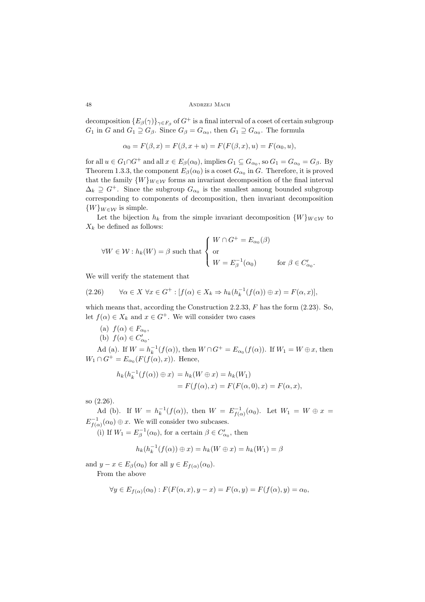48 Andrzej Mach

decomposition  ${E_\beta(\gamma)}_{\gamma \in F_\beta}$  of  $G^+$  is a final interval of a coset of certain subgroup  $G_1$  in G and  $G_1 \supseteq G_\beta$ . Since  $G_\beta = G_{\alpha_0}$ , then  $G_1 \supseteq G_{\alpha_0}$ . The formula

$$
\alpha_0 = F(\beta, x) = F(\beta, x + u) = F(F(\beta, x), u) = F(\alpha_0, u),
$$

for all  $u \in G_1 \cap G^+$  and all  $x \in E_\beta(\alpha_0)$ , implies  $G_1 \subseteq G_{\alpha_0}$ , so  $G_1 = G_{\alpha_0} = G_\beta$ . By Theorem 1.3.3, the component  $E_{\beta}(\alpha_0)$  is a coset  $G_{\alpha_0}$  in G. Therefore, it is proved that the family  $\{W\}_{W\in\mathcal{W}}$  forms an invariant decomposition of the final interval  $\Delta_k \supseteq G^+$ . Since the subgroup  $G_{\alpha_0}$  is the smallest among bounded subgroup corresponding to components of decomposition, then invariant decomposition  $\{W\}_{W\in\mathcal{W}}$  is simple.

Let the bijection  $h_k$  from the simple invariant decomposition  $\{W\}_{W\in\mathcal{W}}$  to  $X_k$  be defined as follows:

$$
\forall W \in \mathcal{W} : h_k(W) = \beta \text{ such that } \begin{cases} W \cap G^+ = E_{\alpha_0}(\beta) \\ \text{or} \\ W = E_{\beta}^{-1}(\alpha_0) \end{cases} \text{ for } \beta \in C'_{\alpha_0}.
$$

We will verify the statement that

(2.26) 
$$
\forall \alpha \in X \ \forall x \in G^+ : [f(\alpha) \in X_k \Rightarrow h_k(h_k^{-1}(f(\alpha)) \oplus x) = F(\alpha, x)],
$$

which means that, according the Construction 2.2.33,  $F$  has the form  $(2.23)$ . So, let  $f(\alpha) \in X_k$  and  $x \in G^+$ . We will consider two cases

- (a)  $f(\alpha) \in F_{\alpha_0}$ ,
- (b)  $f(\alpha) \in C'_{\alpha_0}$ .

Ad (a). If  $W = h_k^{-1}(f(\alpha))$ , then  $W \cap G^+ = E_{\alpha_0}(f(\alpha))$ . If  $W_1 = W \oplus x$ , then  $W_1 \cap G^+ = E_{\alpha_0}(F(f(\alpha), x)).$  Hence,

$$
h_k(h_k^{-1}(f(\alpha)) \oplus x) = h_k(W \oplus x) = h_k(W_1)
$$
  
=  $F(f(\alpha), x) = F(F(\alpha, 0), x) = F(\alpha, x),$ 

so (2.26).

Ad (b). If  $W = h_k^{-1}(f(\alpha))$ , then  $W = E_{f(\alpha)}^{-1}(\alpha_0)$ . Let  $W_1 = W \oplus x =$  $E_{f(\alpha)}^{-1}(\alpha_0) \oplus x$ . We will consider two subcases.

(i) If  $W_1 = E_\beta^{-1}(\alpha_0)$ , for a certain  $\beta \in C'_{\alpha_0}$ , then

$$
h_k(h_k^{-1}(f(\alpha)) \oplus x) = h_k(W \oplus x) = h_k(W_1) = \beta
$$

and  $y - x \in E_{\beta}(\alpha_0)$  for all  $y \in E_{f(\alpha)}(\alpha_0)$ . From the above

$$
\forall y \in E_{f(\alpha)}(\alpha_0) : F(F(\alpha, x), y - x) = F(\alpha, y) = F(f(\alpha), y) = \alpha_0,
$$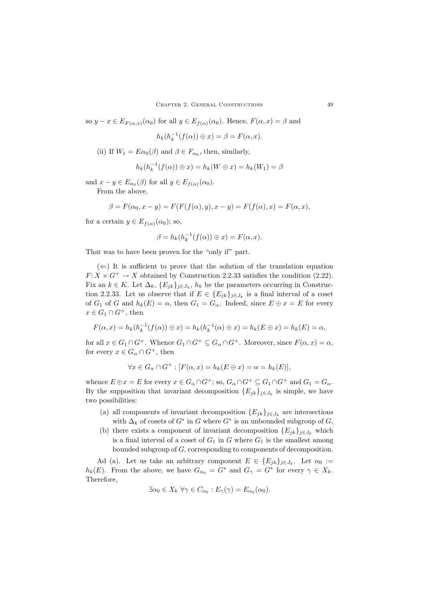so  $y - x \in E_{F(\alpha,x)}(\alpha_0)$  for all  $y \in E_{f(\alpha)}(\alpha_0)$ . Hence,  $F(\alpha, x) = \beta$  and

$$
h_k(h_k^{-1}(f(\alpha)) \oplus x) = \beta = F(\alpha, x).
$$

(ii) If  $W_1 = E\alpha_0(\beta)$  and  $\beta \in F_{\alpha_0}$ , then, similarly,

$$
h_k(h_k^{-1}(f(\alpha)) \oplus x) = h_k(W \oplus x) = h_k(W_1) = \beta
$$

and  $x - y \in E_{\alpha_0}(\beta)$  for all  $y \in E_{f(\alpha)}(\alpha_0)$ .

From the above,

$$
\beta = F(\alpha_0, x - y) = F(F(f(\alpha), y), x - y) = F(f(\alpha), x) = F(\alpha, x),
$$

for a certain  $y \in E_{f(\alpha)}(\alpha_0)$ ; so,

$$
\beta = h_k(h_k^{-1}(f(\alpha)) \oplus x) = F(\alpha, x).
$$

That was to have been proven for the "only if" part.

 $(\Leftarrow)$  It is sufficient to prove that the solution of the translation equation  $F: X \times G^+ \to X$  obtained by Construction 2.2.33 satisfies the condition (2.22). Fix an  $k \in K$ . Let  $\Delta_k$ ,  $\{E_{jk}\}_{j\in J_k}$ ,  $h_k$  be the parameters occurring in Construction 2.2.33. Let us observe that if  $E \in \{E_{jk}\}_{j\in J_k}$  is a final interval of a coset of  $G_1$  of G and  $h_k(E) = \alpha$ , then  $G_1 = G_\alpha$ . Indeed, since  $E \oplus x = E$  for every  $x \in G_1 \cap G^+$ , then

$$
F(\alpha, x) = h_k(h_k^{-1}(f(\alpha)) \oplus x) = h_k(h_k^{-1}(\alpha) \oplus x) = h_k(E \oplus x) = h_k(E) = \alpha,
$$

for all  $x \in G_1 \cap G^+$ . Whence  $G_1 \cap G^+ \subseteq G_\alpha \cap G^+$ . Moreover, since  $F(\alpha, x) = \alpha$ , for every  $x \in G_\alpha \cap G^+$ , then

$$
\forall x \in G_{\alpha} \cap G^{+} : [F(\alpha, x) = h_{k}(E \oplus x) = \alpha = h_{k}(E)],
$$

whence  $E \oplus x = E$  for every  $x \in G_\alpha \cap G^+$ ; so,  $G_\alpha \cap G^+ \subseteq G_1 \cap G^+$  and  $G_1 = G_\alpha$ . By the supposition that invariant decomposition  ${E_{jk}}_{j \in J_k}$  is simple, we have two possibilities:

- (a) all components of invariant decomposition  ${E_{ik}}_{i \in J_k}$  are intersections with  $\Delta_k$  of cosets of  $G^*$  in G where  $G^*$  is an unbounded subgroup of G,
- (b) there exists a component of invariant decomposition  ${E_{jk}}_{j \in J_k}$  which is a final interval of a coset of  $G_1$  in G where  $G_1$  is the smallest among bounded subgroup of G, corresponding to components of decomposition.

Ad (a). Let us take an arbitrary component  $E \in \{E_{jk}\}_{j\in J_k}$ . Let  $\alpha_0 :=$  $h_k(E)$ . From the above, we have  $G_{\alpha_0} = G^*$  and  $G_{\gamma} = G^*$  for every  $\gamma \in X_k$ . Therefore,

$$
\exists \alpha_0 \in X_k \,\,\forall \gamma \in C_{\alpha_0} : E_{\gamma}(\gamma) = E_{\alpha_0}(\alpha_0).
$$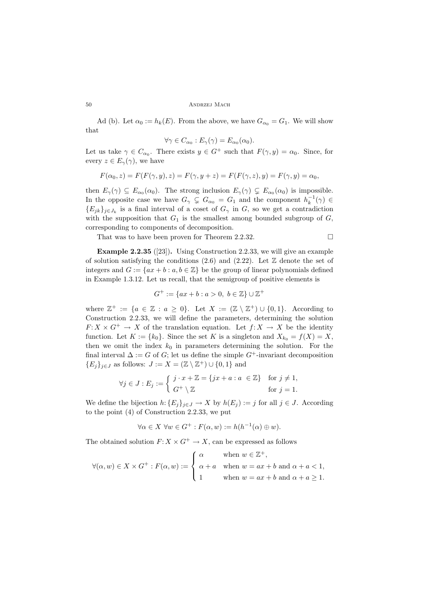Ad (b). Let  $\alpha_0 := h_k(E)$ . From the above, we have  $G_{\alpha_0} = G_1$ . We will show that

$$
\forall \gamma \in C_{\alpha_0} : E_{\gamma}(\gamma) = E_{\alpha_0}(\alpha_0).
$$

Let us take  $\gamma \in C_{\alpha_0}$ . There exists  $y \in G^+$  such that  $F(\gamma, y) = \alpha_0$ . Since, for every  $z \in E_{\gamma}(\gamma)$ , we have

$$
F(\alpha_0, z) = F(F(\gamma, y), z) = F(\gamma, y + z) = F(F(\gamma, z), y) = F(\gamma, y) = \alpha_0,
$$

then  $E_{\gamma}(\gamma) \subseteq E_{\alpha_0}(\alpha_0)$ . The strong inclusion  $E_{\gamma}(\gamma) \subsetneq E_{\alpha_0}(\alpha_0)$  is impossible. In the opposite case we have  $G_{\gamma} \subsetneq G_{\alpha_0} = G_1$  and the component  $h_k^{-1}(\gamma) \in$  ${E_{ik}}_{i\in J_k}$  is a final interval of a coset of  $G_\gamma$  in G, so we get a contradiction with the supposition that  $G_1$  is the smallest among bounded subgroup of  $G$ , corresponding to components of decomposition.

That was to have been proven for Theorem 2.2.32.

$$
\qquad \qquad \Box
$$

**Example 2.2.35** ([23])**.** Using Construction 2.2.33, we will give an example of solution satisfying the conditions  $(2.6)$  and  $(2.22)$ . Let  $\mathbb Z$  denote the set of integers and  $G := \{ax + b : a, b \in \mathbb{Z}\}\$ be the group of linear polynomials defined in Example 1.3.12. Let us recall, that the semigroup of positive elements is

$$
G^{+} := \{ ax + b : a > 0, \ b \in \mathbb{Z} \} \cup \mathbb{Z}^{+}
$$

where  $\mathbb{Z}^+ := \{a \in \mathbb{Z} : a \geq 0\}$ . Let  $X := (\mathbb{Z} \setminus \mathbb{Z}^+) \cup \{0,1\}$ . According to Construction 2.2.33, we will define the parameters, determining the solution  $F: X \times G^+ \to X$  of the translation equation. Let  $f: X \to X$  be the identity function. Let  $K := \{k_0\}$ . Since the set K is a singleton and  $X_{k_0} = f(X) = X$ , then we omit the index  $k_0$  in parameters determining the solution. For the final interval  $\Delta := G$  of G; let us define the simple  $G^+$ -invariant decomposition  ${E_i}_{i \in J}$  as follows:  $J := X = (\mathbb{Z} \setminus \mathbb{Z}^+) \cup \{0, 1\}$  and

$$
\forall j \in J : E_j := \begin{cases} j \cdot x + \mathbb{Z} = \{ jx + a : a \in \mathbb{Z} \} & \text{for } j \neq 1, \\ G^+ \setminus \mathbb{Z} & \text{for } j = 1. \end{cases}
$$

We define the bijection  $h: \{E_j\}_{j\in J} \to X$  by  $h(E_j) := j$  for all  $j \in J$ . According to the point (4) of Construction 2.2.33, we put

$$
\forall \alpha \in X \ \forall w \in G^+ : F(\alpha, w) := h(h^{-1}(\alpha) \oplus w).
$$

The obtained solution  $F: X \times G^+ \to X$ , can be expressed as follows

$$
\forall (\alpha, w) \in X \times G^+ : F(\alpha, w) := \begin{cases} \alpha & \text{when } w \in \mathbb{Z}^+, \\ \alpha + a & \text{when } w = ax + b \text{ and } \alpha + a < 1, \\ 1 & \text{when } w = ax + b \text{ and } \alpha + a \ge 1. \end{cases}
$$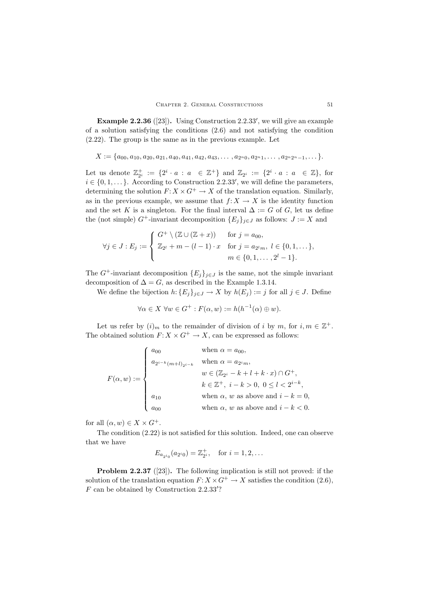**Example 2.2.36** ([23]). Using Construction 2.2.33', we will give an example of a solution satisfying the conditions (2.6) and not satisfying the condition (2.22). The group is the same as in the previous example. Let

$$
X := \{a_{00}, a_{10}, a_{20}, a_{21}, a_{40}, a_{41}, a_{42}, a_{43}, \ldots, a_{2^n 0}, a_{2^n 1}, \ldots, a_{2^n 2^n - 1}, \ldots\}.
$$

Let us denote  $\mathbb{Z}_{2^i}^+ := \{2^i \cdot a : a \in \mathbb{Z}^+\}$  and  $\mathbb{Z}_{2^i} := \{2^i \cdot a : a \in \mathbb{Z}\}$ , for  $i \in \{0, 1, \ldots\}$ . According to Construction 2.2.33', we will define the parameters,<br>determining the solution  $F: X \times C^+ \to X$  of the translation equation. Similarly determining the solution  $F: X \times G^+ \to X$  of the translation equation. Similarly, as in the previous example, we assume that  $f: X \to X$  is the identity function and the set K is a singleton. For the final interval  $\Delta := G$  of G, let us define the (not simple) G<sup>+</sup>-invariant decomposition  ${E_j}_{j \in J}$  as follows:  $J := X$  and

$$
\forall j \in J : E_j := \begin{cases} G^+ \setminus (\mathbb{Z} \cup (\mathbb{Z} + x)) & \text{for } j = a_{00}, \\ \mathbb{Z}_{2^l} + m - (l - 1) \cdot x & \text{for } j = a_{2^l m}, \ l \in \{0, 1, \dots\}, \\ m \in \{0, 1, \dots, 2^l - 1\}. \end{cases}
$$

The  $G^+$ -invariant decomposition  $\{E_j\}_{j\in J}$  is the same, not the simple invariant decomposition of  $\Delta = G$ , as described in the Example 1.3.14.

We define the bijection  $h: \{E_j\}_{j\in J} \to X$  by  $h(E_j) := j$  for all  $j \in J$ . Define

$$
\forall \alpha \in X \ \forall w \in G^+ : F(\alpha, w) := h(h^{-1}(\alpha) \oplus w).
$$

Let us refer by  $(i)_m$  to the remainder of division of i by m, for  $i, m \in \mathbb{Z}^+$ . The obtained solution  $F: X \times G^+ \to X$ , can be expressed as follows:

$$
F(\alpha, w) := \begin{cases} a_{00} & \text{when } \alpha = a_{00}, \\ a_{2^{i-k}(m+l)_{2^{i-k}}} & \text{when } \alpha = a_{2^i m}, \\ & w \in (\mathbb{Z}_{2^i} - k + l + k \cdot x) \cap G^+, \\ & k \in \mathbb{Z}^+, \ i - k > 0, \ 0 \le l < 2^{i-k}, \\ a_{10} & \text{when } \alpha, w \text{ as above and } i - k = 0, \\ a_{00} & \text{when } \alpha, w \text{ as above and } i - k < 0. \end{cases}
$$

for all  $(\alpha, w) \in X \times G^+$ .

The condition (2.22) is not satisfied for this solution. Indeed, one can observe that we have

$$
E_{a_{2^{i_0}}}(a_{2^{i_0}}) = \mathbb{Z}_{2^{i}}^+, \text{ for } i = 1, 2, ...
$$

**Problem 2.2.37** ([23]). The following implication is still not proved: if the solution of the translation equation  $F: X \times G^+ \to X$  satisfies the condition (2.6),  $F$  can be obtained by Construction 2.2.33<sup>7</sup>?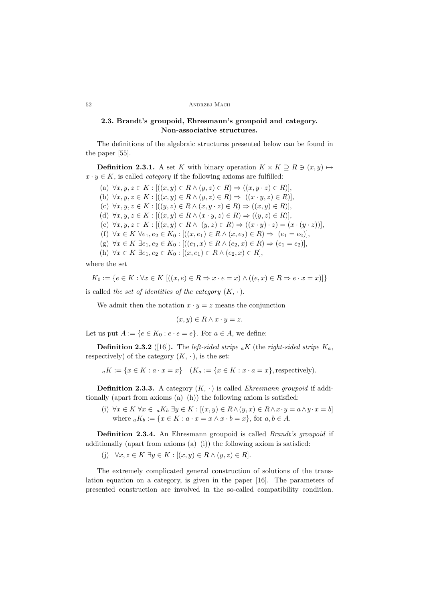# **2.3. Brandt's groupoid, Ehresmann's groupoid and category. Non-associative structures.**

The definitions of the algebraic structures presented below can be found in the paper [55].

**Definition 2.3.1.** A set K with binary operation  $K \times K \supseteq R \supseteq (x, y) \mapsto$  $x \cdot y \in K$ , is called *category* if the following axioms are fulfilled:

(a)  $\forall x, y, z \in K : [((x, y) \in R \land (y, z) \in R) \Rightarrow ((x, y \cdot z) \in R)],$ (b)  $\forall x, y, z \in K : [(x, y) \in R \land (y, z) \in R) \Rightarrow ((x \cdot y, z) \in R)],$ (c)  $\forall x, y, z \in K : [((y, z) \in R \land (x, y \cdot z) \in R) \Rightarrow ((x, y) \in R)],$ (d)  $\forall x, y, z \in K : [(x, y) \in R \land (x \cdot y, z) \in R) \Rightarrow ((y, z) \in R)],$ (e)  $\forall x, y, z \in K : [(x, y) \in R \land (y, z) \in R) \Rightarrow ((x \cdot y) \cdot z) = (x \cdot (y \cdot z))],$ (f)  $\forall x \in K \ \forall e_1, e_2 \in K_0 : [((x, e_1) \in R \land (x, e_2) \in R) \Rightarrow (e_1 = e_2)],$ (g)  $\forall x \in K \exists e_1, e_2 \in K_0 : [((e_1, x) \in R \land (e_2, x) \in R) \Rightarrow (e_1 = e_2)],$ (h)  $\forall x \in K \exists e_1, e_2 \in K_0 : [(x, e_1) \in R \land (e_2, x) \in R],$ 

where the set

$$
K_0 := \{ e \in K : \forall x \in K \; [((x, e) \in R \Rightarrow x \cdot e = x) \land ((e, x) \in R \Rightarrow e \cdot x = x)] \}
$$

is called *the set of identities of the category*  $(K, \cdot)$ .

We admit then the notation  $x \cdot y = z$  means the conjunction

 $(x, y) \in R \wedge x \cdot y = z.$ 

Let us put  $A := \{e \in K_0 : e \cdot e = e\}$ . For  $a \in A$ , we define:

**Definition 2.3.2** ([16]). The *left-sided stripe*  $_{a}K$  (the *right-sided stripe*  $K_a$ , respectively) of the category  $(K, \cdot)$ , is the set:

$$
{}_{a}K := \{x \in K : a \cdot x = x\} \quad (K_a := \{x \in K : x \cdot a = x\},
$$
 respectively).

**Definition 2.3.3.** A category  $(K, \cdot)$  is called *Ehresmann groupoid* if additionally (apart from axioms  $(a)$ – $(h)$ ) the following axiom is satisfied:

(i)  $\forall x \in K \ \forall x \in aK_b \ \exists y \in K : [(x, y) \in R \land (y, x) \in R \land x \cdot y = a \land y \cdot x = b]$ where  $aK_b := \{x \in K : a \cdot x = x \wedge x \cdot b = x\}$ , for  $a, b \in A$ .

**Definition 2.3.4.** An Ehresmann groupoid is called *Brandt's groupoid* if additionally (apart from axioms  $(a)$ –(i)) the following axiom is satisfied:

(j)  $\forall x, z \in K \exists y \in K : [(x, y) \in R \land (y, z) \in R].$ 

The extremely complicated general construction of solutions of the translation equation on a category, is given in the paper [16]. The parameters of presented construction are involved in the so-called compatibility condition.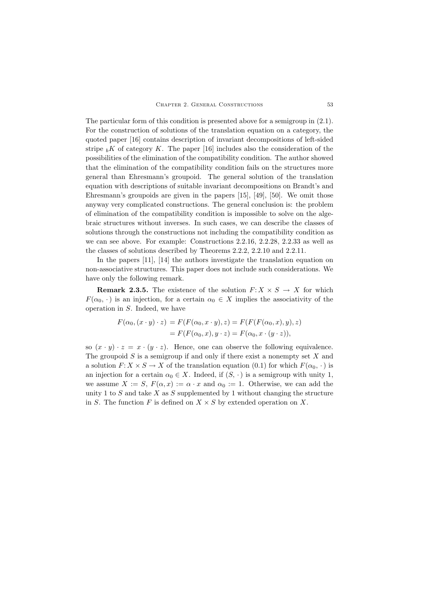The particular form of this condition is presented above for a semigroup in (2.1). For the construction of solutions of the translation equation on a category, the quoted paper [16] contains description of invariant decompositions of left-sided stripe  $b^K$  of category K. The paper [16] includes also the consideration of the possibilities of the elimination of the compatibility condition. The author showed that the elimination of the compatibility condition fails on the structures more general than Ehresmann's groupoid. The general solution of the translation equation with descriptions of suitable invariant decompositions on Brandt's and Ehresmann's groupoids are given in the papers [15], [49], [50]. We omit those anyway very complicated constructions. The general conclusion is: the problem of elimination of the compatibility condition is impossible to solve on the algebraic structures without inverses. In such cases, we can describe the classes of solutions through the constructions not including the compatibility condition as we can see above. For example: Constructions 2.2.16, 2.2.28, 2.2.33 as well as the classes of solutions described by Theorems 2.2.2, 2.2.10 and 2.2.11.

In the papers [11], [14] the authors investigate the translation equation on non-associative structures. This paper does not include such considerations. We have only the following remark.

**Remark 2.3.5.** The existence of the solution  $F: X \times S \rightarrow X$  for which  $F(\alpha_0, \cdot)$  is an injection, for a certain  $\alpha_0 \in X$  implies the associativity of the operation in S. Indeed, we have

$$
F(\alpha_0, (x \cdot y) \cdot z) = F(F(\alpha_0, x \cdot y), z) = F(F(F(\alpha_0, x), y), z)
$$
  
= 
$$
F(F(\alpha_0, x), y \cdot z) = F(\alpha_0, x \cdot (y \cdot z)),
$$

so  $(x \cdot y) \cdot z = x \cdot (y \cdot z)$ . Hence, one can observe the following equivalence. The groupoid  $S$  is a semigroup if and only if there exist a nonempty set  $X$  and a solution  $F: X \times S \to X$  of the translation equation (0.1) for which  $F(\alpha_0, \cdot)$  is an injection for a certain  $\alpha_0 \in X$ . Indeed, if  $(S, \cdot)$  is a semigroup with unity 1, we assume  $X := S$ ,  $F(\alpha, x) := \alpha \cdot x$  and  $\alpha_0 := 1$ . Otherwise, we can add the unity 1 to  $S$  and take  $X$  as  $S$  supplemented by 1 without changing the structure in S. The function F is defined on  $X \times S$  by extended operation on X.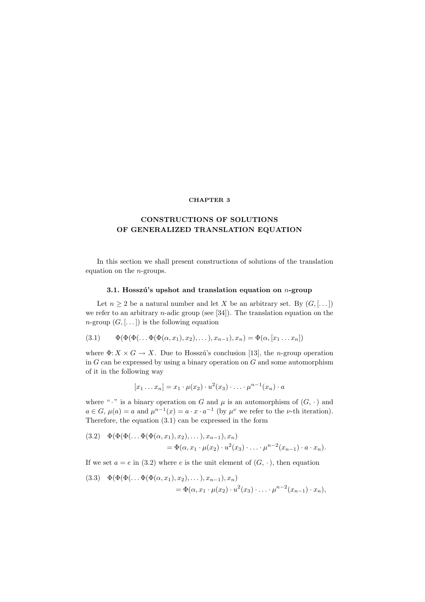### **CHAPTER 3**

# **CONSTRUCTIONS** OF SOLUTIONS **OF GENERALIZED TRANSLATION EQUATION**

In this section we shall present constructions of solutions of the translation equation on the n-groups.

# **3.1. Hosszú's upshot and translation equation on** *n***-group**

Let  $n \geq 2$  be a natural number and let X be an arbitrary set. By  $(G, [\dots])$ we refer to an arbitrary *n*-adic group (see [34]). The translation equation on the  $n\text{-group } (G, [\dots])$  is the following equation

(3.1) 
$$
\Phi(\Phi(\Phi(\ldots \Phi(\Phi(\alpha, x_1), x_2), \ldots), x_{n-1}), x_n) = \Phi(\alpha, [x_1 \ldots x_n])
$$

where  $\Phi: X \times G \to X$ . Due to Hosszú's conclusion [13], the *n*-group operation in  $G$  can be expressed by using a binary operation on  $G$  and some automorphism of it in the following way

$$
[x_1 \dots x_n] = x_1 \cdot \mu(x_2) \cdot u^2(x_3) \cdot \ldots \cdot \mu^{n-1}(x_n) \cdot a
$$

where " $\cdot$ " is a binary operation on G and  $\mu$  is an automorphism of  $(G, \cdot)$  and  $a \in G$ ,  $\mu(a) = a$  and  $\mu^{n-1}(x) = a \cdot x \cdot a^{-1}$  (by  $\mu^{\nu}$  we refer to the  $\nu$ -th iteration). Therefore, the equation (3.1) can be expressed in the form

(3.2) 
$$
\Phi(\Phi(\Phi(\dots \Phi(\Phi(\alpha, x_1), x_2), \dots), x_{n-1}), x_n) = \Phi(\alpha, x_1 \cdot \mu(x_2) \cdot u^2(x_3) \cdot \dots \cdot \mu^{n-2}(x_{n-1}) \cdot a \cdot x_n).
$$

If we set  $a = e$  in (3.2) where e is the unit element of  $(G, \cdot)$ , then equation

(3.3) 
$$
\Phi(\Phi(\Phi(\dots \Phi(\Phi(\alpha, x_1), x_2), \dots), x_{n-1}), x_n) = \Phi(\alpha, x_1 \cdot \mu(x_2) \cdot u^2(x_3) \cdot \dots \cdot \mu^{n-2}(x_{n-1}) \cdot x_n),
$$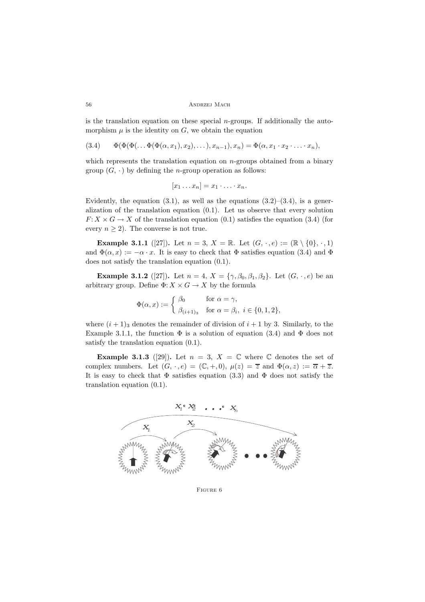```
56 ANDRZEJ MACH
```
is the translation equation on these special  $n$ -groups. If additionally the automorphism  $\mu$  is the identity on  $G$ , we obtain the equation

(3.4)  $\Phi(\Phi(\Phi(\ldots \Phi(\Phi(\alpha, x_1), x_2), \ldots), x_{n-1}), x_n) = \Phi(\alpha, x_1 \cdot x_2 \cdot \ldots \cdot x_n),$ 

which represents the translation equation on  $n$ -groups obtained from a binary group  $(G, \cdot)$  by defining the *n*-group operation as follows:

$$
[x_1 \ldots x_n] = x_1 \cdot \ldots \cdot x_n.
$$

Evidently, the equation  $(3.1)$ , as well as the equations  $(3.2)$ – $(3.4)$ , is a generalization of the translation equation (0.1). Let us observe that every solution  $F: X \times G \to X$  of the translation equation (0.1) satisfies the equation (3.4) (for every  $n \geq 2$ ). The converse is not true.

**Example 3.1.1** ([27]). Let  $n = 3$ ,  $X = \mathbb{R}$ . Let  $(G, \cdot, e) := (\mathbb{R} \setminus \{0\}, \cdot, 1)$ and  $\Phi(\alpha, x) := -\alpha \cdot x$ . It is easy to check that  $\Phi$  satisfies equation (3.4) and  $\Phi$ does not satisfy the translation equation (0.1).

**Example 3.1.2** ([27]). Let  $n = 4$ ,  $X = \{\gamma, \beta_0, \beta_1, \beta_2\}$ . Let  $(G, \cdot, e)$  be an arbitrary group. Define  $\Phi: X \times G \to X$  by the formula

$$
\Phi(\alpha, x) := \begin{cases} \beta_0 & \text{for } \alpha = \gamma, \\ \beta_{(i+1)_3} & \text{for } \alpha = \beta_i, \ i \in \{0, 1, 2\}, \end{cases}
$$

where  $(i + 1)$ <sub>3</sub> denotes the remainder of division of  $i + 1$  by 3. Similarly, to the Example 3.1.1, the function  $\Phi$  is a solution of equation (3.4) and  $\Phi$  does not satisfy the translation equation (0.1).

**Example 3.1.3** ([29]). Let  $n = 3$ ,  $X = \mathbb{C}$  where  $\mathbb{C}$  denotes the set of complex numbers. Let  $(G, \cdot, e) = (\mathbb{C}, +, 0), \mu(z) = \overline{z}$  and  $\Phi(\alpha, z) := \overline{\alpha} + \overline{z}$ . It is easy to check that  $\Phi$  satisfies equation (3.3) and  $\Phi$  does not satisfy the translation equation (0.1).

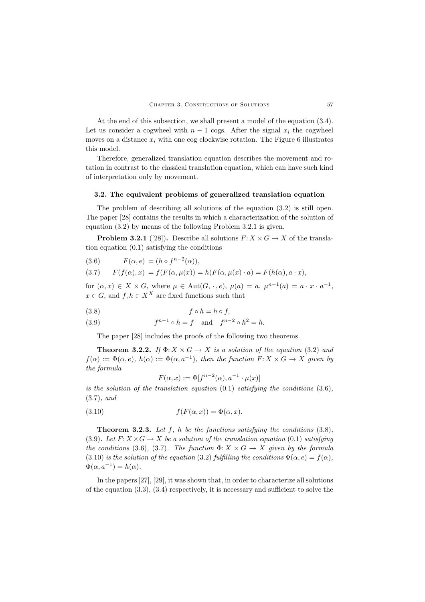At the end of this subsection, we shall present a model of the equation (3.4). Let us consider a cogwheel with  $n-1$  cogs. After the signal  $x_i$  the cogwheel moves on a distance  $x_i$  with one cog clockwise rotation. The Figure 6 illustrates this model.

Therefore, generalized translation equation describes the movement and rotation in contrast to the classical translation equation, which can have such kind of interpretation only by movement.

### **3.2. The equivalent problems of generalized translation equation**

The problem of describing all solutions of the equation (3.2) is still open. The paper [28] contains the results in which a characterization of the solution of equation (3.2) by means of the following Problem 3.2.1 is given.

**Problem 3.2.1** ([28]). Describe all solutions  $F: X \times G \to X$  of the translation equation (0.1) satisfying the conditions

(3.6) 
$$
F(\alpha, e) = (h \circ f^{n-2}(\alpha)),
$$

(3.7) 
$$
F(f(\alpha),x) = f(F(\alpha,\mu(x))) = h(F(\alpha,\mu(x) \cdot a) = F(h(\alpha),a \cdot x),
$$

for  $(\alpha, x) \in X \times G$ , where  $\mu \in \text{Aut}(G, \cdot, e)$ ,  $\mu(a) = a$ ,  $\mu^{n-1}(a) = a \cdot x \cdot a^{-1}$ ,  $x \in G$ , and  $f, h \in X^X$  are fixed functions such that

$$
(3.8) \t\t f \circ h = h \circ f,
$$

(3.9) 
$$
f^{n-1} \circ h = f
$$
 and  $f^{n-2} \circ h^2 = h$ .

The paper [28] includes the proofs of the following two theorems.

**Theorem 3.2.2.** *If*  $\Phi: X \times G \to X$  *is a solution of the equation* (3.2) *and*  $f(\alpha) := \Phi(\alpha, e)$ ,  $h(\alpha) := \Phi(\alpha, a^{-1})$ , then the function  $F: X \times G \to X$  given by *the formula*

$$
F(\alpha, x) := \Phi[f^{n-2}(\alpha), a^{-1} \cdot \mu(x)]
$$

 $F(\alpha, x) := \Phi[f^{n-2}(\alpha), a^{-1} \cdot \mu(x)]$ <br>*is the solution of the translation equation* (0.1) *satisfying the conditions* (3.6)*,* (3.7)*, and*

(3.10) 
$$
f(F(\alpha, x)) = \Phi(\alpha, x).
$$

**Theorem 3.2.3.** *Let* f*,* h *be the functions satisfying the conditions* (3.8)*,* (3.9)*.* Let  $F: X \times G \to X$  be a solution of the translation equation (0.1) satisfying *the conditions* (3.6)*,* (3.7)*. The function*  $\Phi: X \times G \to X$  *given by the formula* (3.10) *is the solution of the equation* (3.2) *fulfilling the conditions*  $\Phi(\alpha, e) = f(\alpha)$ *,*  $\Phi(\alpha, a^{-1}) = h(\alpha)$ .

In the papers [27], [29], it was shown that, in order to characterize all solutions of the equation  $(3.3)$ ,  $(3.4)$  respectively, it is necessary and sufficient to solve the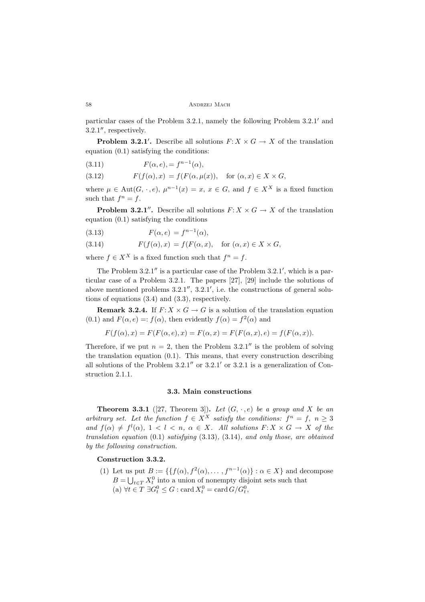particular cases of the Problem 3.2.1, namely the following Problem 3.2.1 and  $3.2.1''$ , respectively.

**Problem 3.2.1'.** Describe all solutions  $F: X \times G \to X$  of the translation (0.1) optionary the conditions: equation (0.1) satisfying the conditions:

(3.11) 
$$
F(\alpha, e) = f^{n-1}(\alpha),
$$

(3.12) 
$$
F(f(\alpha),x) = f(F(\alpha,\mu(x)), \text{ for } (\alpha,x) \in X \times G,
$$

where  $\mu \in \text{Aut}(G, \cdot, e)$ ,  $\mu^{n-1}(x) = x, x \in G$ , and  $f \in X^X$  is a fixed function such that  $f^n = f$ such that  $f^n = f$ .

**Problem 3.2.1<sup>***n***</sup>.** Describe all solutions  $F: X \times G \rightarrow X$  of the translation equation (0.1) satisfying the conditions

(3.13) 
$$
F(\alpha, e) = f^{n-1}(\alpha),
$$

(3.14)  $F(f(\alpha), x) = f(F(\alpha, x)), \text{ for } (\alpha, x) \in X \times G,$ 

where  $f \in X^X$  is a fixed function such that  $f^n = f$ .

The Problem  $3.2.1''$  is a particular case of the Problem  $3.2.1'$ , which is a particular case of a Problem 3.2.1. The papers [27], [29] include the solutions of above mentioned problems  $3.2.1''$ ,  $3.2.1'$ , i.e. the constructions of general solutions of equations (3.4) and (3.3), respectively.

**Remark 3.2.4.** If  $F: X \times G \to G$  is a solution of the translation equation (0.1) and  $F(\alpha, e) =: f(\alpha)$ , then evidently  $f(\alpha) = f^2(\alpha)$  and

$$
F(f(\alpha),x) = F(F(\alpha,e),x) = F(\alpha,x) = F(F(\alpha,x),e) = f(F(\alpha,x)).
$$

Therefore, if we put  $n = 2$ , then the Problem 3.2.1" is the problem of solving the translation equation (0.1). This means, that every construction describing all solutions of the Problem  $3.2.1''$  or  $3.2.1'$  or  $3.2.1$  is a generalization of Construction 2.1.1.

#### **3.3. Main constructions**

**Theorem 3.3.1** ([27, Theorem 3]). Let  $(G, \cdot, e)$  be a group and X be an *arbitrary set. Let the function*  $f \in X^X$  *satisfy the conditions:*  $f^n = f, n \geq 3$ *and*  $f(\alpha) \neq f^{l}(\alpha)$ ,  $1 < l < n$ ,  $\alpha \in X$ . All solutions  $F: X \times G \to X$  of the translation constitue (0.1) estimates (3.13) (3.14) and only those are obtained *translation equation* (0.1) *satisfying* (3.13)*,* (3.14)*, and only those, are obtained by the following construction.*

# **Construction 3.3.2.**

(1) Let us put  $B := \{f(\alpha), f^2(\alpha), \dots, f^{n-1}(\alpha)\} : \alpha \in X\}$  and decompose  $B = \bigcup_{t \in T} X_t^0$  into a union of nonempty disjoint sets such that (a)  $\forall t \in T \ \exists G_t^0 \leq G : \text{card } X_t^0 = \text{card } G/G_t^0,$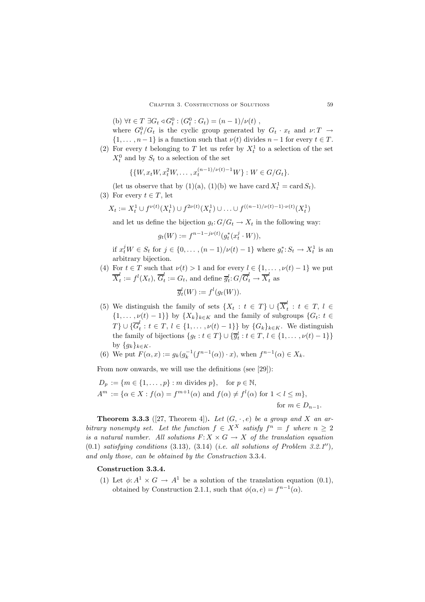(b)  $\forall t \in T \exists G_t \triangleleft G_t^0 : (G_t^0 : G_t) = (n-1)/\nu(t)$ ,<br>where  $G^0/G$  is the quality group generated by

where  $G_t^0/G_t$  is the cyclic group generated by  $G_t \cdot x_t$  and  $\nu: T \to$  $\{1,\ldots,n-1\}$  is a function such that  $\nu(t)$  divides  $n-1$  for every  $t \in T$ .

(2) For every t belonging to T let us refer by  $X_t^1$  to a selection of the set  $X_t^0$  and by  $S_t$  to a selection of the set

$$
\{\{W, x_t W, x_t^2 W, \dots, x_t^{(n-1)/\nu(t)-1} W\} : W \in G/G_t\}.
$$

(let us observe that by (1)(a), (1)(b) we have card  $X_t^1 = \text{card } S_t$ ).<br>For event  $t \in T$ , let

(3) For every  $t \in T$ , let

$$
X_t := X_t^1 \cup f^{\nu(t)}(X_t^1) \cup f^{2\nu(t)}(X_t^1) \cup \ldots \cup f^{((n-1)/\nu(t)-1)\cdot \nu(t)}(X_t^1)
$$

and let us define the bijection  $g_t: G/G_t \to X_t$  in the following way:

$$
g_t(W) := f^{n-1-j\nu(t)}(g_t^*(x_t^j \cdot W)),
$$

if  $x_t^j W \in S_t$  for  $j \in \{0, ..., (n-1)/\nu(t) - 1\}$  where  $g_t^* : S_t \to X_t^1$  is an orbitrary bijection arbitrary bijection.

- (4) For  $t \in T$  such that  $\nu(t) > 1$  and for every  $l \in \{1, \ldots, \nu(t) 1\}$  we put  $X_t^{\epsilon} := f^t(X_t), G_t^{\epsilon} := G_t$ , and define  $\overline{g}_t^t: G/G_t^{\epsilon} \to X_t^{\epsilon}$  as  $\overline{g}_t^l(W) := f^l(g_t(W)).$
- (5) We distinguish the family of sets  $\{X_t : t \in T\} \cup \{X_t^* : t \in T, l \in$  $\{1,\ldots,\nu(t)-1\}$  by  $\{X_k\}_{k\in K}$  and the family of subgroups  $\{G_t: t \in \mathbb{Z}^l\}$  to  $\mathbb{Z}^l$  the function of  $\mathbb{Z}^l$  $T\}\cup\{\overline{G}_t^*: t\in T, l\in\{1,\ldots,\nu(t)-1\}\}\$  by  $\{G_k\}_{k\in K}$ . We distinguish<br>the family of bijections  $\{g_t, f \in T\} \cup \{\overline{S}_t^l : t\in T, l\in\{1,\ldots,\nu(t)-1\}\}\$ the family of bijections  $\{g_t : t \in T\} \cup \{\overline{g}_t^l : t \in T, l \in \{1, \ldots, \nu(t) - 1\}\}\$ by  $\{g_k\}_{k\in K}$ .<br>We put  $F(\alpha)$
- (6) We put  $F(\alpha, x) := g_k(g_k^{-1}(f^{n-1}(\alpha)) \cdot x)$ , when  $f^{n-1}(\alpha) \in X_k$ .

From now onwards, we will use the definitions (see [29]):

$$
D_p := \{ m \in \{1, \dots, p\} : m \text{ divides } p \}, \quad \text{for } p \in \mathbb{N},
$$
  

$$
A^m := \{ \alpha \in X : f(\alpha) = f^{m+1}(\alpha) \text{ and } f(\alpha) \neq f^l(\alpha) \text{ for } 1 < l \leq m \},
$$
  
for  $m \in D_{n-1}.$ 

**Theorem 3.3.3** ([27, Theorem 4]). Let  $(G, \cdot, e)$  be a group and X an ar*bitrary nonempty set.* Let the function  $f \in X^X$  *satisfy*  $f^n = f$  where  $n \geq 2$ *is a natural number. All solutions*  $F: X \times G \to X$  *of the translation equation*  $(0.1)$  *satisfying conditions*  $(3.13)$ ,  $(3.14)$   $(i.e.$  *all solutions of Problem 3.2.1''*), *and only those, can be obtained by the Construction* 3.3.4*.*

# **Construction 3.3.4.**

(1) Let  $\phi: A^1 \times G \to A^1$  be a solution of the translation equation (0.1), obtained by Construction 2.1.1, such that  $\phi(\alpha, e) = f^{n-1}(\alpha)$ .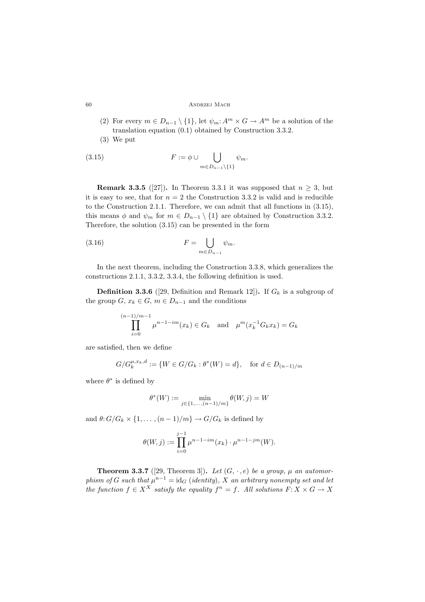#### 60 Andrzej Mach

- (2) For every  $m \in D_{n-1} \setminus \{1\}$ , let  $\psi_m: A^m \times G \to A^m$  be a solution of the translation equation (0.1) obtained by Construction 3.3.2.
- (3) We put

(3.15) 
$$
F := \phi \cup \bigcup_{m \in D_{n-1} \setminus \{1\}} \psi_m.
$$

**Remark 3.3.5** ([27]). In Theorem 3.3.1 it was supposed that  $n \geq 3$ , but it is easy to see, that for  $n = 2$  the Construction 3.3.2 is valid and is reducible to the Construction 2.1.1. Therefore, we can admit that all functions in (3.15), this means  $\phi$  and  $\psi_m$  for  $m \in D_{n-1} \setminus \{1\}$  are obtained by Construction 3.3.2. Therefore, the solution (3.15) can be presented in the form

(3.16) 
$$
F = \bigcup_{m \in D_{n-1}} \psi_m.
$$

In the next theorem, including the Construction 3.3.8, which generalizes the constructions 2.1.1, 3.3.2, 3.3.4, the following definition is used.

**Definition 3.3.6** ([29, Definition and Remark 12]). If  $G_k$  is a subgroup of the group  $G, x_k \in G, m \in D_{n-1}$  and the conditions

$$
\prod_{i=0}^{(n-1)/m-1} \mu^{n-1-im}(x_k) \in G_k \quad \text{and} \quad \mu^m(x_k^{-1}G_k x_k) = G_k
$$

are satisfied, then we define

$$
G/G_k^{\mu,x_k,d} := \{ W \in G/G_k : \theta^*(W) = d \}, \quad \text{for } d \in D_{(n-1)/m}
$$

where  $\theta^*$  is defined by

$$
\theta^*(W):=\min_{j\in\{1,\ldots,(n-1)/m\}}\theta(W,j)=W
$$

and  $\theta: G/G_k \times \{1,\ldots,(n-1)/m\} \to G/G_k$  is defined by

$$
\theta(W,j) := \prod_{i=0}^{j-1} \mu^{n-1-i m}(x_k) \cdot \mu^{n-1-j m}(W).
$$

**Theorem 3.3.7** ([29, Theorem 3]). Let  $(G, \cdot, e)$  be a group,  $\mu$  an automor*phism of* G such that  $\mu^{n-1} = id_G$  (*identity*)*,* X an arbitrary nonempty set and let *the function*  $f \in X^X$  *satisfy the equality*  $f^n = f$ . All solutions  $F: X \times G \rightarrow X$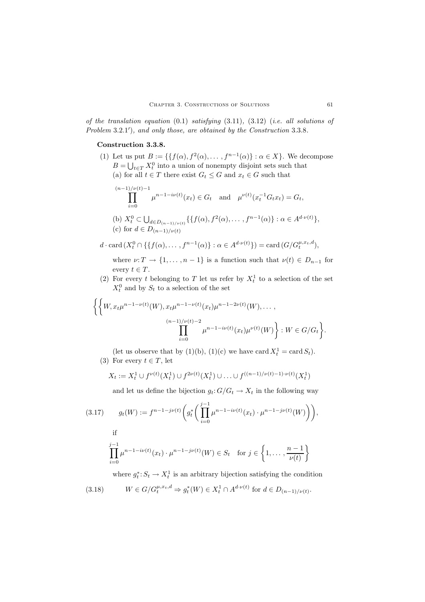*of the translation equation* (0.1) *satisfying* (3.11)*,* (3.12) (*i.e. all solutions of Problem* 3.2.1 )*, and only those, are obtained by the Construction* 3.3.8*.*

# **Construction 3.3.8.**

(1) Let us put  $B := \{f(\alpha), f^2(\alpha), \dots, f^{n-1}(\alpha)\} : \alpha \in X\}$ . We decompose  $B = \bigcup_{t \in T} X_t^0$  into a union of nonempty disjoint sets such that (a) for all  $t \in T$  there exist  $G_t \leq G$  and  $x_t \in G$  such that

$$
\prod_{i=0}^{(n-1)/\nu(t)-1} \mu^{n-1-i\nu(t)}(x_t) \in G_t \text{ and } \mu^{\nu(t)}(x_t^{-1}G_t x_t) = G_t,
$$
  
(b)  $X_t^0 \subset \bigcup_{d \in D_{(n-1)/\nu(t)}} \{ \{ f(\alpha), f^2(\alpha), \dots, f^{n-1}(\alpha) \} : \alpha \in A^{d \cdot \nu(t)} \},$   
(c) for  $d \in D_{(n-1)/\nu(t)}$ 

$$
d \cdot \operatorname{card}\left(X_t^0 \cap \{ \{ f(\alpha), \dots, f^{n-1}(\alpha) \} : \alpha \in A^{d \cdot \nu(t)} \} \right) = \operatorname{card}\left(G/G_t^{\mu, x_t, d}\right),
$$

where  $\nu: T \to \{1, \ldots, n-1\}$  is a function such that  $\nu(t) \in D_{n-1}$  for every  $t \in T$ .

(2) For every t belonging to T let us refer by  $X_t^1$  to a selection of the set  $X_t^0$  and by  $S_t$  to a selection of the set

$$
\left\{ \left\{ W, x_t \mu^{n-1-\nu(t)}(W), x_t \mu^{n-1-\nu(t)}(x_t) \mu^{n-1-2\nu(t)}(W), \dots, \prod_{i=0}^{(n-1)/\nu(t)-2} \mu^{n-1-i\nu(t)}(x_t) \mu^{\nu(t)}(W) \right\} : W \in G/G_t \right\}.
$$

(let us observe that by (1)(b), (1)(c) we have card  $X_t^1 = \text{card } S_t$ ).<br>For event  $t \in T$ , let (3) For every  $t \in T$ , let

$$
X_t := X_t^1 \cup f^{\nu(t)}(X_t^1) \cup f^{2\nu(t)}(X_t^1) \cup \ldots \cup f^{((n-1)/\nu(t)-1)\cdot \nu(t)}(X_t^1)
$$

and let us define the bijection  $g_t: G/G_t \to X_t$  in the following way

(3.17) 
$$
g_t(W) := f^{n-1-j\nu(t)} \bigg( g_t^* \bigg( \prod_{i=0}^{j-1} \mu^{n-1-i\nu(t)} (x_t) \cdot \mu^{n-1-j\nu(t)} (W) \bigg) \bigg),
$$
if

$$
\prod_{i=0}^{j-1} \mu^{n-1-i\nu(t)}(x_t) \cdot \mu^{n-1-j\nu(t)}(W) \in S_t \text{ for } j \in \left\{1, \ldots, \frac{n-1}{\nu(t)}\right\}
$$

where  $g_t^*$ :  $S_t \to X_t^1$  is an arbitrary bijection satisfying the condition

$$
(3.18) \t W \in G/G_t^{\mu,x_t,d} \Rightarrow g_t^*(W) \in X_t^1 \cap A^{d\cdot \nu(t)} \text{ for } d \in D_{(n-1)/\nu(t)}.
$$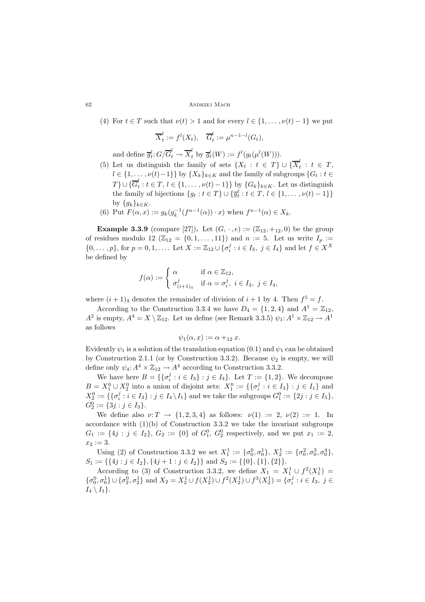(4) For  $t \in T$  such that  $\nu(t) > 1$  and for every  $l \in \{1, \ldots, \nu(t) - 1\}$  we put

$$
\overline{X}_t^l := f^l(X_t), \quad \overline{G}_t^l := \mu^{n-1-l}(G_t),
$$

and define  $\overline{g}_t^l$ :  $G/G_t^{\epsilon} \to X_t^{\epsilon}$  by  $\overline{g}_t^l(W) := f^l(g_t(\mu^l(W)))$ .

- (5) Let us distinguish the family of sets  $\{X_t : t \in T\} \cup \{\overline{X}_t^t : t \in T, t \in T, t \in T, t \in T\}$  $l \in \{1,\ldots,\nu(t)-1\}$  by  $\{X_k\}_{k\in K}$  and the family of subgroups  $\{G_t : t \in \mathbb{R}\}\cup\{\overline{G}^l\}_{l\in \mathbb{Z}}$  $T$ }∪{ $G_t^i : t \in T, l \in \{1, ..., \nu(t) - 1\}$ } by  $\{G_k\}_{k \in K}$ . Let us distinguish<br>the family of bijections  $\{g : t \in T\} \cup \{\overline{x}^l : t \in T, l \in \{1, ..., \nu(t) - 1\}\}$ the family of bijections  $\{g_t : t \in T\} \cup \{\overline{g}_t^l : t \in T, l \in \{1, \ldots, \nu(t) - 1\}\}\$ by  $\{g_k\}_{k\in K}$ .
- (6) Put  $F(\alpha, x) := g_k(g_k^{-1}(f^{n-1}(\alpha)) \cdot x)$  when  $f^{n-1}(\alpha) \in X_k$ .

**Example 3.3.9** (compare [27]). Let  $(G, \cdot, e) := (\mathbb{Z}_{12}, +_{12}, 0)$  be the group of residues modulo 12  $(\mathbb{Z}_{12} = \{0, 1, \ldots, 11\})$  and  $n := 5$ . Let us write  $I_p :=$  $\{0,\ldots,p\}$ , for  $p=0,1,\ldots$  Let  $X := \mathbb{Z}_{12} \cup \{\sigma_i^j : i \in I_3, j \in I_4\}$  and let  $f \in X^X$ be defined by

$$
f(\alpha) := \begin{cases} \alpha & \text{if } \alpha \in \mathbb{Z}_{12}, \\ \sigma_{(i+1)_4}^j & \text{if } \alpha = \sigma_i^j, \ i \in I_3, \ j \in I_4, \end{cases}
$$

where  $(i + 1)<sub>4</sub>$  denotes the remainder of division of  $i + 1$  by 4. Then  $f<sup>5</sup> = f$ .

According to the Construction 3.3.4 we have  $D_4 = \{1, 2, 4\}$  and  $A^1 = \mathbb{Z}_{12}$ .  $A^2$  is empty,  $A^4 = X \setminus \mathbb{Z}_{12}$ . Let us define (see Remark 3.3.5)  $\psi_1: A^1 \times \mathbb{Z}_{12} \to A^1$ as follows

$$
\psi_1(\alpha, x) := \alpha +_{12} x.
$$

Evidently  $\psi_1$  is a solution of the translation equation  $(0.1)$  and  $\psi_1$  can be obtained<br>by Construction 2.1.1 (or by Construction 2.3.2). Because  $\psi_1$  is apprixing will by Construction 2.1.1 (or by Construction 3.3.2). Because  $\psi_2$  is empty, we will define only  $\psi_4$ :  $A^4 \times \mathbb{Z}_{12} \rightarrow A^4$  according to Construction 3.3.2.

We have here  $B = \{ \{\sigma_i^j : i \in I_3\} : j \in I_4 \}$ . Let  $T := \{1, 2\}$ . We decompose  $B = X_1^0 \cup X_2^0$  into a union of disjoint sets:  $X_1^0 := \{ \{\sigma_i^j : i \in I_3\} : j \in I_1 \}$  and<br> $X_1^0 := \{ \{\sigma_i^j : i \in I_1\} : i \in I_2 \}$  and we take the subgroups  $C_1^0 = \{ 2 \in i \in I_1 \}$  $X_2^0 := \{ \{\sigma_i^j : i \in I_3\} : j \in I_4 \setminus I_1 \}$  and we take the subgroups  $G_1^0 := \{2j : j \in I_5\},$ <br> $G_2^0 := \{3j : j \in I_1\}$  $G_2^0 := \{3j : j \in I_3\}.$ <br>We define also

We define also  $\nu: T \to \{1, 2, 3, 4\}$  as follows:  $\nu(1) := 2, \nu(2) := 1$ . In accordance with  $(1)(b)$  of Construction 3.3.2 we take the invariant subgroups  $G_1 := \{4j : j \in I_2\}, G_2 := \{0\}$  of  $G_1^0, G_2^0$  respectively, and we put  $x_1 := 2$ ,  $x_2 := 3.$ 

Using (2) of Construction 3.3.2 we set  $X_1^1 := \{\sigma_0^0, \sigma_0^1\}, X_2^1 := \{\sigma_0^2, \sigma_0^3, \sigma_0^4\},$ <br>  $= \{A_0^i : i \in L\}$ ,  $A_2^i + 1 : i \in L\}$  and  $S_i := \{0\}$ ,  $\{1\}$ ,  $\{2\}$  $S_1 := \{\{4j : j \in I_2\}, \{4j + 1 : j \in I_2\}\}\$ and  $S_2 := \{\{0\}, \{1\}, \{2\}\}.$ 

According to (3) of Construction 3.3.2, we define  $X_1 = X_1^1 \cup f^2(X_1^1) =$ <br> $\tau^{1} \cup f^0(\tau^{1})$  and  $X_1 = X_1^1 \cup f(Y_1^1) \cup f(Y_1^1) \cup f(Y_1^1) = [f^j, f^j, f^j]$  $\{\sigma_0^0, \sigma_0^1\} \cup \{\sigma_2^0, \sigma_2^1\}$  and  $X_2 = X_2^1 \cup f(X_2^1) \cup f^2(X_2^1) \cup f^3(X_2^1) = \{\sigma_i^j : i \in I_3, j \in I_1\}$  $I_4 \setminus I_1$ .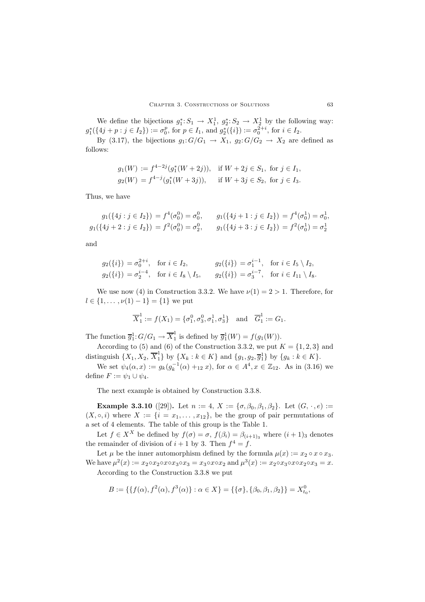We define the bijections  $g_1^*: S_1 \to X_1^1$ ,  $g_2^*: S_2 \to X_2^1$  by the following way:  $g_1^*(\{4j + p : j \in I_2\}) := \sigma_0^p$ , for  $p \in I_1$ , and  $g_2^*(\{i\}) := \sigma_0^{2+i}$ , for  $i \in I_2$ .

By (3.17), the bijections  $g_1: G/G_1 \rightarrow X_1, g_2: G/G_2 \rightarrow X_2$  are defined as follows:

$$
g_1(W) := f^{4-2j}(g_1^*(W+2j)),
$$
 if  $W + 2j \in S_1$ , for  $j \in I_1$ ,  
\n $g_2(W) = f^{4-j}(g_1^*(W+3j)),$  if  $W + 3j \in S_2$ , for  $j \in I_3$ .

Thus, we have

$$
g_1(\{4j : j \in I_2\}) = f^4(\sigma_0^0) = \sigma_0^0, \qquad g_1(\{4j + 1 : j \in I_2\}) = f^4(\sigma_0^1) = \sigma_0^1,
$$
  

$$
g_1(\{4j + 2 : j \in I_2\}) = f^2(\sigma_0^0) = \sigma_2^0, \qquad g_1(\{4j + 3 : j \in I_2\}) = f^2(\sigma_0^1) = \sigma_2^1
$$

and

$$
g_2({i}) = \sigma_0^{2+i}, \text{ for } i \in I_2, \qquad g_2({i}) = \sigma_1^{i-1}, \text{ for } i \in I_5 \setminus I_2, g_2({i}) = \sigma_2^{i-4}, \text{ for } i \in I_8 \setminus I_5, \qquad g_2({i}) = \sigma_3^{i-7}, \text{ for } i \in I_{11} \setminus I_8.
$$

We use now (4) in Construction 3.3.2. We have  $\nu(1) = 2 > 1$ . Therefore, for  $l \in \{1, \ldots, \nu(1) - 1\} = \{1\}$  we put

$$
\overline{X}_1^1 := f(X_1) = \{\sigma_1^0, \sigma_3^0, \sigma_1^1, \sigma_3^1\} \text{ and } \overline{G}_1^1 := G_1.
$$

The function  $\overline{g}_1^1$ :  $G/G_1 \to \overline{X}_1^1$  is defined by  $\overline{g}_1^1(W) = f(g_1(W))$ .<br>Association to (5) and (6) of the Construction 2.2.2 we put l

According to (5) and (6) of the Construction 3.3.2, we put  $K = \{1, 2, 3\}$  and distinguish  $\{X_1, X_2, \overline{X}_1^1\}$  by  $\{X_k : k \in K\}$  and  $\{g_1, g_2, \overline{g}_1^1\}$  by  $\{g_k : k \in K\}$ .

We set  $\psi_4(\alpha, x) := g_k(g_k^{-1}(\alpha) +_{12} x)$ , for  $\alpha \in A^4, x \in \mathbb{Z}_{12}$ . As in (3.16) we define  $F := \psi_1 \cup \psi_4$ .

The next example is obtained by Construction 3.3.8.

**Example 3.3.10** ([29]). Let  $n := 4$ ,  $X := {\sigma, \beta_0, \beta_1, \beta_2}$ . Let  $(G, \cdot, e) :=$  $(X, \circ, i)$  where  $X := \{i = x_1, \ldots, x_{12}\}\$ , be the group of pair permutations of a set of 4 elements. The table of this group is the Table 1.

Let  $f \in X^X$  be defined by  $f(\sigma) = \sigma$ ,  $f(\beta_i) = \beta_{(i+1)_2}$  where  $(i+1)_3$  denotes the remainder of division of  $i + 1$  by 3. Then  $f^4 = f$ .

Let  $\mu$  be the inner automorphism defined by the formula  $\mu(x) := x_2 \circ x \circ x_3$ . We have  $\mu^2(x) := x_2 \circ x_2 \circ x \circ x_3 \circ x_3 = x_3 \circ x \circ x_2$  and  $\mu^3(x) := x_2 \circ x_3 \circ x \circ x_2 \circ x_3 = x$ . According to the Construction 3.3.8 we put

$$
B := \{ \{ f(\alpha), f^2(\alpha), f^3(\alpha) \} : \alpha \in X \} = \{ \{ \sigma \}, \{ \beta_0, \beta_1, \beta_2 \} \} = X_{t_0}^0,
$$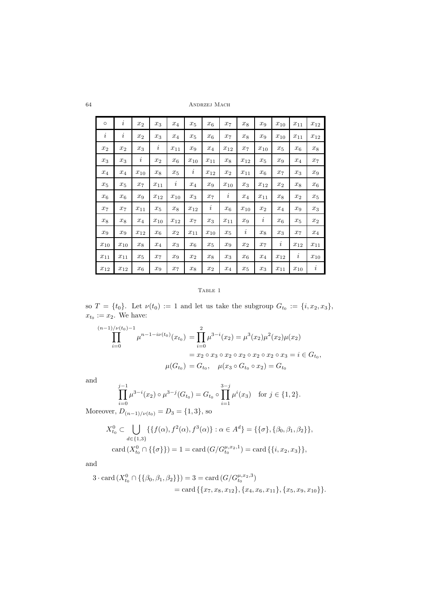64 Andrzej Mach

| $\circ$  | $\it i$      | $\boldsymbol{x}_2$ | $x_3$              | $x_4$        | $x_5$        | $x_6$              | $x_7$              | $x_8$        | $x_9$              | $x_{10}$     | $x_{11}$     | $x_{12}$     |
|----------|--------------|--------------------|--------------------|--------------|--------------|--------------------|--------------------|--------------|--------------------|--------------|--------------|--------------|
| $\it i$  | $\imath$     | $x_2$              | $x_3$              | $x_4$        | $x_5$        | $x_{6}$            | $x_7$              | $x_8$        | $x_9$              | $x_{\rm 10}$ | $x_{11}$     | $x_{12}$     |
| $x_2$    | $x_2$        | $x_3$              | i                  | $x_{11}$     | $x_9$        | $x_4$              | $x_{12}$           | $x_7$        | $x_{\rm 10}$       | $x_5$        | $x_6$        | $x_8$        |
| $x_3$    | $x_3$        | $\dot{i}$          | $x_2$              | $x_6$        | $x_{\rm 10}$ | $x_{11}$           | $x_8$              | $x_{12}$     | $x_5$              | $x_9$        | $x_4$        | $x_7$        |
| $x_4$    | $x_4$        | $x_{10}$           | $x_8$              | $x_5$        | $\it i$      | $x_{12}$           | $x_2$              | $x_{11}$     | $x_6$              | $x_7$        | $x_3$        | $x_9$        |
| $x_5$    | $x_5$        | $\boldsymbol{x}_7$ | $x_{11}$           | $\imath$     | $x_4$        | $x_9$              | $x_{\rm 10}$       | $x_3$        | $x_{12}$           | $x_2$        | $x_8$        | $x_6$        |
| $x_6$    | $x_6$        | $x_9$              | $x_{12}$           | $x_{\rm 10}$ | $x_3$        | $\boldsymbol{x}_7$ | $\imath$           | $x_4$        | $x_{11}$           | $x_8$        | $x_2$        | $x_5$        |
| $x_7$    | $x_7$        | $x_{11}$           | $\boldsymbol{x}_5$ | $x_8$        | $x_{12}$     | $\dot{i}$          | $x_6$              | $x_{\rm 10}$ | $\boldsymbol{x}_2$ | $x_4$        | $x_9$        | $x_3$        |
| $x_8$    | $x_8$        | $\boldsymbol{x}_4$ | $x_{\rm 10}$       | $x_{12}$     | $x_7$        | $x_3$              | $x_{11}$           | $x_9$        | $\imath$           | $x_6$        | $x_5$        | $x_2$        |
| $x_9$    | $x_9$        | $x_{12}$           | $x_6$              | $x_2$        | $x_{11}$     | $x_{10}$           | $x_5$              | $\it i$      | $x_{8}$            | $x_3$        | $x_7$        | $x_4$        |
| $x_{10}$ | $x_{\rm 10}$ | $x_8$              | $\boldsymbol{x}_4$ | $x_3$        | $x_6$        | $x_5$              | $x_9$              | $x_2$        | $x_7$              | $\imath$     | $x_{12}$     | $x_{11}$     |
| $x_{11}$ | $x_{11}$     | $x_5$              | $x_7$              | $x_9$        | $x_2$        | $x_8$              | $x_3$              | $x_6$        | $x_4$              | $x_{12}$     | $\imath$     | $x_{\rm 10}$ |
| $x_{12}$ | $x_{12}$     | $x_6$              | $x_9$              | $x_7$        | $x_8$        | $\boldsymbol{x}_2$ | $\boldsymbol{x}_4$ | $x_5$        | $x_3$              | $x_{11}$     | $x_{\rm 10}$ | $\imath$     |

# TABLE 1

so  $T = \{t_0\}$ . Let  $\nu(t_0) := 1$  and let us take the subgroup  $G_{t_0} := \{i, x_2, x_3\}$ ,  $x_{t_0} := x_2$ . We have:

$$
\prod_{i=0}^{(n-1)/\nu(t_0)-1} \mu^{n-1-i\nu(t_0)}(x_{t_0}) = \prod_{i=0}^{2} \mu^{3-i}(x_2) = \mu^3(x_2)\mu^2(x_2)\mu(x_2)
$$
  
=  $x_2 \circ x_3 \circ x_2 \circ x_2 \circ x_2 \circ x_3 = i \in G_{t_0},$   

$$
\mu(G_{t_0}) = G_{t_0}, \quad \mu(x_3 \circ G_{t_0} \circ x_2) = G_{t_0}
$$

and

$$
\prod_{i=0}^{j-1} \mu^{3-i}(x_2) \circ \mu^{3-j}(G_{t_0}) = G_{t_0} \circ \prod_{i=1}^{3-j} \mu^i(x_3) \text{ for } j \in \{1, 2\}.
$$

Moreover,  $D_{(n-1)/\nu(t_0)} = D_3 = \{1,3\}$ , so

$$
X_{t_0}^0 \subset \bigcup_{d \in \{1,3\}} \{ \{ f(\alpha), f^2(\alpha), f^3(\alpha) \} : \alpha \in A^d \} = \{ \{ \sigma \}, \{ \beta_0, \beta_1, \beta_2 \} \},
$$
  
card  $(X_{t_0}^0 \cap \{ \{ \sigma \} \}) = 1 = \text{card } (G/G_{t_0}^{\mu, x_2, 1}) = \text{card } \{ \{ i, x_2, x_3 \} \},$ 

and

$$
3 \cdot \operatorname{card}(X_{t_0}^0 \cap \{\{\beta_0, \beta_1, \beta_2\}\}) = 3 = \operatorname{card}(G/G_{t_0}^{\mu, x_2, 3})
$$
  
= 
$$
\operatorname{card}\{\{x_7, x_8, x_{12}\}, \{x_4, x_6, x_{11}\}, \{x_5, x_9, x_{10}\}\}.
$$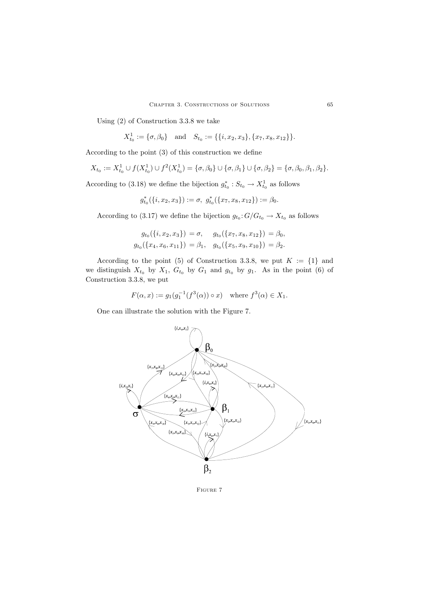Using (2) of Construction 3.3.8 we take

$$
X_{t_0}^1 := \{\sigma, \beta_0\}
$$
 and  $S_{t_0} := \{\{i, x_2, x_3\}, \{x_7, x_8, x_{12}\}\}.$ 

According to the point (3) of this construction we define

$$
X_{t_0} := X_{t_0}^1 \cup f(X_{t_0}^1) \cup f^2(X_{t_0}^1) = {\sigma, \beta_0} \cup {\sigma, \beta_1} \cup {\sigma, \beta_2} = {\sigma, \beta_0, \beta_1, \beta_2}.
$$

According to (3.18) we define the bijection  $g_{t_0}^* : S_{t_0} \to X_{t_0}^1$  as follows

$$
g_{t_0}^*(\{i,x_2,x_3\}):=\sigma, g_{t_0}^*(\{x_7,x_8,x_{12}\}):=\beta_0.
$$

According to (3.17) we define the bijection  $g_{t_0}: G/G_{t_0} \to X_{t_0}$  as follows

$$
g_{t_0}(\{i, x_2, x_3\}) = \sigma, \quad g_{t_0}(\{x_7, x_8, x_{12}\}) = \beta_0,
$$
  

$$
g_{t_0}(\{x_4, x_6, x_{11}\}) = \beta_1, \quad g_{t_0}(\{x_5, x_9, x_{10}\}) = \beta_2.
$$

According to the point (5) of Construction 3.3.8, we put  $K := \{1\}$  and we distinguish  $X_{t_0}$  by  $X_1$ ,  $G_{t_0}$  by  $G_1$  and  $g_{t_0}$  by  $g_1$ . As in the point (6) of Construction 3.3.8, we put

$$
F(\alpha, x) := g_1(g_1^{-1}(f^3(\alpha)) \circ x) \quad \text{where } f^3(\alpha) \in X_1.
$$

One can illustrate the solution with the Figure 7.

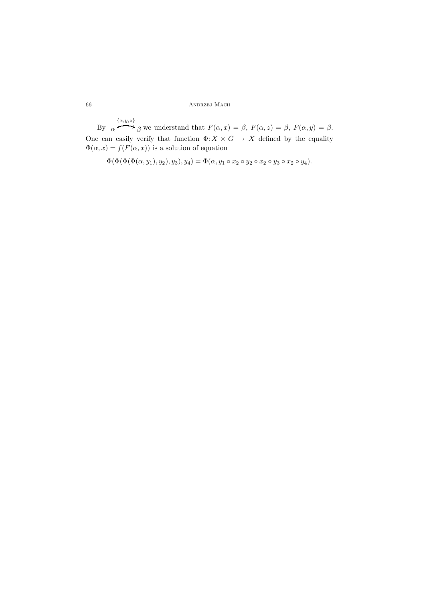By  $\alpha$  $\{x,y,z\}$  $\overline{\phantom{a}}$ β we understand that  $F(\alpha, x) = \beta$ ,  $F(\alpha, z) = \beta$ ,  $F(\alpha, y) = \beta$ . One can easily verify that function  $\Phi: X \times G \to X$  defined by the equality  $\Phi(\alpha, x) = f(F(\alpha, x))$  is a solution of equation

 $\Phi(\Phi(\Phi(\Phi(a, y_1), y_2), y_3), y_4) = \Phi(\alpha, y_1 \circ x_2 \circ y_2 \circ x_2 \circ y_3 \circ x_2 \circ y_4).$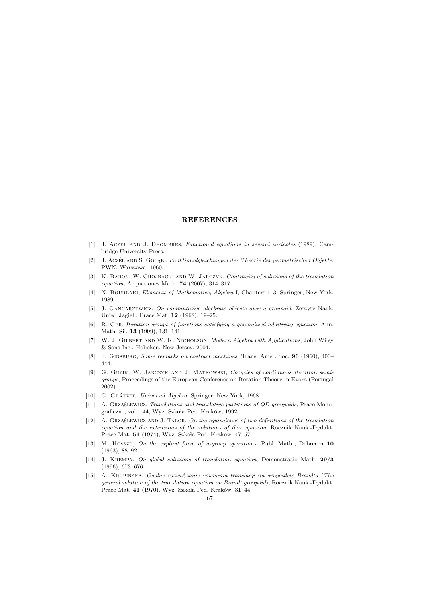# **REFERENCES**

- [1] J. Aczét AND J. DHOMBRES, Functional equations in several variables (1989), Cambridge University Press.
- [2] J. Aczét AND S. GOŁĄB, Funktionalgleichungen der Theorie der geometrischen Objekte, PWN, Warszawa, 1960.
- [3] K. BARON, W. CHOJNACKI AND W. JARCZYK, Continuity of solutions of the translation equation, Aequationes Math. 74 (2007), 314–317.
- [4] N. BOURBAKI, Elements of Mathematics, Algebra I, Chapters 1–3, Springer, New York, 1989.
- [5] J. GANCARZEWICZ, On commutative algebraic objects over a groupoid, Zeszyty Nauk. Uniw. Jagiell. Prace Mat. 12 (1968), 19–25.
- [6] R. Ger, Iteration groups of functions satisfying a generalized additivity equation, Ann. Math. Sil. 13 (1999), 131–141.
- [7] W. J. Gilbert and W. K. Nicholson, Modern Algebra with Applications, John Wiley & Sons Inc., Hoboken, New Jersey, 2004.
- [8] S. Ginsburg, Some remarks on abstract machines, Trans. Amer. Soc. 96 (1960), 400– 444.
- [9] G. GUZIK, W. JARCZYK AND J. MATKOWSKI, Cocycles of continuous iteration semigroups, Proceedings of the European Conference on Iteration Theory in Evora (Portugal 2002).
- [10] G. GRÄTZER, Universal Algebra, Springer, New York, 1968.
- [11] A. Grząślewicz, Translations and translative partitions of QD-groupoids, Prace Monograficzne, vol. 144, Wyż. Szkoła Ped. Kraków, 1992.
- [12] A. GRZĄŚLEWICZ AND J. TABOR, On the equivalence of two definitions of the translation equation and the extensions of the solutions of this equation, Rocznik Nauk.-Dydakt. Prace Mat. 51 (1974), Wyż. Szkoła Ped. Kraków, 47–57.
- [13] M. Hosszú, On the explicit form of n-group operations, Publ. Math., Debrecen  $10$ (1963), 88–92.
- [14] J. Krempa, On global solutions of translation equation, Demonstratio Math. 29/3 (1996), 673–676.
- [15] A. Krupinska ´ , *Og´olne rozwiĄzanie r´ownania translacji na grupoidzie Brandta* (The general solution of the translation equation on Brandt groupoid), Rocznik Nauk.-Dydakt. Prace Mat.  $41$  (1970), Wyż. Szkoła Ped. Kraków, 31–44.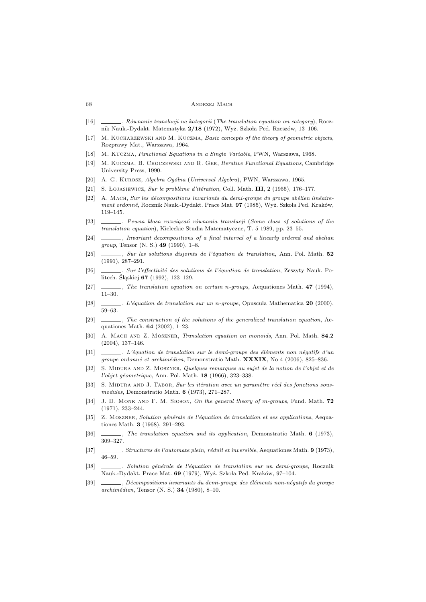#### 68 Andrzej Mach

- [16] , Równanie translacji na kategorii (The translation equation on category), Rocznik Nauk.-Dydakt. Matematyka 2/18 (1972), Wyż. Szkoła Ped. Rzeszów, 13-106.
- [17] M. KUCHARZEWSKI AND M. KUCZMA, Basic concepts of the theory of geometric objects, Rozprawy Mat., Warszawa, 1964.
- [18] M. Kuczma, Functional Equations in a Single Variable, PWN, Warszawa, 1968.
- [19] M. KUCZMA, B. CHOCZEWSKI AND R. GER, Iterative Functional Equations, Cambridge University Press, 1990.
- [20] A. G. Kurosz, Algebra Og*ó*lna (Universal Algebra), PWN, Warszawa, 1965.
- [21] S. LOJASIEWICZ, Sur le problème d'itération, Coll. Math. III, 2 (1955), 176–177.
- $[22]$  A. MACH, Sur les décompositions invariants du demi-groupe du groupe abélien linéairement ordonné, Rocznik Nauk.-Dydakt. Prace Mat. 97 (1985), Wyż. Szkoła Ped. Kraków, 119–145.
- [23] , *Pewna klasa rozwiąza´n równania translacji* (Some class of solutions of the translation equation), Kieleckie Studia Matematyczne, T. 5 1989, pp. 23–55.
- [24] \_\_\_\_\_, Invariant decompositions of a final interval of a linearly ordered and abelian *group*, Tensor (N. S.) 49 (1990), 1–8.
- $[25]$  , Sur les solutions disjoints de l'équation de translation, Ann. Pol. Math. 52 (1991), 287–291.
- [26] , Sur l'effectivité des solutions de l'équation de translation, Zeszyty Nauk. Politech. Śląskiej 67 (1992), 123–129.
- [27] , The translation equation on certain n-groups, Aequationes Math. 47 (1994), 11–30.
- [28] , L'´equation de translation sur un n-groupe, Opuscula Mathematica 20 (2000), 59–63.
- [29]  $\_\_\_\_\_\_\_\_\.\$  The construction of the solutions of the generalized translation equation, Aequationes Math. 64 (2002), 1–23.
- [30] A. MACH AND Z. MOSZNER, *Translation equation on monoids*, Ann. Pol. Math. 84.2 (2004), 137–146.
- [31] , L'équation de translation sur le demi-groupe des éléments non négatifs d'un groupe ordonné et archimédien, Demonstratio Math.  $\bf XXXIX$ , No 4 (2006), 825–836.
- [32] S. Midura and Z. Moszner, Quelques remarques au sujet de la notion de l'objet et de  $l'objet qéometrique$ , Ann. Pol. Math. 18 (1966), 323-338.
- [33] S. MIDURA AND J. TABOR, Sur les itération avec un paramètre réel des fonctions sousmodules, Demonstratio Math. 6 (1973), 271–287.
- [34] J. D. MONK AND F. M. SIOSON, On the general theory of m-groups, Fund. Math. 72 (1971), 233–244.
- [35] Z. MOSZNER, Solution générale de l'équation de translation et ses applications, Aequationes Math. 3 (1968), 291–293.
- [36] , The translation equation and its application, Demonstratio Math. 6 (1973), 309–327.
- [37] , Structures de l'automate plein, réduit et inversible, Aequationes Math. 9 (1973), 46–59.
- [38] , Solution générale de l'équation de translation sur un demi-groupe, Rocznik Nauk.-Dydakt. Prace Mat. 69 (1979), Wyż. Szkoła Ped. Kraków, 97-104.
- [39] , Décompositions invariants du demi-groupe des éléments non-négatifs du groupe  $archimédien$ , Tensor (N. S.) 34 (1980), 8–10.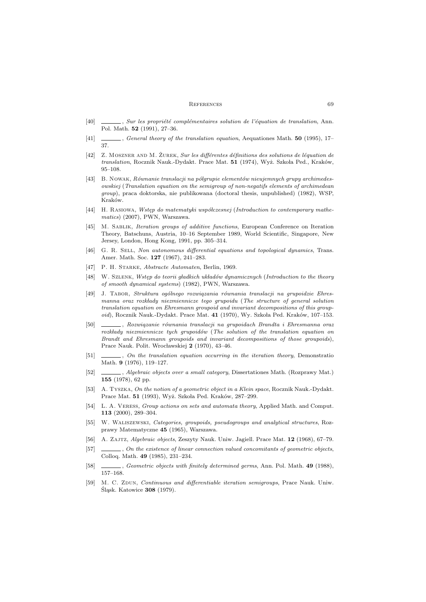#### REFERENCES 69

- $[40] \quad \underline{\hspace{2cm}}$ , Sur les propriété complémentaires solution de l'équation de translation. Ann. Pol. Math. 52 (1991), 27–36.
- [41] , General theory of the translation equation, Aequationes Math. 50 (1995), 17– 37.
- [42] Z. MOSZNER AND M. ŻUREK, Sur les différentes définitions des solutions de léquation de translation, Rocznik Nauk.-Dydakt. Prace Mat. 51 (1974), Wyż. Szkoła Ped., Kraków, 95–108.
- [43] B. NOWAK, Równanie translacji na półgrupie elementów nieujemnych grupy archimedesowskiej (Translation equation on the semigroup of non-negatifs elements of archimedean group), praca doktorska, nie publikowana (doctoral thesis, unpublished) (1982), WSP, Kraków.
- [44] H. RASIOWA, *Wstęp do matematyki współczesnej* (*Introduction to contemporary mathe*matics) (2007), PWN, Warszawa.
- [45] M. Sablik, Iteration groups of additive functions, European Conference on Iteration Theory, Batschuns, Austria, 10–16 September 1989, World Scientific, Singapore, New Jersey, London, Hong Kong, 1991, pp. 305–314.
- [46] G. R. SELL, Non autonomous differential equations and topological dynamics, Trans. Amer. Math. Soc. 127 (1967), 241–283.
- [47] P. H. STARKE, Abstracte Automaten, Berlin, 1969.
- [48] W. SZLENK, *Wstęp do teorii gładkich układów dynamicznych* (*Introduction to the theory* of smooth dynamical systems) (1982), PWN, Warszawa.
- [49] J. Tabor, *Struktura og´olnego rozwiązania r´ownania translacji na grupoidzie Ehresmanna oraz rozk lady niezmiennicze tego grupoidu* (The structure of general solution translation equation on Ehresmann groupoid and invariant decompositions of this groupoid), Rocznik Nauk.-Dydakt. Prace Mat.  $41$  (1970), Wy. Szkoła Ped. Kraków, 107-153.
- [50] , *Rozwiązanie r´ownania translacji na grupoidach Brandta i Ehresmanna oraz* rozkłady niezmiennicze tych grupoidów (The solution of the translation equation on Brandt and Ehresmann groupoids and invariant decompositions of those groupoids), Prace Nauk. Polit. Wrocławskiej 2 (1970), 43-46.
- [51]  $\qquad \qquad$ , On the translation equation occurring in the iteration theory, Demonstration Math. 9 (1976), 119–127.
- [52] , Algebraic objects over a small category, Dissertationes Math. (Rozprawy Mat.) 155 (1978), 62 pp.
- [53] A. TYSZKA, On the notion of a geometric object in a Klein space, Rocznik Nauk.-Dydakt. Prace Mat. 51 (1993), Wyż. Szkoła Ped. Kraków, 287–299.
- [54] L. A. VERESS, Group actions on sets and automata theory, Applied Math. and Comput. 113 (2000), 289–304.
- [55] W. Waliszewski, Categories, groupoids, pseudogroups and analytical structures, Rozprawy Matematyczne 45 (1965), Warszawa.
- [56] A. ZAJTZ, Algebraic objects, Zeszyty Nauk. Uniw. Jagiell. Prace Mat. 12 (1968), 67–79.
- [57] , On the existence of linear connection valued concomitants of geometric objects, Colloq. Math. 49 (1985), 231–234.
- [58] , Geometric objects with finitely determined germs, Ann. Pol. Math. 49 (1988), 157–168.
- [59] M. C. ZDUN, Continuous and differentiable iteration semigroups, Prace Nauk. Uniw. Śląsk. Katowice 308 (1979).